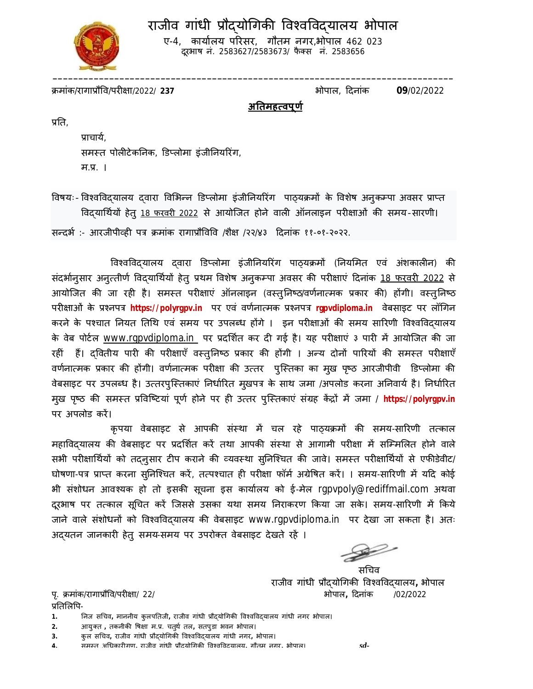# राजीव गांधी प्रौदयोगिकी विश्वविद्यालय भोपाल



ए-4, कार्यालय परिसर, गौतम नगर,भोपाल 462 023 दूरभाष नं. 2583627/2583673/ फैक्स नं. 2583656

Đमांक/रागाĤौͪव/परȣ¢ा/2022/ **237** भोपाल, Ǒदनांक **09**/02/2022

**अǓतमह×वपूण[** 

प्रति.

प्राचाये, समस्त पोलीटेकनिक, डिप्लोमा इंजीनियरिंग,  $H.H.$  |

विषयः- विश्वविदयालय दवारा विभिन्न डिप्लोमा इंजीनियरिंग पाठ्यक्रमों के विशेष अनुकम्पा अवसर प्राप्त विद्यार्थियों हेतु 18 फरवरी 2022 से आयोजित होने वाली ऑनलाइन परीक्षाओं की समय-सारणी। सन्दर्भ :- आरजीपीव्ही पत्र क्रमांक रागाप्रौविवि /शैक्ष /२२/४३ दिनांक ११-०१-२०२२.

विश्वविद्यालय दवारा डिप्लोमा इंजीनियरिंग पाठ्यक्रमों (नियमित एवं अंशकालीन) की संदर्भानुसार अनुत्तीर्ण विदयार्थियों हेतु प्रथम विशेष अनुकम्पा अवसर की परीक्षाएं दिनांक <u>18 फरवरी 2022</u> से आयोजित की जा रही है। समस्त परीक्षाएं ऑनलाइन (वस्तुनिष्ठ/वर्णनात्मक प्रकार की) होंगी। वस्तुनिष्ठ परीक्षाओं के प्रश्नपत्र https://polyrgpv.in पर एवं वर्णनात्मक प्रश्नपत्र rgpvdiploma.in वेबसाइट पर लॉगिन करने के पश्चात नियत तिथि एवं समय पर उपलब्ध होंगे । इन परीक्षाओं की समय सारिणी विश्वविदयालय के वेब पोर्टल <u>www.rgpvdiploma.in पर प्रदर्शित कर दी गई है। यह परीक्षाएं ३ पारी में आयोजित की जा</u> रहीं हैं। दवितीय पारी की परीक्षाएँ वस्तुनिष्ठ प्रकार की होंगी । अन्य दोनों पारियों की समस्त परीक्षाएँ वर्णनात्मक प्रकार की होंगी। वर्णनात्मक परीक्षा की उत्तर पुस्तिका का मुख पृष्ठ आरजीपीवी डिप्लोमा की वेबसाइट पर उपलब्ध है। उत्तरपुस्तिकाएं निर्धारित मुखपत्र के साथ जमा /अपलोड करना अनिवार्य है। निर्धारित मुख पृष्ठ की समस्त प्रविष्टियां पूर्ण होने पर ही उत्तर पुस्तिकाएं संग्रह केंद्रों में जमा / https://polyrgpv.in पर अपलोड करें।

कृपया वेबसाइट से आपकी संस्था में चल रहे पाठयक्रमों की समय-सारिणी तत्काल महाविदयालय की वेबसाइट पर प्रदर्शित करें तथा आपकी संस्था से आगामी परीक्षा में सम्मिलित होने वाले सभी परीक्षार्थियों को तदन्उसार टीप कराने की व्यवस्था सुनिश्चित की जावे। समस्त परीक्षार्थियों से एफीडेवीट/ घोषणा-पत्र प्राप्त करना सुनिश्चित करें, तत्पश्चात ही परीक्षा फॉर्म अग्रेषित करें। । समय-सारिणी में यदि कोई भी संशोधन आवश्यक हो तो इसकी सूचना इस कार्यालय को ई-मेल rgpvpoly@rediffmail.com अथवा दूरभाष पर तत्काल सूचित करें जिससे उसका यथा समय निराकरण किया जा सके। समय-सारिणी में किये जाने वाले संशोधनों को विश्वविदयालय की वेबसाइट www.rgpvdiploma.in पर देखा जा सकता है। अतः अद्यतन जानकारी हेतु समय-समय पर उपरोक्त वेबसाइट देखते रहें ।

सचिव

राजीव गांधी प्रौदयोगिकी विश्वविद्**यालय, भोपाल** पृ. Đमांक/रागाĤौͪव/परȣ¢ा/ 22/भोपाल**,** Ǒदनांक /02**/**2022

प्रतिलिपि-

**2.** आयुÈत **,** तकनीकȧ ͪष¢ा म.Ĥ. चतुथ[ तल**,** सतपुडा भवन भोपाल।

**4.** समèत अͬधकारȣगण**,** राजीव गांधी Ĥौɮयोͬगकȧ ͪवæवͪवɮयालय**,** गौतम नगर**,** भोपाल। *sd-*

<sup>1.</sup> निज सचिव, माननीय कुलपतिजी, राजीव गांधी प्रौद्**योगिकी विश्वविद्**यालय गांधी नगर भोपाल।

**<sup>3.</sup>** कु ल सͬचव**,** राजीव गांधी Ĥौɮयोͬगकȧ ͪवæवͪवɮयालय गांधी नगर**,** भोपाल।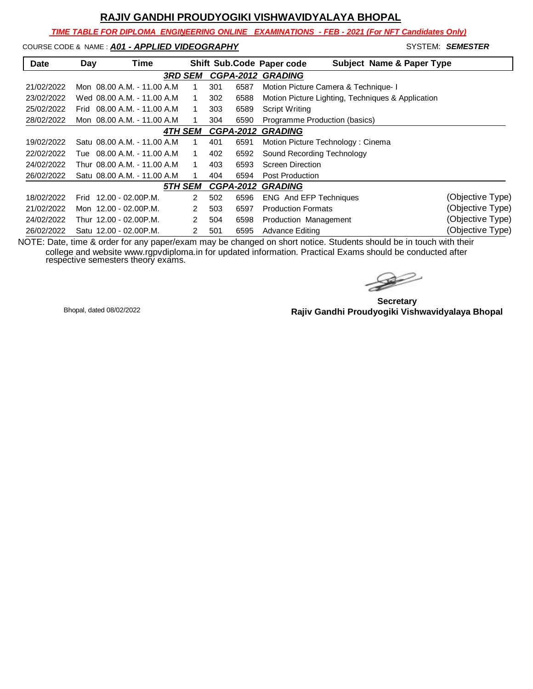*TIME TABLE FOR DIPLOMA ENGINEERING ONLINE EXAMINATIONS - FEB - 2021 (For NFT Candidates Only)*

COURSE CODE & NAME : **A01 - APPLIED VIDEOGRAPHY And System: SEMESTER** SYSTEM: **SEMESTER** 

| <b>Date</b> | Day  | Time                         |                |                |                  |      | <b>Subject Name &amp; Paper Type</b><br>Shift Sub.Code Paper code |                  |
|-------------|------|------------------------------|----------------|----------------|------------------|------|-------------------------------------------------------------------|------------------|
|             |      |                              | <b>3RD SEM</b> |                | <b>CGPA-2012</b> |      | <b>GRADING</b>                                                    |                  |
| 21/02/2022  |      | Mon 08.00 A.M. - 11.00 A.M.  |                |                | 301              | 6587 | Motion Picture Camera & Technique- I                              |                  |
| 23/02/2022  |      | Wed 08.00 A.M. - 11.00 A.M.  |                |                | 302              | 6588 | Motion Picture Lighting, Techniques & Application                 |                  |
| 25/02/2022  | Frid | 08.00 A.M. - 11.00 A.M       |                |                | 303              | 6589 | <b>Script Writing</b>                                             |                  |
| 28/02/2022  |      | Mon 08.00 A.M. - 11.00 A.M   |                |                | 304              | 6590 | Programme Production (basics)                                     |                  |
|             |      |                              | <b>4TH SEM</b> |                | <b>CGPA-2012</b> |      | <b>GRADING</b>                                                    |                  |
| 19/02/2022  |      | Satu 08.00 A.M. - 11.00 A.M. |                |                | 401              | 6591 | Motion Picture Technology: Cinema                                 |                  |
| 22/02/2022  |      | Tue 08.00 A.M. - 11.00 A.M   |                |                | 402              | 6592 | Sound Recording Technology                                        |                  |
| 24/02/2022  |      | Thur 08.00 A.M. - 11.00 A.M. |                |                | 403              | 6593 | Screen Direction                                                  |                  |
| 26/02/2022  |      | Satu 08.00 A.M. - 11.00 A.M. |                |                | 404              | 6594 | Post Production                                                   |                  |
|             |      |                              | 5TH SEM        |                | <b>CGPA-2012</b> |      | <b>GRADING</b>                                                    |                  |
| 18/02/2022  |      | Frid 12.00 - 02.00 P.M.      |                | 2              | 502              | 6596 | <b>ENG</b> And EFP Techniques                                     | (Objective Type) |
| 21/02/2022  |      | Mon 12.00 - 02.00 P.M.       |                | 2              | 503              | 6597 | <b>Production Formats</b>                                         | (Objective Type) |
| 24/02/2022  |      | Thur 12.00 - 02.00P.M.       |                | $\overline{2}$ | 504              | 6598 | Production Management                                             | (Objective Type) |
| 26/02/2022  |      | Satu 12.00 - 02.00 P.M.      |                | 2              | 501              | 6595 | <b>Advance Editing</b>                                            | (Objective Type) |

 $\rightarrow$ 

**Secretary Rajiv Gandhi Proudyogiki Vishwavidyalaya Bhopal** Bhopal, dated 08/02/2022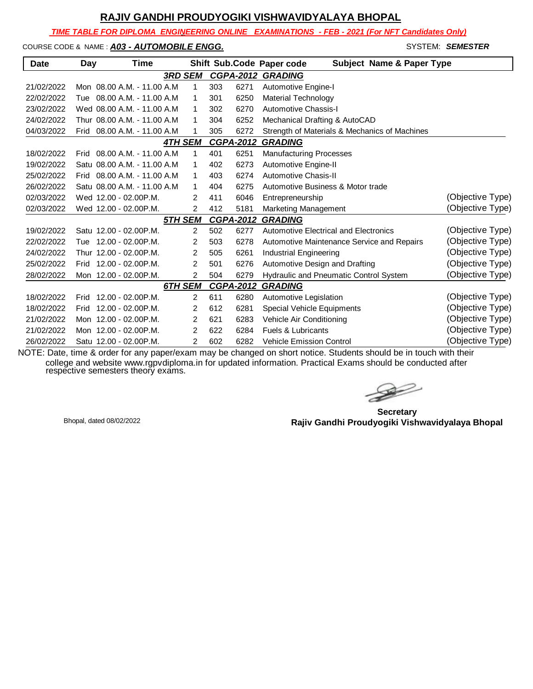*TIME TABLE FOR DIPLOMA ENGINEERING ONLINE EXAMINATIONS - FEB - 2021 (For NFT Candidates Only)*

#### COURSE CODE & NAME : **A03 - AUTOMOBILE ENGG.** And the state of the state of the system: **SEMESTER**

| <b>Date</b> | Day  | Time                         |                |     |                  | Shift Sub.Code Paper code<br><b>Subject Name &amp; Paper Type</b> |                  |
|-------------|------|------------------------------|----------------|-----|------------------|-------------------------------------------------------------------|------------------|
|             |      |                              | <b>3RD SEM</b> |     |                  | <b>CGPA-2012 GRADING</b>                                          |                  |
| 21/02/2022  |      | Mon 08.00 A.M. - 11.00 A.M.  | $\mathbf{1}$   | 303 | 6271             | <b>Automotive Engine-I</b>                                        |                  |
| 22/02/2022  |      | Tue 08.00 A.M. - 11.00 A.M.  | 1              | 301 | 6250             | <b>Material Technology</b>                                        |                  |
| 23/02/2022  |      | Wed 08.00 A.M. - 11.00 A.M   | 1              | 302 | 6270             | Automotive Chassis-I                                              |                  |
| 24/02/2022  |      | Thur 08.00 A.M. - 11.00 A.M  | 1              | 304 | 6252             | Mechanical Drafting & AutoCAD                                     |                  |
| 04/03/2022  | Frid | 08.00 A.M. - 11.00 A.M       | 1              | 305 | 6272             | Strength of Materials & Mechanics of Machines                     |                  |
|             |      |                              | <b>4TH SEM</b> |     | <b>CGPA-2012</b> | <b>GRADING</b>                                                    |                  |
| 18/02/2022  | Frid | 08.00 A.M. - 11.00 A.M       | 1              | 401 | 6251             | <b>Manufacturing Processes</b>                                    |                  |
| 19/02/2022  |      | Satu 08.00 A.M. - 11.00 A.M. | 1              | 402 | 6273             | Automotive Engine-II                                              |                  |
| 25/02/2022  |      | Frid 08.00 A.M. - 11.00 A.M. | 1              | 403 | 6274             | Automotive Chasis-II                                              |                  |
| 26/02/2022  |      | Satu 08.00 A.M. - 11.00 A.M. | $\mathbf{1}$   | 404 | 6275             | Automotive Business & Motor trade                                 |                  |
| 02/03/2022  |      | Wed 12.00 - 02.00 P.M.       | 2              | 411 | 6046             | Entrepreneurship                                                  | (Objective Type) |
| 02/03/2022  |      | Wed 12.00 - 02.00P.M.        | 2              | 412 | 5181             | Marketing Management                                              | (Objective Type) |
|             |      |                              | 5TH SEM        |     | <b>CGPA-2012</b> | <b>GRADING</b>                                                    |                  |
| 19/02/2022  |      | Satu 12.00 - 02.00 P.M.      | $\overline{2}$ | 502 | 6277             | Automotive Electrical and Electronics                             | (Objective Type) |
| 22/02/2022  |      | Tue 12.00 - 02.00 P.M.       | $\overline{2}$ | 503 | 6278             | Automotive Maintenance Service and Repairs                        | (Objective Type) |
| 24/02/2022  |      | Thur 12.00 - 02.00P.M.       | 2              | 505 | 6261             | <b>Industrial Engineering</b>                                     | (Objective Type) |
| 25/02/2022  |      | Frid 12.00 - 02.00 P.M.      | 2              | 501 | 6276             | Automotive Design and Drafting                                    | (Objective Type) |
| 28/02/2022  |      | Mon 12.00 - 02.00 P.M.       | $\overline{2}$ | 504 | 6279             | Hydraulic and Pneumatic Control System                            | (Objective Type) |
|             |      |                              | 6TH SEM        |     | <b>CGPA-2012</b> | <b>GRADING</b>                                                    |                  |
| 18/02/2022  | Frid | $12.00 - 02.00$ P.M.         | 2              | 611 | 6280             | Automotive Legislation                                            | (Objective Type) |
| 18/02/2022  | Frid | 12.00 - 02.00P.M.            | 2              | 612 | 6281             | Special Vehicle Equipments                                        | (Objective Type) |
| 21/02/2022  |      | Mon 12.00 - 02.00P.M.        | 2              | 621 | 6283             | Vehicle Air Conditioning                                          | (Objective Type) |
| 21/02/2022  |      | Mon 12.00 - 02.00P.M.        | 2              | 622 | 6284             | Fuels & Lubricants                                                | (Objective Type) |
| 26/02/2022  |      | Satu 12.00 - 02.00P.M.       | $\overline{2}$ | 602 | 6282             | <b>Vehicle Emission Control</b>                                   | (Objective Type) |

 $\rightarrow$ 

**Secretary Rajiv Gandhi Proudyogiki Vishwavidyalaya Bhopal** Bhopal, dated 08/02/2022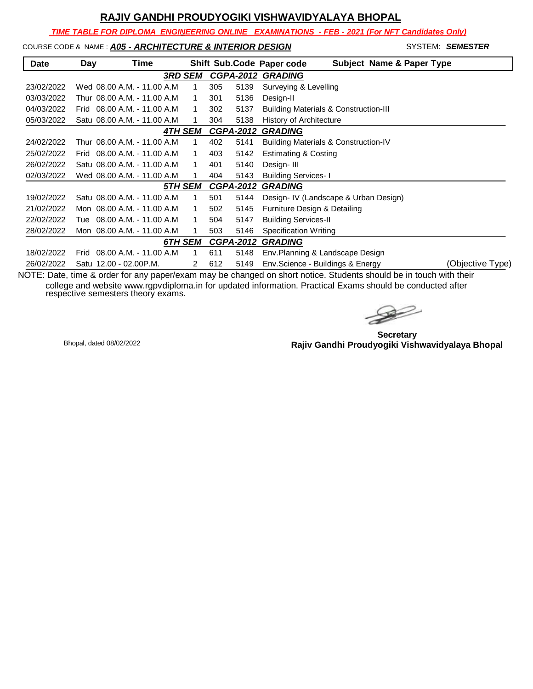*TIME TABLE FOR DIPLOMA ENGINEERING ONLINE EXAMINATIONS - FEB - 2021 (For NFT Candidates Only)*

#### COURSE CODE & NAME : *A05 - ARCHITECTURE & INTERIOR DESIGN* - SYSTEM: *SEMESTER*

| <b>Date</b> | Day  | Time                         |                |   |                  |      | <b>Subject Name &amp; Paper Type</b><br>Shift Sub.Code Paper code |
|-------------|------|------------------------------|----------------|---|------------------|------|-------------------------------------------------------------------|
|             |      |                              | 3RD SEM        |   |                  |      | <b>CGPA-2012 GRADING</b>                                          |
| 23/02/2022  |      | Wed 08.00 A.M. - 11.00 A.M   |                | 1 | 305              | 5139 | Surveying & Levelling                                             |
| 03/03/2022  |      | Thur 08.00 A.M. - 11.00 A.M  |                | 1 | 301              | 5136 | Design-II                                                         |
| 04/03/2022  | Frid | 08.00 A.M. - 11.00 A.M       |                | 1 | 302              | 5137 | <b>Building Materials &amp; Construction-III</b>                  |
| 05/03/2022  |      | Satu 08.00 A.M. - 11.00 A.M. |                | 1 | 304              | 5138 | <b>History of Architecture</b>                                    |
|             |      |                              | 4TH SEM        |   | <b>CGPA-2012</b> |      | <b>GRADING</b>                                                    |
| 24/02/2022  |      | Thur 08.00 A.M. - 11.00 A.M. |                | 1 | 402              | 5141 | Building Materials & Construction-IV                              |
| 25/02/2022  | Frid | 08.00 A.M. - 11.00 A.M       |                | 1 | 403              | 5142 | <b>Estimating &amp; Costing</b>                                   |
| 26/02/2022  |      | Satu 08.00 A.M. - 11.00 A.M. |                | 1 | 401              | 5140 | Design-III                                                        |
| 02/03/2022  |      | Wed 08.00 A.M. - 11.00 A.M   |                | 1 | 404              | 5143 | <b>Building Services-I</b>                                        |
|             |      |                              | 5TH SEM        |   | <b>CGPA-2012</b> |      | <b>GRADING</b>                                                    |
| 19/02/2022  |      | Satu 08.00 A.M. - 11.00 A.M. |                | 1 | 501              | 5144 | Design- IV (Landscape & Urban Design)                             |
| 21/02/2022  |      | Mon 08.00 A.M. - 11.00 A.M   |                | 1 | 502              | 5145 | Furniture Design & Detailing                                      |
| 22/02/2022  | Tue  | 08.00 A.M. - 11.00 A.M       |                | 1 | 504              | 5147 | <b>Building Services-II</b>                                       |
| 28/02/2022  |      | Mon 08.00 A.M. - 11.00 A.M   |                | 1 | 503              | 5146 | Specification Writing                                             |
|             |      |                              | <b>6TH SEM</b> |   | <b>CGPA-2012</b> |      | <b>GRADING</b>                                                    |
| 18/02/2022  | Frid | 08.00 A.M. - 11.00 A.M       |                | 1 | 611              | 5148 | Env. Planning & Landscape Design                                  |
| 26/02/2022  |      | Satu 12.00 - 02.00 P.M.      |                | 2 | 612              | 5149 | (Objective Type)<br>Env.Science - Buildings & Energy              |

 $\mathbb{Z}$ 

**Secretary Rajiv Gandhi Proudyogiki Vishwavidyalaya Bhopal** Bhopal, dated 08/02/2022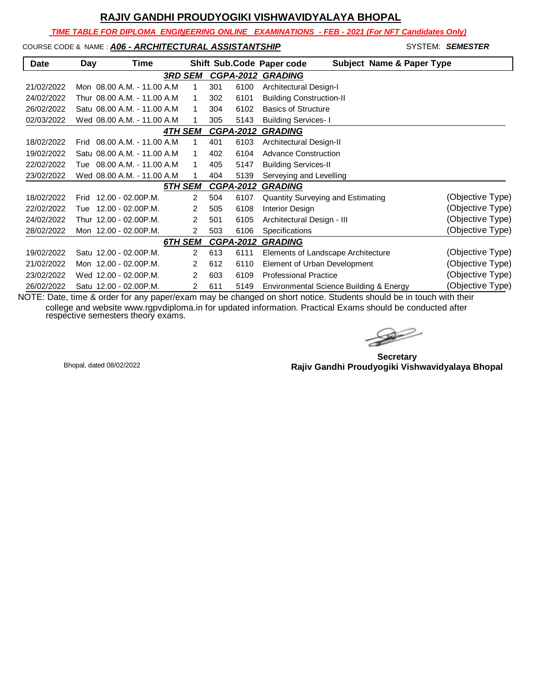*TIME TABLE FOR DIPLOMA ENGINEERING ONLINE EXAMINATIONS - FEB - 2021 (For NFT Candidates Only)*

# COURSE CODE & NAME : **A06 - ARCHITECTURAL ASSISTANTSHIP** SYSTEM: **SEMESTER**

| Date       | Day  | Time                         |                |                |                  |      | <b>Subject Name &amp; Paper Type</b><br>Shift Sub.Code Paper code |                  |
|------------|------|------------------------------|----------------|----------------|------------------|------|-------------------------------------------------------------------|------------------|
|            |      |                              |                |                |                  |      |                                                                   |                  |
|            |      |                              | <b>3RD SEM</b> |                |                  |      | <b>CGPA-2012 GRADING</b>                                          |                  |
| 21/02/2022 |      | Mon 08.00 A.M. - 11.00 A.M.  |                | 1              | 301              | 6100 | Architectural Design-I                                            |                  |
| 24/02/2022 |      | Thur 08.00 A.M. - 11.00 A.M  |                | 1              | 302              | 6101 | <b>Building Construction-II</b>                                   |                  |
| 26/02/2022 |      | Satu 08.00 A.M. - 11.00 A.M. |                | 1              | 304              | 6102 | <b>Basics of Structure</b>                                        |                  |
| 02/03/2022 |      | Wed 08.00 A.M. - 11.00 A.M.  |                | 1              | 305              | 5143 | <b>Building Services-I</b>                                        |                  |
|            |      |                              | <b>4TH SEM</b> |                | <b>CGPA-2012</b> |      | <b>GRADING</b>                                                    |                  |
| 18/02/2022 | Frid | $08.00 A.M. - 11.00 A.M$     |                | 1              | 401              | 6103 | Architectural Design-II                                           |                  |
| 19/02/2022 |      | Satu 08.00 A.M. - 11.00 A.M. |                | 1              | 402              | 6104 | <b>Advance Construction</b>                                       |                  |
| 22/02/2022 |      | Tue 08.00 A.M. - 11.00 A.M   |                | 1              | 405              | 5147 | <b>Building Services-II</b>                                       |                  |
| 23/02/2022 |      | Wed 08.00 A.M. - 11.00 A.M.  |                | 1              | 404              | 5139 | Serveying and Levelling                                           |                  |
|            |      |                              | 5TH SEM        |                | <b>CGPA-2012</b> |      | <b>GRADING</b>                                                    |                  |
| 18/02/2022 | Frid | 12.00 - 02.00P.M.            |                | $\overline{2}$ | 504              | 6107 | Quantity Surveying and Estimating                                 | (Objective Type) |
| 22/02/2022 | Tue  | 12.00 - 02.00P.M.            |                | 2              | 505              | 6108 | Interior Design                                                   | (Objective Type) |
| 24/02/2022 |      | Thur 12.00 - 02.00P.M.       |                | 2              | 501              | 6105 | Architectural Design - III                                        | (Objective Type) |
| 28/02/2022 |      | Mon 12.00 - 02.00 P.M.       |                | 2              | 503              | 6106 | Specifications                                                    | (Objective Type) |
|            |      |                              | 6TH SEM        |                | <b>CGPA-2012</b> |      | <b>GRADING</b>                                                    |                  |
| 19/02/2022 |      | Satu 12.00 - 02.00P.M.       |                | 2              | 613              | 6111 | Elements of Landscape Architecture                                | (Objective Type) |
| 21/02/2022 |      | Mon 12.00 - 02.00 P.M.       |                | 2              | 612              | 6110 | Element of Urban Development                                      | (Objective Type) |
| 23/02/2022 |      | Wed 12.00 - 02.00 P.M.       |                | 2              | 603              | 6109 | <b>Professional Practice</b>                                      | (Objective Type) |
| 26/02/2022 |      | Satu 12.00 - 02.00 P.M.      |                | 2              | 611              | 5149 | Environmental Science Building & Energy                           | (Objective Type) |

 $\rightarrow$ 

**Secretary Rajiv Gandhi Proudyogiki Vishwavidyalaya Bhopal** Bhopal, dated 08/02/2022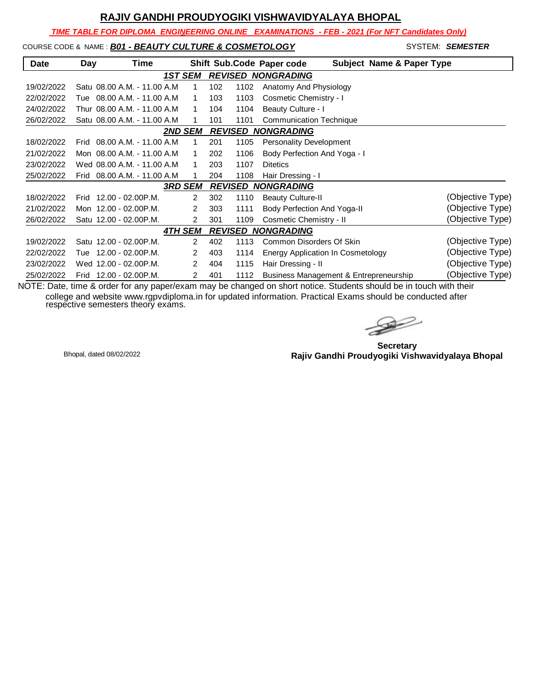*TIME TABLE FOR DIPLOMA ENGINEERING ONLINE EXAMINATIONS - FEB - 2021 (For NFT Candidates Only)*

# COURSE CODE & NAME : *B01 - BEAUTY CULTURE & COSMETOLOGY* SYSTEM: **SEMESTER**

| <b>Date</b> | Day  | Time                         |                |                |             | Shift Sub.Code Paper code                | <b>Subject Name &amp; Paper Type</b> |                  |
|-------------|------|------------------------------|----------------|----------------|-------------|------------------------------------------|--------------------------------------|------------------|
|             |      |                              | <b>1ST SEM</b> |                |             | <b>REVISED NONGRADING</b>                |                                      |                  |
| 19/02/2022  |      | Satu 08.00 A.M. - 11.00 A.M  |                | 1              | 102<br>1102 | Anatomy And Physiology                   |                                      |                  |
| 22/02/2022  | Tue  | 08.00 A.M. - 11.00 A.M       |                | 1              | 1103<br>103 | Cosmetic Chemistry - I                   |                                      |                  |
| 24/02/2022  |      | Thur 08.00 A.M. - 11.00 A.M  |                | 1              | 104<br>1104 | Beauty Culture - I                       |                                      |                  |
| 26/02/2022  |      | Satu 08.00 A.M. - 11.00 A.M. |                |                | 101<br>1101 | <b>Communication Technique</b>           |                                      |                  |
|             |      |                              | <b>2ND SEM</b> |                |             | <b>REVISED NONGRADING</b>                |                                      |                  |
| 18/02/2022  | Frid | 08.00 A.M. - 11.00 A.M.      |                | 1              | 201<br>1105 | <b>Personality Development</b>           |                                      |                  |
| 21/02/2022  |      | Mon 08.00 A.M. - 11.00 A.M   |                | 1              | 202<br>1106 | Body Perfection And Yoga - I             |                                      |                  |
| 23/02/2022  |      | Wed 08.00 A.M. - 11.00 A.M.  |                | $\mathbf{1}$   | 203<br>1107 | <b>Ditetics</b>                          |                                      |                  |
| 25/02/2022  | Frid | 08.00 A.M. - 11.00 A.M.      |                | 1              | 1108<br>204 | Hair Dressing - I                        |                                      |                  |
|             |      |                              | <b>3RD SEM</b> |                |             | <b>REVISED NONGRADING</b>                |                                      |                  |
| 18/02/2022  | Frid | 12.00 - 02.00P.M.            |                | 2              | 302<br>1110 | <b>Beauty Culture-II</b>                 |                                      | (Objective Type) |
| 21/02/2022  |      | Mon 12.00 - 02.00 P.M.       |                | 2              | 303<br>1111 | Body Perfection And Yoga-II              |                                      | (Objective Type) |
| 26/02/2022  |      | Satu 12.00 - 02.00 P.M.      |                | 2              | 1109<br>301 | Cosmetic Chemistry - II                  |                                      | (Objective Type) |
|             |      |                              | <b>4TH SEM</b> |                |             | <b>REVISED NONGRADING</b>                |                                      |                  |
| 19/02/2022  |      | Satu 12.00 - 02.00 P.M.      |                | $\overline{2}$ | 402<br>1113 | Common Disorders Of Skin                 |                                      | (Objective Type) |
| 22/02/2022  | Tue  | 12.00 - 02.00P.M.            |                | $\overline{2}$ | 403<br>1114 | <b>Energy Application In Cosmetology</b> |                                      | (Objective Type) |
| 23/02/2022  |      | Wed 12.00 - 02.00P.M.        |                | 2              | 1115<br>404 | Hair Dressing - II                       |                                      | (Objective Type) |
| 25/02/2022  | Frid | 12.00 - 02.00P.M.            |                | 2              | 401<br>1112 | Business Management & Entrepreneurship   |                                      | (Objective Type) |

 $\rightarrow$ 

**Secretary Rajiv Gandhi Proudyogiki Vishwavidyalaya Bhopal** Bhopal, dated 08/02/2022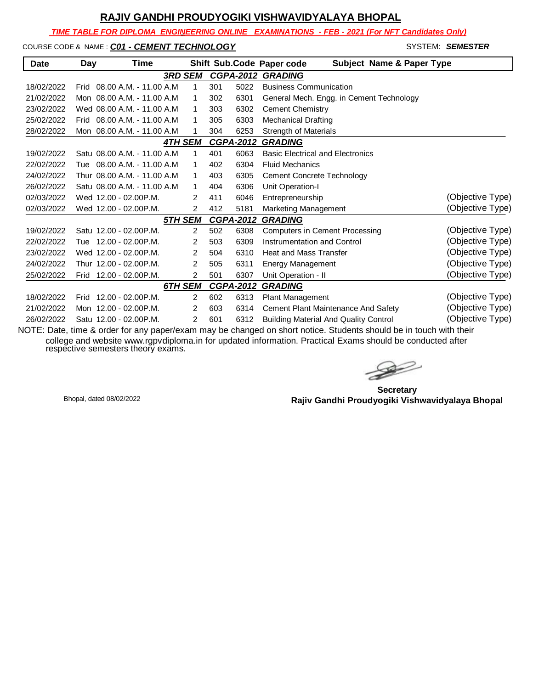*TIME TABLE FOR DIPLOMA ENGINEERING ONLINE EXAMINATIONS - FEB - 2021 (For NFT Candidates Only)*

#### COURSE CODE & NAME : **CO1 - CEMENT TECHNOLOGY SYSTEM: SEMESTER**

| <b>Date</b> | Day  | Time                         |                |     |                  | <b>Subject Name &amp; Paper Type</b><br>Shift Sub.Code Paper code |                  |
|-------------|------|------------------------------|----------------|-----|------------------|-------------------------------------------------------------------|------------------|
|             |      | <b>3RD SEM</b>               |                |     | <b>CGPA-2012</b> | <b>GRADING</b>                                                    |                  |
| 18/02/2022  | Frid | 08.00 A.M. - 11.00 A.M       | 1              | 301 | 5022             | <b>Business Communication</b>                                     |                  |
| 21/02/2022  |      | Mon 08.00 A.M. - 11.00 A.M.  | 1              | 302 | 6301             | General Mech. Engg. in Cement Technology                          |                  |
| 23/02/2022  |      | Wed 08.00 A.M. - 11.00 A.M.  | 1              | 303 | 6302             | <b>Cement Chemistry</b>                                           |                  |
| 25/02/2022  | Frid | 08.00 A.M. - 11.00 A.M.      | 1              | 305 | 6303             | <b>Mechanical Drafting</b>                                        |                  |
| 28/02/2022  |      | Mon 08.00 A.M. - 11.00 A.M   | 1              | 304 | 6253             | <b>Strength of Materials</b>                                      |                  |
|             |      | <b>4TH SEM</b>               |                |     | <b>CGPA-2012</b> | <b>GRADING</b>                                                    |                  |
| 19/02/2022  |      | Satu 08.00 A.M. - 11.00 A.M  | 1              | 401 | 6063             | <b>Basic Electrical and Electronics</b>                           |                  |
| 22/02/2022  |      | Tue 08.00 A.M. - 11.00 A.M.  | 1              | 402 | 6304             | <b>Fluid Mechanics</b>                                            |                  |
| 24/02/2022  |      | Thur 08.00 A.M. - 11.00 A.M. | 1              | 403 | 6305             | <b>Cement Concrete Technology</b>                                 |                  |
| 26/02/2022  |      | Satu 08.00 A.M. - 11.00 A.M. | 1              | 404 | 6306             | Unit Operation-I                                                  |                  |
| 02/03/2022  |      | Wed 12.00 - 02.00 P.M.       | 2              | 411 | 6046             | Entrepreneurship                                                  | (Objective Type) |
| 02/03/2022  |      | Wed 12.00 - 02.00 P.M.       | 2              | 412 | 5181             | Marketing Management                                              | (Objective Type) |
|             |      | 5TH SEM                      |                |     | <b>CGPA-2012</b> | <b>GRADING</b>                                                    |                  |
| 19/02/2022  |      | Satu 12.00 - 02.00 P.M.      | 2              | 502 | 6308             | <b>Computers in Cement Processing</b>                             | (Objective Type) |
| 22/02/2022  | Tue  | 12.00 - 02.00P.M.            | 2              | 503 | 6309             | Instrumentation and Control                                       | (Objective Type) |
| 23/02/2022  |      | Wed 12.00 - 02.00 P.M.       | 2              | 504 | 6310             | <b>Heat and Mass Transfer</b>                                     | (Objective Type) |
| 24/02/2022  |      | Thur 12.00 - 02.00P.M.       | 2              | 505 | 6311             | Energy Management                                                 | (Objective Type) |
| 25/02/2022  |      | Frid 12.00 - 02.00 P.M.      | $\overline{2}$ | 501 | 6307             | Unit Operation - II                                               | (Objective Type) |
|             |      | 6TH SEM                      |                |     | <b>CGPA-2012</b> | <b>GRADING</b>                                                    |                  |
| 18/02/2022  | Frid | 12.00 - 02.00P.M.            | $\overline{2}$ | 602 | 6313             | Plant Management                                                  | (Objective Type) |
| 21/02/2022  |      | Mon 12.00 - 02.00 P.M.       | 2              | 603 | 6314             | Cement Plant Maintenance And Safety                               | (Objective Type) |
| 26/02/2022  |      | Satu 12.00 - 02.00 P.M.      | 2              | 601 | 6312             | <b>Building Material And Quality Control</b>                      | (Objective Type) |

 $\rightarrow$ 

**Secretary Rajiv Gandhi Proudyogiki Vishwavidyalaya Bhopal** Bhopal, dated 08/02/2022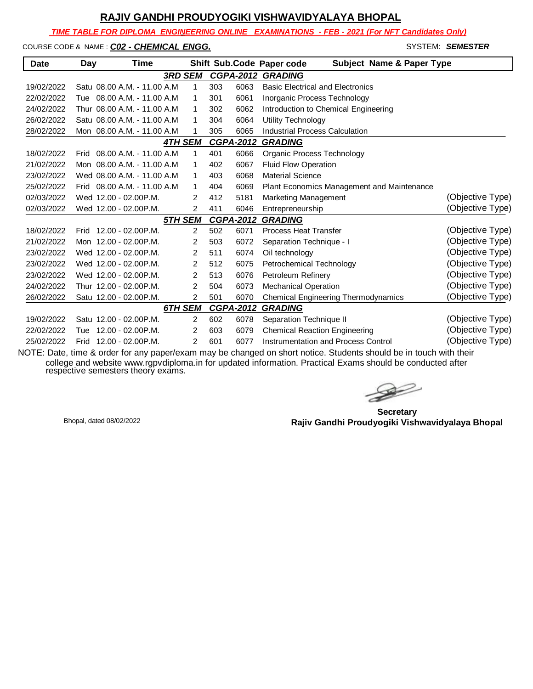*TIME TABLE FOR DIPLOMA ENGINEERING ONLINE EXAMINATIONS - FEB - 2021 (For NFT Candidates Only)*

COURSE CODE & NAME : **CO2 - CHEMICAL ENGG.** And the state of the system: **Semester** 

| <b>Date</b>         | Day | Time                         |                |     |                  | Shift Sub.Code Paper code<br><b>Subject Name &amp; Paper Type</b> |                  |
|---------------------|-----|------------------------------|----------------|-----|------------------|-------------------------------------------------------------------|------------------|
|                     |     |                              | <b>3RD SEM</b> |     |                  | <b>CGPA-2012 GRADING</b>                                          |                  |
| 19/02/2022          |     | Satu 08.00 A.M. - 11.00 A.M. | 1              | 303 | 6063             | <b>Basic Electrical and Electronics</b>                           |                  |
| 22/02/2022          |     | Tue 08.00 A.M. - 11.00 A.M   | 1              | 301 | 6061             | Inorganic Process Technology                                      |                  |
| 24/02/2022          |     | Thur 08.00 A.M. - 11.00 A.M. | 1              | 302 | 6062             | Introduction to Chemical Engineering                              |                  |
| 26/02/2022          |     | Satu 08.00 A.M. - 11.00 A.M. | 1              | 304 | 6064             | Utility Technology                                                |                  |
| 28/02/2022          |     | Mon 08.00 A.M. - 11.00 A.M.  | 1              | 305 | 6065             | <b>Industrial Process Calculation</b>                             |                  |
|                     |     |                              | <b>4TH SEM</b> |     | <b>CGPA-2012</b> | <b>GRADING</b>                                                    |                  |
| 18/02/2022          |     | Frid 08.00 A.M. - 11.00 A.M. | 1              | 401 | 6066             | Organic Process Technology                                        |                  |
| 21/02/2022          |     | Mon 08.00 A.M. - 11.00 A.M   | 1              | 402 | 6067             | <b>Fluid Flow Operation</b>                                       |                  |
| 23/02/2022          |     | Wed 08.00 A.M. - 11.00 A.M.  | $\mathbf{1}$   | 403 | 6068             | <b>Material Science</b>                                           |                  |
| 25/02/2022          |     | Frid 08.00 A.M. - 11.00 A.M. | 1              | 404 | 6069             | Plant Economics Management and Maintenance                        |                  |
| 02/03/2022          |     | Wed 12.00 - 02.00 P.M.       | 2              | 412 | 5181             | Marketing Management                                              | (Objective Type) |
| 02/03/2022          |     | Wed 12.00 - 02.00P.M.        | 2              | 411 | 6046             | Entrepreneurship                                                  | (Objective Type) |
|                     |     |                              | <b>5TH SEM</b> |     | <b>CGPA-2012</b> | <b>GRADING</b>                                                    |                  |
| 18/02/2022          |     | Frid 12.00 - 02.00P.M.       | $\overline{2}$ | 502 | 6071             | <b>Process Heat Transfer</b>                                      | (Objective Type) |
| 21/02/2022          |     | Mon 12.00 - 02.00 P.M.       | 2              | 503 | 6072             | Separation Technique - I                                          | (Objective Type) |
| 23/02/2022          |     | Wed 12.00 - 02.00P.M.        | 2              | 511 | 6074             | Oil technology                                                    | (Objective Type) |
| 23/02/2022          |     | Wed 12.00 - 02.00P.M.        | 2              | 512 | 6075             | Petrochemical Technology                                          | (Objective Type) |
| 23/02/2022          |     | Wed 12.00 - 02.00 P.M.       | 2              | 513 | 6076             | Petroleum Refinery                                                | (Objective Type) |
| 24/02/2022          |     | Thur 12.00 - 02.00P.M.       | $\overline{2}$ | 504 | 6073             | <b>Mechanical Operation</b>                                       | (Objective Type) |
| 26/02/2022          |     | Satu 12.00 - 02.00 P.M.      | $\overline{2}$ | 501 | 6070             | Chemical Engineering Thermodynamics                               | (Objective Type) |
|                     |     |                              | 6TH SEM        |     | <b>CGPA-2012</b> | <b>GRADING</b>                                                    |                  |
| 19/02/2022          |     | Satu 12.00 - 02.00 P.M.      | 2              | 602 | 6078             | Separation Technique II                                           | (Objective Type) |
| 22/02/2022          | Tue | 12.00 - 02.00P.M.            | 2              | 603 | 6079             | <b>Chemical Reaction Engineering</b>                              | (Objective Type) |
| 25/02/2022<br>--- - |     | Frid 12.00 - 02.00 P.M.      | $\overline{2}$ | 601 | 6077             | <b>Instrumentation and Process Control</b>                        | (Objective Type) |

 $\rightarrow$ 

**Secretary Rajiv Gandhi Proudyogiki Vishwavidyalaya Bhopal** Bhopal, dated 08/02/2022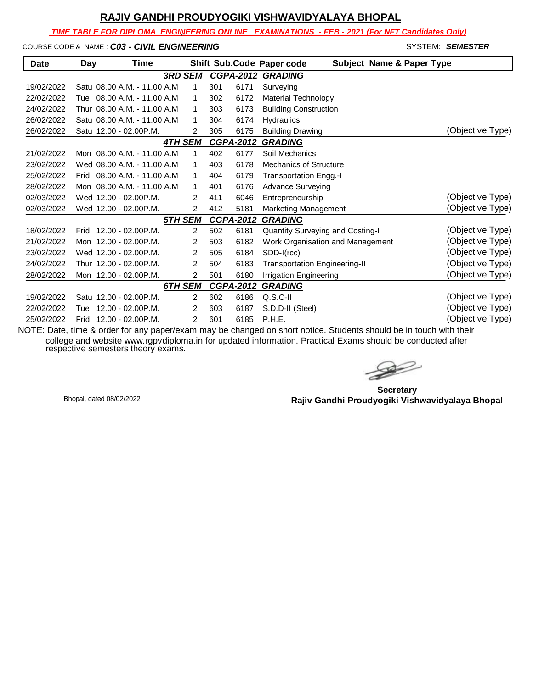*TIME TABLE FOR DIPLOMA ENGINEERING ONLINE EXAMINATIONS - FEB - 2021 (For NFT Candidates Only)*

COURSE CODE & NAME : **CO3 - CIVIL ENGINEERING** And the state of the system: **SEMESTER** 

| <b>Date</b> | Day  | Time                         |                |     |                  | <b>Subject Name &amp; Paper Type</b><br>Shift Sub.Code Paper code |                  |
|-------------|------|------------------------------|----------------|-----|------------------|-------------------------------------------------------------------|------------------|
|             |      | <b>3RD SEM</b>               |                |     | <b>CGPA-2012</b> | <b>GRADING</b>                                                    |                  |
| 19/02/2022  |      | Satu 08.00 A.M. - 11.00 A.M. | 1              | 301 | 6171             | Surveying                                                         |                  |
| 22/02/2022  | Tue  | 08.00 A.M. - 11.00 A.M       | 1              | 302 | 6172             | <b>Material Technology</b>                                        |                  |
| 24/02/2022  |      | Thur 08.00 A.M. - 11.00 A.M. | 1              | 303 | 6173             | <b>Building Construction</b>                                      |                  |
| 26/02/2022  |      | Satu 08.00 A.M. - 11.00 A.M. | 1              | 304 | 6174             | Hydraulics                                                        |                  |
| 26/02/2022  |      | Satu 12.00 - 02.00 P.M.      | 2              | 305 | 6175             | <b>Building Drawing</b>                                           | (Objective Type) |
|             |      | <b>4TH SEM</b>               |                |     | <b>CGPA-2012</b> | <b>GRADING</b>                                                    |                  |
| 21/02/2022  |      | Mon 08.00 A.M. - 11.00 A.M   | 1              | 402 | 6177             | Soil Mechanics                                                    |                  |
| 23/02/2022  |      | Wed 08.00 A.M. - 11.00 A.M   | 1              | 403 | 6178             | <b>Mechanics of Structure</b>                                     |                  |
| 25/02/2022  | Frid | 08.00 A.M. - 11.00 A.M.      | $\mathbf{1}$   | 404 | 6179             | Transportation Engg.-I                                            |                  |
| 28/02/2022  |      | Mon 08.00 A.M. - 11.00 A.M.  | 1              | 401 | 6176             | <b>Advance Surveying</b>                                          |                  |
| 02/03/2022  |      | Wed 12.00 - 02.00 P.M.       | 2              | 411 | 6046             | Entrepreneurship                                                  | (Objective Type) |
| 02/03/2022  |      | Wed 12.00 - 02.00P.M.        | $\overline{2}$ | 412 | 5181             | Marketing Management                                              | (Objective Type) |
|             |      | 5TH SEM                      |                |     | <b>CGPA-2012</b> | <b>GRADING</b>                                                    |                  |
| 18/02/2022  | Frid | 12.00 - 02.00P.M.            | 2              | 502 | 6181             | Quantity Surveying and Costing-I                                  | (Objective Type) |
| 21/02/2022  |      | Mon 12.00 - 02.00 P.M.       | 2              | 503 | 6182             | Work Organisation and Management                                  | (Objective Type) |
| 23/02/2022  |      | Wed 12.00 - 02.00 P.M.       | 2              | 505 | 6184             | SDD-I(rcc)                                                        | (Objective Type) |
| 24/02/2022  |      | Thur 12.00 - 02.00P.M.       | 2              | 504 | 6183             | <b>Transportation Engineering-II</b>                              | (Objective Type) |
| 28/02/2022  |      | Mon 12.00 - 02.00 P.M.       | 2              | 501 | 6180             | <b>Irrigation Engineering</b>                                     | (Objective Type) |
|             |      | 6TH SEM                      |                |     | <b>CGPA-2012</b> | <b>GRADING</b>                                                    |                  |
| 19/02/2022  |      | Satu 12.00 - 02.00 P.M.      | $\overline{2}$ | 602 | 6186             | $Q.S.C-II$                                                        | (Objective Type) |
| 22/02/2022  | Tue  | 12.00 - 02.00P.M.            | 2              | 603 | 6187             | S.D.D-II (Steel)                                                  | (Objective Type) |
| 25/02/2022  | Frid | 12.00 - 02.00P.M.            | 2              | 601 | 6185             | P.H.E.                                                            | (Objective Type) |

 $\rightarrow$ 

**Secretary Rajiv Gandhi Proudyogiki Vishwavidyalaya Bhopal** Bhopal, dated 08/02/2022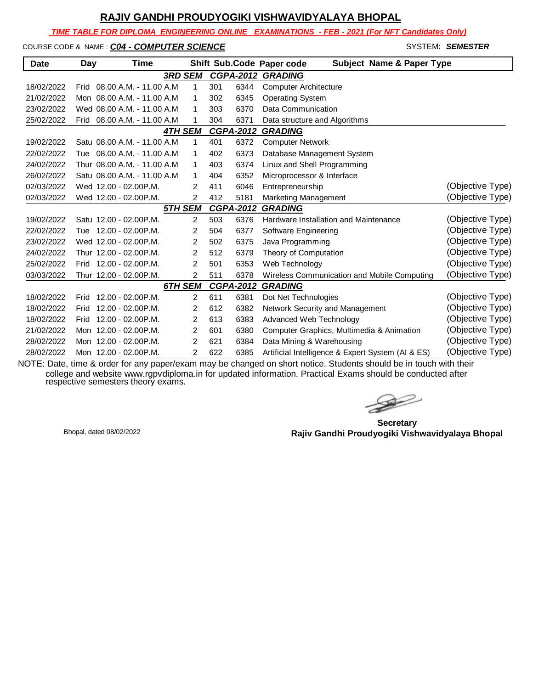*TIME TABLE FOR DIPLOMA ENGINEERING ONLINE EXAMINATIONS - FEB - 2021 (For NFT Candidates Only)*

COURSE CODE & NAME : **CO4 - COMPUTER SCIENCE** And the set of state states in the system: **SEMESTER** 

| <b>Date</b> | Day  | <b>Time</b>                  |                |     |                  | <b>Subject Name &amp; Paper Type</b><br>Shift Sub.Code Paper code |                  |
|-------------|------|------------------------------|----------------|-----|------------------|-------------------------------------------------------------------|------------------|
|             |      | <b>3RD SEM</b>               |                |     |                  | <b>CGPA-2012 GRADING</b>                                          |                  |
| 18/02/2022  | Frid | 08.00 A.M. - 11.00 A.M       | 1              | 301 | 6344             | <b>Computer Architecture</b>                                      |                  |
| 21/02/2022  |      | Mon 08.00 A.M. - 11.00 A.M   | 1              | 302 | 6345             | <b>Operating System</b>                                           |                  |
| 23/02/2022  |      | Wed 08.00 A.M. - 11.00 A.M   | 1              | 303 | 6370             | Data Communication                                                |                  |
| 25/02/2022  |      | Frid 08.00 A.M. - 11.00 A.M. | 1              | 304 | 6371             | Data structure and Algorithms                                     |                  |
|             |      | <b>4TH SEM</b>               |                |     | <b>CGPA-2012</b> | <b>GRADING</b>                                                    |                  |
| 19/02/2022  |      | Satu 08.00 A.M. - 11.00 A.M. | 1              | 401 | 6372             | <b>Computer Network</b>                                           |                  |
| 22/02/2022  |      | Tue 08.00 A.M. - 11.00 A.M   | 1              | 402 | 6373             | Database Management System                                        |                  |
| 24/02/2022  |      | Thur 08.00 A.M. - 11.00 A.M  | 1              | 403 | 6374             | Linux and Shell Programming                                       |                  |
| 26/02/2022  |      | Satu 08.00 A.M. - 11.00 A.M. | 1              | 404 | 6352             | Microprocessor & Interface                                        |                  |
| 02/03/2022  |      | Wed 12.00 - 02.00 P.M.       | 2              | 411 | 6046             | Entrepreneurship                                                  | (Objective Type) |
| 02/03/2022  |      | Wed 12.00 - 02.00P.M.        | 2              | 412 | 5181             | Marketing Management                                              | (Objective Type) |
|             |      | 5TH SEM                      |                |     | <b>CGPA-2012</b> | <b>GRADING</b>                                                    |                  |
| 19/02/2022  |      | Satu 12.00 - 02.00 P.M.      | $\overline{2}$ | 503 | 6376             | Hardware Installation and Maintenance                             | (Objective Type) |
| 22/02/2022  |      | Tue 12.00 - 02.00 P.M.       | 2              | 504 | 6377             | Software Engineering                                              | (Objective Type) |
| 23/02/2022  |      | Wed 12.00 - 02.00 P.M.       | 2              | 502 | 6375             | Java Programming                                                  | (Objective Type) |
| 24/02/2022  |      | Thur 12.00 - 02.00P.M.       | 2              | 512 | 6379             | Theory of Computation                                             | (Objective Type) |
| 25/02/2022  |      | Frid 12.00 - 02.00 P.M.      | $\overline{2}$ | 501 | 6353             | Web Technology                                                    | (Objective Type) |
| 03/03/2022  |      | Thur 12.00 - 02.00P.M.       | $\overline{2}$ | 511 | 6378             | Wireless Communication and Mobile Computing                       | (Objective Type) |
|             |      | 6TH SEM                      |                |     | <b>CGPA-2012</b> | <b>GRADING</b>                                                    |                  |
| 18/02/2022  | Frid | 12.00 - 02.00P.M.            | 2              | 611 | 6381             | Dot Net Technologies                                              | (Objective Type) |
| 18/02/2022  | Frid | $12.00 - 02.00$ P.M.         | $\overline{2}$ | 612 | 6382             | Network Security and Management                                   | (Objective Type) |
| 18/02/2022  | Frid | 12.00 - 02.00P.M.            | 2              | 613 | 6383             | Advanced Web Technology                                           | (Objective Type) |
| 21/02/2022  |      | Mon 12.00 - 02.00 P.M.       | 2              | 601 | 6380             | Computer Graphics, Multimedia & Animation                         | (Objective Type) |
| 28/02/2022  |      | Mon 12.00 - 02.00 P.M.       | 2              | 621 | 6384             | Data Mining & Warehousing                                         | (Objective Type) |
| 28/02/2022  |      | Mon 12.00 - 02.00 P.M.       | $\overline{2}$ | 622 | 6385             | Artificial Intelligence & Expert System (AI & ES)                 | (Objective Type) |

**Secretary Rajiv Gandhi Proudyogiki Vishwavidyalaya Bhopal** Bhopal, dated 08/02/2022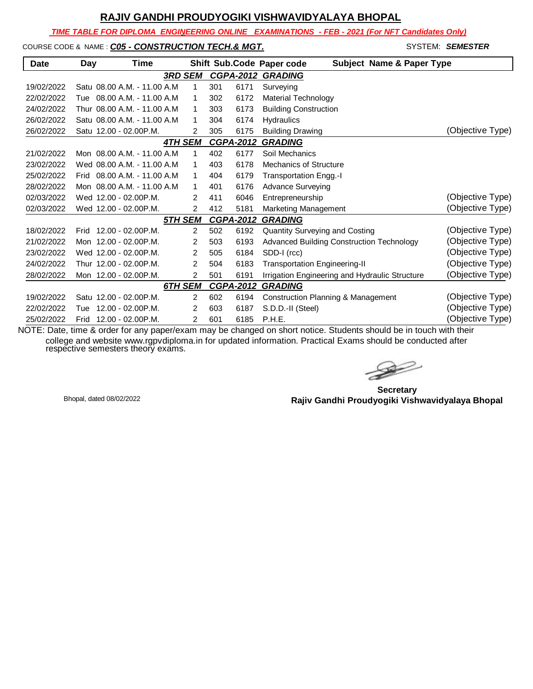*TIME TABLE FOR DIPLOMA ENGINEERING ONLINE EXAMINATIONS - FEB - 2021 (For NFT Candidates Only)*

#### COURSE CODE & NAME : **CO5 - CONSTRUCTION TECH.& MGT.** And the state of the system: **SEMESTER**

| <b>Date</b> | Day  | Time                         |                |                |     |                  | Shift Sub.Code Paper code<br><b>Subject Name &amp; Paper Type</b> |                  |
|-------------|------|------------------------------|----------------|----------------|-----|------------------|-------------------------------------------------------------------|------------------|
|             |      |                              | <b>3RD SEM</b> |                |     |                  | <b>CGPA-2012 GRADING</b>                                          |                  |
| 19/02/2022  |      | Satu 08.00 A.M. - 11.00 A.M. |                | 1              | 301 | 6171             | Surveying                                                         |                  |
| 22/02/2022  | Tue  | 08.00 A.M. - 11.00 A.M.      |                | 1              | 302 | 6172             | Material Technology                                               |                  |
| 24/02/2022  |      | Thur 08.00 A.M. - 11.00 A.M. |                | 1              | 303 | 6173             | <b>Building Construction</b>                                      |                  |
| 26/02/2022  |      | Satu 08.00 A.M. - 11.00 A.M. |                | 1              | 304 | 6174             | <b>Hydraulics</b>                                                 |                  |
| 26/02/2022  |      | Satu 12.00 - 02.00 P.M.      |                | 2              | 305 | 6175             | <b>Building Drawing</b>                                           | (Objective Type) |
|             |      |                              | <b>4TH SEM</b> |                |     | CGPA-2012        | <b>GRADING</b>                                                    |                  |
| 21/02/2022  |      | Mon 08.00 A.M. - 11.00 A.M   |                | 1              | 402 | 6177             | Soil Mechanics                                                    |                  |
| 23/02/2022  |      | Wed 08.00 A.M. - 11.00 A.M   |                | 1              | 403 | 6178             | Mechanics of Structure                                            |                  |
| 25/02/2022  | Frid | 08.00 A.M. - 11.00 A.M.      |                | 1              | 404 | 6179             | Transportation Engg.-I                                            |                  |
| 28/02/2022  |      | Mon 08.00 A.M. - 11.00 A.M   |                | 1              | 401 | 6176             | <b>Advance Surveying</b>                                          |                  |
| 02/03/2022  |      | Wed 12.00 - 02.00 P.M.       |                | $\mathcal{P}$  | 411 | 6046             | Entrepreneurship                                                  | (Objective Type) |
| 02/03/2022  |      | Wed 12.00 - 02.00 P.M.       |                | $\overline{2}$ | 412 | 5181             | Marketing Management                                              | (Objective Type) |
|             |      |                              | 5TH SEM        |                |     | <b>CGPA-2012</b> | <b>GRADING</b>                                                    |                  |
| 18/02/2022  |      | Frid 12.00 - 02.00P.M.       |                | $\overline{2}$ | 502 | 6192             | <b>Quantity Surveying and Costing</b>                             | (Objective Type) |
| 21/02/2022  |      | Mon 12.00 - 02.00 P.M.       |                | 2              | 503 | 6193             | <b>Advanced Building Construction Technology</b>                  | (Objective Type) |
| 23/02/2022  |      | Wed 12.00 - 02.00P.M.        |                | 2              | 505 | 6184             | SDD-I (rcc)                                                       | (Objective Type) |
| 24/02/2022  |      | Thur 12.00 - 02.00P.M.       |                | 2              | 504 | 6183             | <b>Transportation Engineering-II</b>                              | (Objective Type) |
| 28/02/2022  |      | Mon 12.00 - 02.00 P.M.       |                | 2              | 501 | 6191             | Irrigation Engineering and Hydraulic Structure                    | (Objective Type) |
|             |      |                              | 6TH SEM        |                |     | <b>CGPA-2012</b> | <b>GRADING</b>                                                    |                  |
| 19/02/2022  |      | Satu 12.00 - 02.00 P.M.      |                | $\overline{2}$ | 602 | 6194             | <b>Construction Planning &amp; Management</b>                     | (Objective Type) |
| 22/02/2022  | Tue  | 12.00 - 02.00P.M.            |                | 2              | 603 | 6187             | S.D.D.-II (Steel)                                                 | (Objective Type) |
| 25/02/2022  | Frid | 12.00 - 02.00P.M.            |                | $\overline{2}$ | 601 | 6185             | P.H.E.                                                            | (Objective Type) |

 $\gg$ 

**Secretary Rajiv Gandhi Proudyogiki Vishwavidyalaya Bhopal** Bhopal, dated 08/02/2022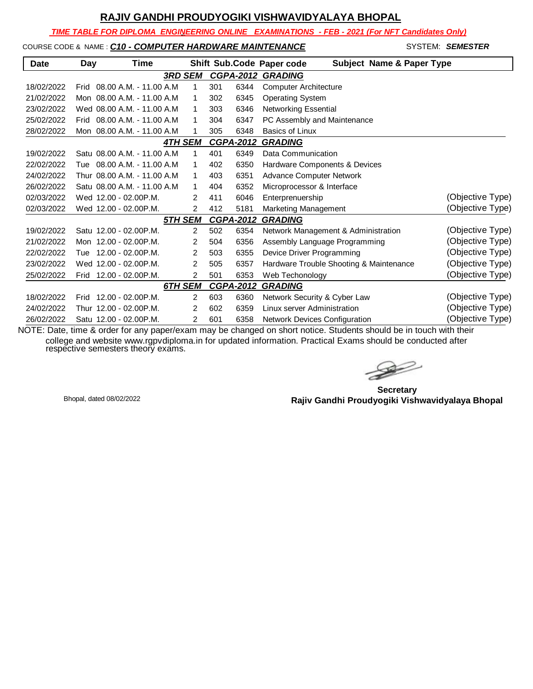*TIME TABLE FOR DIPLOMA ENGINEERING ONLINE EXAMINATIONS - FEB - 2021 (For NFT Candidates Only)*

#### COURSE CODE & NAME : *C10 - COMPUTER HARDWARE MAINTENANCE* - SYSTEM: *SEMESTER*

| <b>Date</b> | Day  | Time                         |                |                  |      | Shift Sub.Code Paper code<br><b>Subject Name &amp; Paper Type</b> |                  |
|-------------|------|------------------------------|----------------|------------------|------|-------------------------------------------------------------------|------------------|
|             |      |                              | <b>3RD SEM</b> |                  |      | <b>CGPA-2012 GRADING</b>                                          |                  |
| 18/02/2022  | Frid | 08.00 A.M. - 11.00 A.M       | 1              | 301              | 6344 | <b>Computer Architecture</b>                                      |                  |
| 21/02/2022  |      | Mon 08.00 A.M. - 11.00 A.M   | 1              | 302              | 6345 | <b>Operating System</b>                                           |                  |
| 23/02/2022  |      | Wed 08.00 A.M. - 11.00 A.M.  | 1              | 303              | 6346 | <b>Networking Essential</b>                                       |                  |
| 25/02/2022  | Frid | 08.00 A.M. - 11.00 A.M.      | 1              | 304              | 6347 | PC Assembly and Maintenance                                       |                  |
| 28/02/2022  |      | Mon 08.00 A.M. - 11.00 A.M   | 1              | 305              | 6348 | <b>Basics of Linux</b>                                            |                  |
|             |      |                              | <b>4TH SEM</b> | <b>CGPA-2012</b> |      | <b>GRADING</b>                                                    |                  |
| 19/02/2022  |      | Satu 08.00 A.M. - 11.00 A.M. | 1              | 401              | 6349 | Data Communication                                                |                  |
| 22/02/2022  |      | Tue 08.00 A.M. - 11.00 A.M.  | 1              | 402              | 6350 | Hardware Components & Devices                                     |                  |
| 24/02/2022  |      | Thur 08.00 A.M. - 11.00 A.M. | 1              | 403              | 6351 | <b>Advance Computer Network</b>                                   |                  |
| 26/02/2022  |      | Satu 08.00 A.M. - 11.00 A.M. | 1              | 404              | 6352 | Microprocessor & Interface                                        |                  |
| 02/03/2022  |      | Wed 12.00 - 02.00 P.M.       | 2              | 411              | 6046 | Enterprenuership                                                  | (Objective Type) |
| 02/03/2022  |      | Wed 12.00 - 02.00P.M.        | $\overline{2}$ | 412              | 5181 | Marketing Management                                              | (Objective Type) |
|             |      |                              | 5TH SEM        | <b>CGPA-2012</b> |      | <b>GRADING</b>                                                    |                  |
| 19/02/2022  |      | Satu 12.00 - 02.00P.M.       | $\overline{2}$ | 502              | 6354 | Network Management & Administration                               | (Objective Type) |
| 21/02/2022  |      | Mon 12.00 - 02.00 P.M.       | 2              | 504              | 6356 | Assembly Language Programming                                     | (Objective Type) |
| 22/02/2022  | Tue  | 12.00 - 02.00P.M.            | $\overline{2}$ | 503              | 6355 | Device Driver Programming                                         | (Objective Type) |
| 23/02/2022  |      | Wed 12.00 - 02.00 P.M.       | 2              | 505              | 6357 | Hardware Trouble Shooting & Maintenance                           | (Objective Type) |
| 25/02/2022  |      | Frid 12.00 - 02.00 P.M.      | $\overline{2}$ | 501              | 6353 | Web Techonology                                                   | (Objective Type) |
|             |      |                              | 6TH SEM        | <b>CGPA-2012</b> |      | <b>GRADING</b>                                                    |                  |
| 18/02/2022  | Frid | 12.00 - 02.00P.M.            | $\overline{2}$ | 603              | 6360 | Network Security & Cyber Law                                      | (Objective Type) |
| 24/02/2022  |      | Thur 12.00 - 02.00P.M.       | 2              | 602              | 6359 | Linux server Administration                                       | (Objective Type) |
| 26/02/2022  |      | Satu 12.00 - 02.00P.M.       | 2              | 601              | 6358 | <b>Network Devices Configuration</b>                              | (Objective Type) |

 $\gg$ 

**Secretary Rajiv Gandhi Proudyogiki Vishwavidyalaya Bhopal** Bhopal, dated 08/02/2022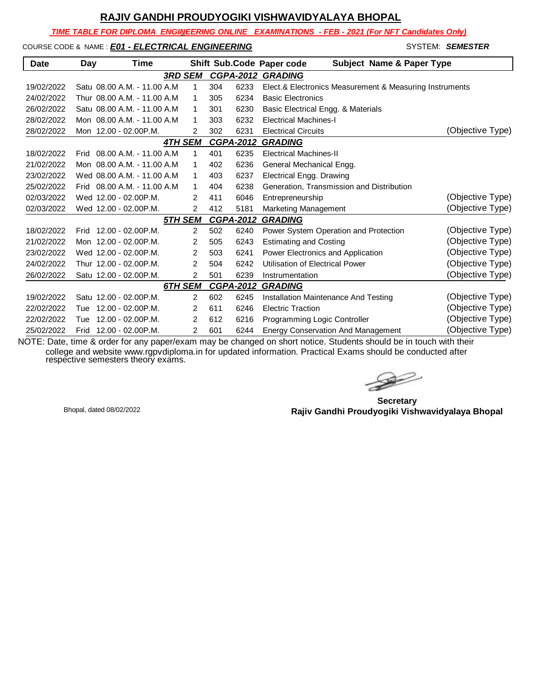*TIME TABLE FOR DIPLOMA ENGINEERING ONLINE EXAMINATIONS - FEB - 2021 (For NFT Candidates Only)*

#### COURSE CODE & NAME : *E01 - ELECTRICAL ENGINEERING* And the system: **Semester**

| <b>Date</b> | Day  | Time                         |                |                |     |                  | Shift Sub.Code Paper code<br><b>Subject Name &amp; Paper Type</b> |                  |
|-------------|------|------------------------------|----------------|----------------|-----|------------------|-------------------------------------------------------------------|------------------|
|             |      |                              | <b>3RD SEM</b> |                |     | <b>CGPA-2012</b> | <b>GRADING</b>                                                    |                  |
| 19/02/2022  |      | Satu 08.00 A.M. - 11.00 A.M. |                | 1              | 304 | 6233             | Elect.& Electronics Measurement & Measuring Instruments           |                  |
| 24/02/2022  |      | Thur 08.00 A.M. - 11.00 A.M  |                | 1              | 305 | 6234             | <b>Basic Electronics</b>                                          |                  |
| 26/02/2022  |      | Satu 08.00 A.M. - 11.00 A.M. |                | 1              | 301 | 6230             | Basic Electrical Engg. & Materials                                |                  |
| 28/02/2022  |      | Mon 08.00 A.M. - 11.00 A.M.  |                | 1              | 303 | 6232             | <b>Electrical Machines-I</b>                                      |                  |
| 28/02/2022  |      | Mon 12.00 - 02.00P.M.        |                | $\overline{2}$ | 302 | 6231             | <b>Electrical Circuits</b>                                        | (Objective Type) |
|             |      |                              | <b>4TH SEM</b> |                |     | <b>CGPA-2012</b> | <b>GRADING</b>                                                    |                  |
| 18/02/2022  |      | Frid 08.00 A.M. - 11.00 A.M. |                | 1              | 401 | 6235             | <b>Electrical Machines-II</b>                                     |                  |
| 21/02/2022  |      | Mon 08.00 A.M. - 11.00 A.M   |                | 1              | 402 | 6236             | General Mechanical Engg.                                          |                  |
| 23/02/2022  |      | Wed 08.00 A.M. - 11.00 A.M   |                | 1              | 403 | 6237             | <b>Electrical Engg. Drawing</b>                                   |                  |
| 25/02/2022  | Frid | 08.00 A.M. - 11.00 A.M.      |                | 1              | 404 | 6238             | Generation. Transmission and Distribution                         |                  |
| 02/03/2022  |      | Wed 12.00 - 02.00 P.M.       |                | 2              | 411 | 6046             | Entrepreneurship                                                  | (Objective Type) |
| 02/03/2022  |      | Wed 12.00 - 02.00P.M.        |                | $\overline{2}$ | 412 | 5181             | Marketing Management                                              | (Objective Type) |
|             |      |                              | 5TH SEM        |                |     | <b>CGPA-2012</b> | <b>GRADING</b>                                                    |                  |
| 18/02/2022  |      | Frid 12.00 - 02.00 P.M.      |                | $\overline{2}$ | 502 | 6240             | Power System Operation and Protection                             | (Objective Type) |
| 21/02/2022  |      | Mon 12.00 - 02.00P.M.        |                | 2              | 505 | 6243             | <b>Estimating and Costing</b>                                     | (Objective Type) |
| 23/02/2022  |      | Wed 12.00 - 02.00P.M.        |                | $\overline{2}$ | 503 | 6241             | Power Electronics and Application                                 | (Objective Type) |
| 24/02/2022  |      | Thur 12.00 - 02.00P.M.       |                | $\overline{2}$ | 504 | 6242             | Utilisation of Electrical Power                                   | (Objective Type) |
| 26/02/2022  |      | Satu 12.00 - 02.00 P.M.      |                | $\overline{2}$ | 501 | 6239             | Instrumentation                                                   | (Objective Type) |
|             |      |                              | <b>6TH SEM</b> |                |     | <b>CGPA-2012</b> | <b>GRADING</b>                                                    |                  |
| 19/02/2022  |      | Satu 12.00 - 02.00 P.M.      |                | $\overline{2}$ | 602 | 6245             | Installation Maintenance And Testing                              | (Objective Type) |
| 22/02/2022  | Tue  | 12.00 - 02.00P.M.            |                | 2              | 611 | 6246             | <b>Electric Traction</b>                                          | (Objective Type) |
| 22/02/2022  | Tue  | 12.00 - 02.00P.M.            |                | 2              | 612 | 6216             | Programming Logic Controller                                      | (Objective Type) |
| 25/02/2022  | Frid | 12.00 - 02.00P.M.            |                | 2              | 601 | 6244             | <b>Energy Conservation And Management</b>                         | (Objective Type) |

**Secretary Rajiv Gandhi Proudyogiki Vishwavidyalaya Bhopal** Bhopal, dated 08/02/2022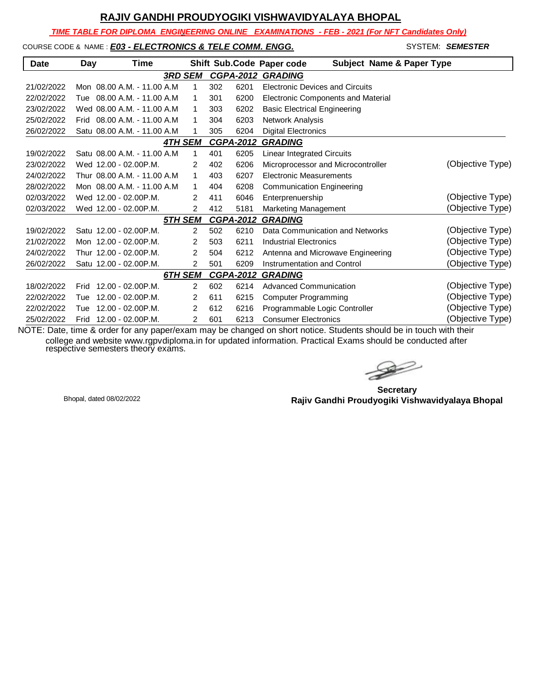*TIME TABLE FOR DIPLOMA ENGINEERING ONLINE EXAMINATIONS - FEB - 2021 (For NFT Candidates Only)*

#### COURSE CODE & NAME : **E03 - ELECTRONICS & TELE COMM. ENGG.**

| SYSTEM: SEMESTER |
|------------------|
|                  |

| <b>Date</b> | Day  | Time                         |                |     |                  | Shift Sub.Code Paper code<br><b>Subject Name &amp; Paper Type</b> |                  |
|-------------|------|------------------------------|----------------|-----|------------------|-------------------------------------------------------------------|------------------|
|             |      |                              | <b>3RD SEM</b> |     | <b>CGPA-2012</b> | <b>GRADING</b>                                                    |                  |
| 21/02/2022  |      | Mon 08.00 A.M. - 11.00 A.M.  | 1              | 302 | 6201             | <b>Electronic Devices and Circuits</b>                            |                  |
| 22/02/2022  | Tue  | 08.00 A.M. - 11.00 A.M       | $\mathbf{1}$   | 301 | 6200             | <b>Electronic Components and Material</b>                         |                  |
| 23/02/2022  |      | Wed 08.00 A.M. - 11.00 A.M   | 1              | 303 | 6202             | <b>Basic Electrical Engineering</b>                               |                  |
| 25/02/2022  | Frid | 08.00 A.M. - 11.00 A.M       | 1              | 304 | 6203             | Network Analysis                                                  |                  |
| 26/02/2022  |      | Satu 08.00 A.M. - 11.00 A.M. | 1              | 305 | 6204             | <b>Digital Electronics</b>                                        |                  |
|             |      |                              | <b>4TH SEM</b> |     | <b>CGPA-2012</b> | <b>GRADING</b>                                                    |                  |
| 19/02/2022  |      | Satu 08.00 A.M. - 11.00 A.M. | 1              | 401 | 6205             | <b>Linear Integrated Circuits</b>                                 |                  |
| 23/02/2022  |      | Wed 12.00 - 02.00 P.M.       | $\overline{2}$ | 402 | 6206             | Microprocessor and Microcontroller                                | (Objective Type) |
| 24/02/2022  |      | Thur 08.00 A.M. - 11.00 A.M  | 1              | 403 | 6207             | Electronic Measurements                                           |                  |
| 28/02/2022  |      | Mon 08.00 A.M. - 11.00 A.M   | 1              | 404 | 6208             | <b>Communication Engineering</b>                                  |                  |
| 02/03/2022  |      | Wed 12.00 - 02.00 P.M.       | $\overline{2}$ | 411 | 6046             | Enterprenuership                                                  | (Objective Type) |
| 02/03/2022  |      | Wed 12.00 - 02.00 P.M.       | $\overline{2}$ | 412 | 5181             | Marketing Management                                              | (Objective Type) |
|             |      |                              | 5TH SEM        |     | <b>CGPA-2012</b> | <b>GRADING</b>                                                    |                  |
| 19/02/2022  |      | Satu 12.00 - 02.00 P.M.      | $\overline{2}$ | 502 | 6210             | Data Communication and Networks                                   | (Objective Type) |
| 21/02/2022  |      | Mon 12.00 - 02.00 P.M.       | $\overline{2}$ | 503 | 6211             | <b>Industrial Electronics</b>                                     | (Objective Type) |
| 24/02/2022  |      | Thur 12.00 - 02.00P.M.       | $\overline{2}$ | 504 | 6212             | Antenna and Microwave Engineering                                 | (Objective Type) |
| 26/02/2022  |      | Satu 12.00 - 02.00 P.M.      | $\overline{2}$ | 501 | 6209             | Instrumentation and Control                                       | (Objective Type) |
|             |      |                              | 6TH SEM        |     | <b>CGPA-2012</b> | <b>GRADING</b>                                                    |                  |
| 18/02/2022  | Frid | 12.00 - 02.00P.M.            | $\overline{2}$ | 602 | 6214             | <b>Advanced Communication</b>                                     | (Objective Type) |
| 22/02/2022  | Tue  | $12.00 - 02.00$ P.M.         | 2              | 611 | 6215             | <b>Computer Programming</b>                                       | (Objective Type) |
| 22/02/2022  | Tue  | $12.00 - 02.00$ P.M.         | 2              | 612 | 6216             | Programmable Logic Controller                                     | (Objective Type) |
| 25/02/2022  | Frid | $12.00 - 02.00$ P.M.         | 2              | 601 | 6213             | <b>Consumer Electronics</b>                                       | (Objective Type) |

 $\rightarrow$ 

**Secretary Rajiv Gandhi Proudyogiki Vishwavidyalaya Bhopal** Bhopal, dated 08/02/2022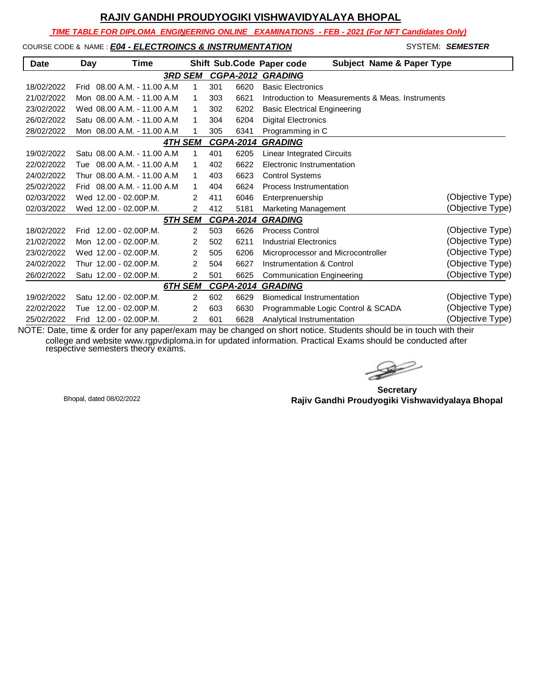*TIME TABLE FOR DIPLOMA ENGINEERING ONLINE EXAMINATIONS - FEB - 2021 (For NFT Candidates Only)*

#### COURSE CODE & NAME : *E04 - ELECTROINCS & INSTRUMENTATION* SYSTEM: SEMESTER

| <b>Date</b> | Day  | Time                         |                |     |                  | Shift Sub.Code Paper code<br><b>Subject Name &amp; Paper Type</b> |                  |
|-------------|------|------------------------------|----------------|-----|------------------|-------------------------------------------------------------------|------------------|
|             |      |                              | <b>3RD SEM</b> |     | <b>CGPA-2012</b> | <b>GRADING</b>                                                    |                  |
| 18/02/2022  | Frid | 08.00 A.M. - 11.00 A.M.      | 1              | 301 | 6620             | <b>Basic Electronics</b>                                          |                  |
| 21/02/2022  |      | Mon 08.00 A.M. - 11.00 A.M   | 1              | 303 | 6621             | Introduction to Measurements & Meas, Instruments                  |                  |
| 23/02/2022  |      | Wed 08.00 A.M. - 11.00 A.M   | 1              | 302 | 6202             | <b>Basic Electrical Engineering</b>                               |                  |
| 26/02/2022  |      | Satu 08.00 A.M. - 11.00 A.M. | 1              | 304 | 6204             | <b>Digital Electronics</b>                                        |                  |
| 28/02/2022  |      | Mon 08.00 A.M. - 11.00 A.M.  | 1              | 305 | 6341             | Programming in C                                                  |                  |
|             |      |                              | <b>4TH SEM</b> |     | <b>CGPA-2014</b> | <b>GRADING</b>                                                    |                  |
| 19/02/2022  |      | Satu 08.00 A.M. - 11.00 A.M. | 1              | 401 | 6205             | Linear Integrated Circuits                                        |                  |
| 22/02/2022  | Tue  | 08.00 A.M. - 11.00 A.M.      | 1              | 402 | 6622             | Electronic Instrumentation                                        |                  |
| 24/02/2022  |      | Thur 08.00 A.M. - 11.00 A.M. | 1              | 403 | 6623             | <b>Control Systems</b>                                            |                  |
| 25/02/2022  | Frid | 08.00 A.M. - 11.00 A.M.      | 1              | 404 | 6624             | Process Instrumentation                                           |                  |
| 02/03/2022  |      | Wed 12.00 - 02.00 P.M.       | 2              | 411 | 6046             | Enterprenuership                                                  | (Objective Type) |
| 02/03/2022  |      | Wed 12.00 - 02.00P.M.        | 2              | 412 | 5181             | Marketing Management                                              | (Objective Type) |
|             |      |                              | 5TH SEM        |     | <b>CGPA-2014</b> | <b>GRADING</b>                                                    |                  |
| 18/02/2022  | Frid | 12.00 - 02.00P.M.            | $\overline{2}$ | 503 | 6626             | <b>Process Control</b>                                            | (Objective Type) |
| 21/02/2022  |      | Mon 12.00 - 02.00 P.M.       | 2              | 502 | 6211             | <b>Industrial Electronics</b>                                     | (Objective Type) |
| 23/02/2022  |      | Wed 12.00 - 02.00 P.M.       | 2              | 505 | 6206             | Microprocessor and Microcontroller                                | (Objective Type) |
| 24/02/2022  |      | Thur 12.00 - 02.00P.M.       | 2              | 504 | 6627             | <b>Instrumentation &amp; Control</b>                              | (Objective Type) |
| 26/02/2022  |      | Satu 12.00 - 02.00 P.M.      | 2              | 501 | 6625             | <b>Communication Engineering</b>                                  | (Objective Type) |
|             |      |                              | 6TH SEM        |     | <b>CGPA-2014</b> | <b>GRADING</b>                                                    |                  |
| 19/02/2022  |      | Satu 12.00 - 02.00 P.M.      | $\overline{2}$ | 602 | 6629             | <b>Biomedical Instrumentation</b>                                 | (Objective Type) |
| 22/02/2022  | Tue  | 12.00 - 02.00P.M.            | 2              | 603 | 6630             | Programmable Logic Control & SCADA                                | (Objective Type) |
| 25/02/2022  | Frid | $12.00 - 02.00$ P.M.         | 2              | 601 | 6628             | Analytical Instrumentation                                        | (Objective Type) |

 $\gg$ 

**Secretary Rajiv Gandhi Proudyogiki Vishwavidyalaya Bhopal** Bhopal, dated 08/02/2022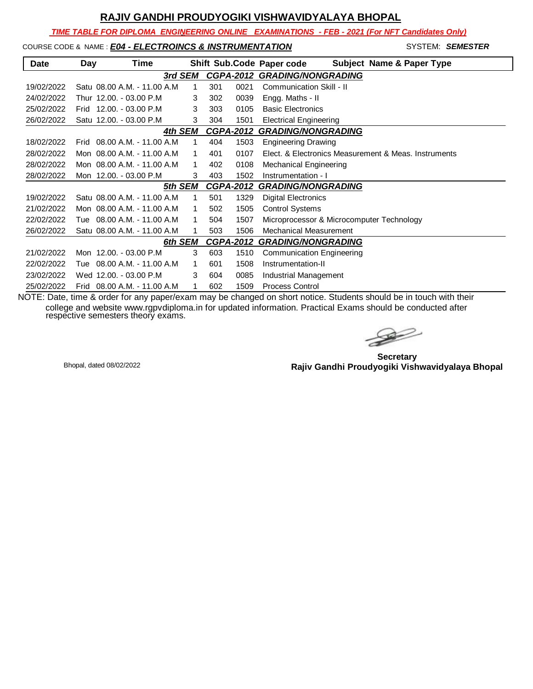*TIME TABLE FOR DIPLOMA ENGINEERING ONLINE EXAMINATIONS - FEB - 2021 (For NFT Candidates Only)*

#### COURSE CODE & NAME : *E04 - ELECTROINCS & INSTRUMENTATION* - SYSTEM: *SEMESTER*

| <b>Date</b> | Day  | Time                         |         |   |     |                  | Shift Sub.Code Paper code<br><b>Subject Name &amp; Paper Type</b> |
|-------------|------|------------------------------|---------|---|-----|------------------|-------------------------------------------------------------------|
|             |      |                              | 3rd SEM |   |     |                  | <b>CGPA-2012 GRADING/NONGRADING</b>                               |
| 19/02/2022  |      | Satu 08.00 A.M. - 11.00 A.M. |         | 1 | 301 | 0021             | Communication Skill - II                                          |
| 24/02/2022  |      | Thur 12.00. - 03.00 P.M      |         | 3 | 302 | 0039             | Engg. Maths - II                                                  |
| 25/02/2022  |      | Frid 12.00. - 03.00 P.M      |         | 3 | 303 | 0105             | <b>Basic Electronics</b>                                          |
| 26/02/2022  |      | Satu 12.00. - 03.00 P.M      |         | 3 | 304 | 1501             | <b>Electrical Engineering</b>                                     |
|             |      |                              | 4th SEM |   |     | <b>CGPA-2012</b> | <b>GRADING/NONGRADING</b>                                         |
| 18/02/2022  | Frid | 08.00 A.M. - 11.00 A.M       |         | 1 | 404 | 1503             | <b>Engineering Drawing</b>                                        |
| 28/02/2022  |      | Mon 08.00 A.M. - 11.00 A.M   |         | 1 | 401 | 0107             | Elect. & Electronics Measurement & Meas. Instruments              |
| 28/02/2022  |      | Mon 08.00 A.M. - 11.00 A.M.  |         | 1 | 402 | 0108             | <b>Mechanical Engineering</b>                                     |
| 28/02/2022  |      | Mon 12.00. - 03.00 P.M       |         | 3 | 403 | 1502             | Instrumentation - I                                               |
|             |      |                              | 5th SEM |   |     | <b>CGPA-2012</b> | <b>GRADING/NONGRADING</b>                                         |
| 19/02/2022  |      | Satu 08.00 A.M. - 11.00 A.M. |         | 1 | 501 | 1329             | <b>Digital Electronics</b>                                        |
| 21/02/2022  |      | Mon 08.00 A.M. - 11.00 A.M.  |         | 1 | 502 | 1505             | <b>Control Systems</b>                                            |
| 22/02/2022  |      | Tue  08.00 A.M. - 11.00 A.M  |         | 1 | 504 | 1507             | Microprocessor & Microcomputer Technology                         |
| 26/02/2022  |      | Satu 08.00 A.M. - 11.00 A.M. |         | 1 | 503 | 1506             | Mechanical Measurement                                            |
|             |      |                              | 6th SEM |   |     | <b>CGPA-2012</b> | <b>GRADING/NONGRADING</b>                                         |
| 21/02/2022  |      | Mon 12.00. - 03.00 P.M       |         | 3 | 603 | 1510             | Communication Engineering                                         |
| 22/02/2022  | Tue  | 08.00 A.M. - 11.00 A.M       |         | 1 | 601 | 1508             | Instrumentation-II                                                |
| 23/02/2022  |      | Wed 12.00. - 03.00 P.M       |         | 3 | 604 | 0085             | Industrial Management                                             |
| 25/02/2022  | Frid | 08.00 A.M. - 11.00 A.M       |         | 1 | 602 | 1509             | <b>Process Control</b>                                            |

NOTE: Date, time & order for any paper/exam may be changed on short notice. Students should be in touch with their college and website www.rgpvdiploma.in for updated information. Practical Exams should be conducted after respective semesters theory exams.

 $\rightarrow$ 

**Secretary Rajiv Gandhi Proudyogiki Vishwavidyalaya Bhopal** Bhopal, dated 08/02/2022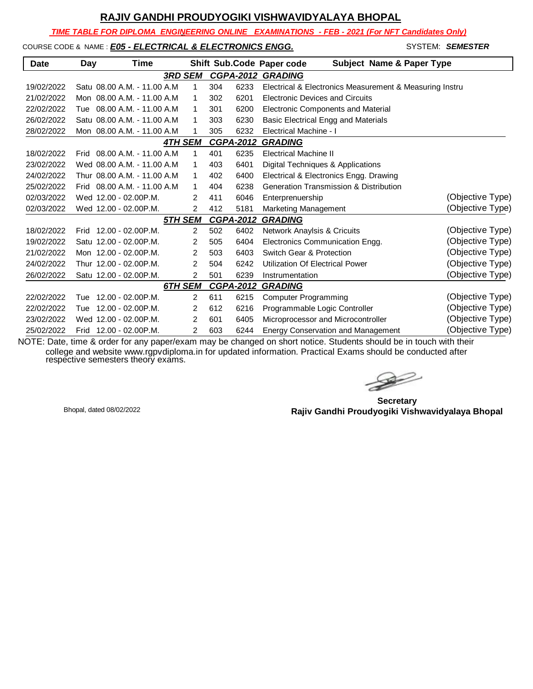*TIME TABLE FOR DIPLOMA ENGINEERING ONLINE EXAMINATIONS - FEB - 2021 (For NFT Candidates Only)*

# COURSE CODE & NAME : *E05 - ELECTRICAL & ELECTRONICS ENGG.* SYSTEM: **SEMESTER**

 $\mathsf{l}$ 

| <b>Date</b> | Day  | Time                        |                |     |                  | <b>Subject Name &amp; Paper Type</b><br>Shift Sub.Code Paper code |                  |
|-------------|------|-----------------------------|----------------|-----|------------------|-------------------------------------------------------------------|------------------|
|             |      |                             | <b>3RD SEM</b> |     |                  | <b>CGPA-2012 GRADING</b>                                          |                  |
| 19/02/2022  |      | Satu 08.00 A.M. - 11.00 A.M | 1              | 304 | 6233             | Electrical & Electronics Measurement & Measuring Instru           |                  |
| 21/02/2022  |      | Mon 08.00 A.M. - 11.00 A.M  | 1              | 302 | 6201             | <b>Electronic Devices and Circuits</b>                            |                  |
| 22/02/2022  | Tue  | 08.00 A.M. - 11.00 A.M      | 1              | 301 | 6200             | <b>Electronic Components and Material</b>                         |                  |
| 26/02/2022  |      | Satu 08.00 A.M. - 11.00 A.M | 1              | 303 | 6230             | <b>Basic Electrical Engg and Materials</b>                        |                  |
| 28/02/2022  |      | Mon 08.00 A.M. - 11.00 A.M  | 1              | 305 | 6232             | Electrical Machine - I                                            |                  |
|             |      |                             | <b>4TH SEM</b> |     | <b>CGPA-2012</b> | <b>GRADING</b>                                                    |                  |
| 18/02/2022  | Frid | 08.00 A.M. - 11.00 A.M      | 1              | 401 | 6235             | <b>Electrical Machine II</b>                                      |                  |
| 23/02/2022  |      | Wed 08.00 A.M. - 11.00 A.M  | 1              | 403 | 6401             | Digital Techniques & Applications                                 |                  |
| 24/02/2022  |      | Thur 08.00 A.M. - 11.00 A.M | 1              | 402 | 6400             | Electrical & Electronics Engg. Drawing                            |                  |
| 25/02/2022  | Frid | 08.00 A.M. - 11.00 A.M      | 1              | 404 | 6238             | <b>Generation Transmission &amp; Distribution</b>                 |                  |
| 02/03/2022  |      | Wed 12.00 - 02.00 P.M.      | 2              | 411 | 6046             | Enterprenuership                                                  | (Objective Type) |
| 02/03/2022  |      | Wed 12.00 - 02.00 P.M.      | $\overline{2}$ | 412 | 5181             | <b>Marketing Management</b>                                       | (Objective Type) |
|             |      |                             | <b>5TH SEM</b> |     | <b>CGPA-2012</b> | <b>GRADING</b>                                                    |                  |
| 18/02/2022  | Frid | 12.00 - 02.00P.M.           | $\overline{2}$ | 502 | 6402             | Network Anaylsis & Cricuits                                       | (Objective Type) |
| 19/02/2022  |      | Satu 12.00 - 02.00 P.M.     | $\overline{2}$ | 505 | 6404             | Electronics Communication Engg.                                   | (Objective Type) |
| 21/02/2022  |      | Mon 12.00 - 02.00 P.M.      | $\overline{2}$ | 503 | 6403             | Switch Gear & Protection                                          | (Objective Type) |
| 24/02/2022  |      | Thur 12.00 - 02.00P.M.      | $\overline{2}$ | 504 | 6242             | Utilization Of Electrical Power                                   | (Objective Type) |
| 26/02/2022  |      | Satu 12.00 - 02.00 P.M.     | 2              | 501 | 6239             | Instrumentation                                                   | (Objective Type) |
|             |      |                             | 6TH SEM        |     | <b>CGPA-2012</b> | <b>GRADING</b>                                                    |                  |
| 22/02/2022  | Tue  | $12.00 - 02.00$ P.M.        | $\overline{2}$ | 611 | 6215             | <b>Computer Programming</b>                                       | (Objective Type) |
| 22/02/2022  | Tue  | 12.00 - 02.00P.M.           | 2              | 612 | 6216             | Programmable Logic Controller                                     | (Objective Type) |
| 23/02/2022  |      | Wed 12.00 - 02.00 P.M.      | $\overline{2}$ | 601 | 6405             | Microprocessor and Microcontroller                                | (Objective Type) |
| 25/02/2022  | Frid | 12.00 - 02.00P.M.           | $\overline{2}$ | 603 | 6244             | <b>Energy Conservation and Management</b>                         | (Objective Type) |

**Secretary Rajiv Gandhi Proudyogiki Vishwavidyalaya Bhopal** Bhopal, dated 08/02/2022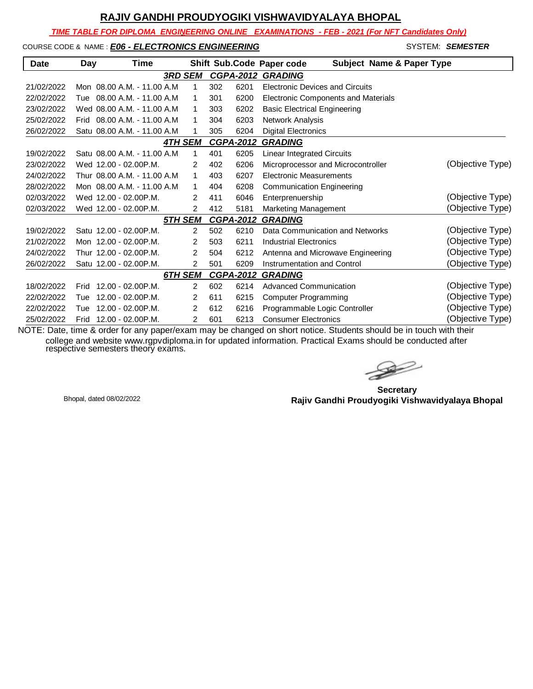*TIME TABLE FOR DIPLOMA ENGINEERING ONLINE EXAMINATIONS - FEB - 2021 (For NFT Candidates Only)*

#### COURSE CODE & NAME : *E06 - ELECTRONICS ENGINEERING* - SYSTEM: *SEMESTER*

| <b>Date</b> | Day  | Time                         |                |                |     |                  | Shift Sub.Code Paper code<br><b>Subject Name &amp; Paper Type</b> |                  |
|-------------|------|------------------------------|----------------|----------------|-----|------------------|-------------------------------------------------------------------|------------------|
|             |      |                              | <b>3RD SEM</b> |                |     | <b>CGPA-2012</b> | <b>GRADING</b>                                                    |                  |
| 21/02/2022  |      | Mon 08.00 A.M. - 11.00 A.M.  | 1              |                | 302 | 6201             | <b>Electronic Devices and Circuits</b>                            |                  |
| 22/02/2022  |      | Tue 08.00 A.M. - 11.00 A.M   | 1              |                | 301 | 6200             | <b>Electronic Components and Materials</b>                        |                  |
| 23/02/2022  |      | Wed 08.00 A.M. - 11.00 A.M.  | 1              |                | 303 | 6202             | <b>Basic Electrical Engineering</b>                               |                  |
| 25/02/2022  |      | Frid 08.00 A.M. - 11.00 A.M. | 1              |                | 304 | 6203             | Network Analysis                                                  |                  |
| 26/02/2022  |      | Satu 08.00 A.M. - 11.00 A.M  | 1              |                | 305 | 6204             | <b>Digital Electronics</b>                                        |                  |
|             |      |                              | <b>4TH SEM</b> |                |     | <b>CGPA-2012</b> | <b>GRADING</b>                                                    |                  |
| 19/02/2022  |      | Satu 08.00 A.M. - 11.00 A.M. | 1              |                | 401 | 6205             | <b>Linear Integrated Circuits</b>                                 |                  |
| 23/02/2022  |      | Wed 12.00 - 02.00 P.M.       | 2              |                | 402 | 6206             | Microprocessor and Microcontroller                                | (Objective Type) |
| 24/02/2022  |      | Thur 08.00 A.M. - 11.00 A.M. | 1              |                | 403 | 6207             | <b>Electronic Measurements</b>                                    |                  |
| 28/02/2022  |      | Mon 08.00 A.M. - 11.00 A.M.  | 1              |                | 404 | 6208             | <b>Communication Engineering</b>                                  |                  |
| 02/03/2022  |      | Wed 12.00 - 02.00 P.M.       | 2              |                | 411 | 6046             | Enterprenuership                                                  | (Objective Type) |
| 02/03/2022  |      | Wed 12.00 - 02.00P.M.        | 2              |                | 412 | 5181             | Marketing Management                                              | (Objective Type) |
|             |      |                              | <u>5TH SEM</u> |                |     | <b>CGPA-2012</b> | <b>GRADING</b>                                                    |                  |
| 19/02/2022  |      | Satu 12.00 - 02.00 P.M.      |                | $\overline{2}$ | 502 | 6210             | Data Communication and Networks                                   | (Objective Type) |
| 21/02/2022  |      | Mon 12.00 - 02.00 P.M.       | $\overline{2}$ |                | 503 | 6211             | <b>Industrial Electronics</b>                                     | (Objective Type) |
| 24/02/2022  |      | Thur 12.00 - 02.00P.M.       | $\overline{2}$ |                | 504 | 6212             | Antenna and Microwave Engineering                                 | (Objective Type) |
| 26/02/2022  |      | Satu 12.00 - 02.00 P.M.      | 2              |                | 501 | 6209             | Instrumentation and Control                                       | (Objective Type) |
|             |      |                              | 6TH SEM        |                |     | <b>CGPA-2012</b> | <b>GRADING</b>                                                    |                  |
| 18/02/2022  | Frid | 12.00 - 02.00P.M.            |                | $\overline{2}$ | 602 | 6214             | <b>Advanced Communication</b>                                     | (Objective Type) |
| 22/02/2022  | Tue  | $12.00 - 02.00$ P.M.         | 2              |                | 611 | 6215             | <b>Computer Programming</b>                                       | (Objective Type) |
| 22/02/2022  | Tue  | $12.00 - 02.00$ P.M.         | 2              |                | 612 | 6216             | Programmable Logic Controller                                     | (Objective Type) |
| 25/02/2022  |      | Frid 12.00 - 02.00 P.M.      | 2              |                | 601 | 6213             | <b>Consumer Electronics</b>                                       | (Objective Type) |

 $\gg$ 

**Secretary Rajiv Gandhi Proudyogiki Vishwavidyalaya Bhopal** Bhopal, dated 08/02/2022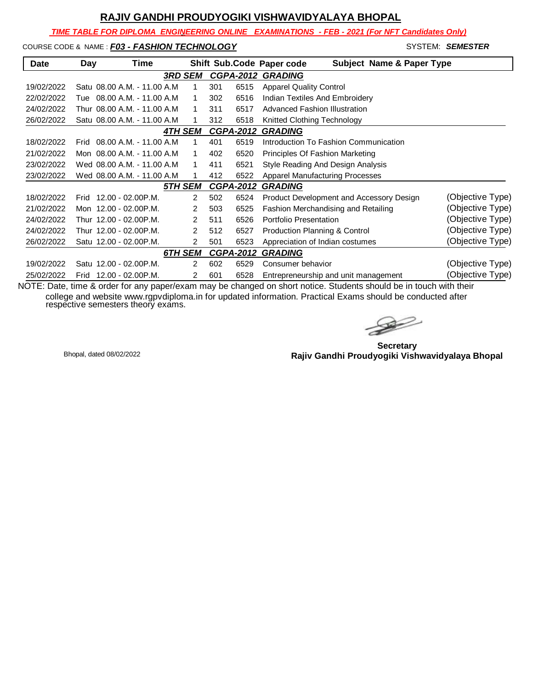*TIME TABLE FOR DIPLOMA ENGINEERING ONLINE EXAMINATIONS - FEB - 2021 (For NFT Candidates Only)*

COURSE CODE & NAME : **F03 - FASHION TECHNOLOGY SYSTEM: SEMESTER** 

| <b>Date</b> | Day  | Time                         |                |                |     |                  | <b>Subject Name &amp; Paper Type</b><br>Shift Sub.Code Paper code |                  |
|-------------|------|------------------------------|----------------|----------------|-----|------------------|-------------------------------------------------------------------|------------------|
|             |      |                              | <b>3RD SEM</b> |                |     |                  | <b>CGPA-2012 GRADING</b>                                          |                  |
| 19/02/2022  |      | Satu 08.00 A.M. - 11.00 A.M. |                | 1              | 301 | 6515             | <b>Apparel Quality Control</b>                                    |                  |
| 22/02/2022  | Tue  | 08.00 A.M. - 11.00 A.M.      |                | 1              | 302 | 6516             | Indian Textiles And Embroidery                                    |                  |
| 24/02/2022  |      | Thur 08.00 A.M. - 11.00 A.M  |                |                | 311 | 6517             | Advanced Fashion Illustration                                     |                  |
| 26/02/2022  |      | Satu 08.00 A.M. - 11.00 A.M. |                |                | 312 | 6518             | Knitted Clothing Technology                                       |                  |
|             |      |                              | <b>4TH SEM</b> |                |     | <b>CGPA-2012</b> | <b>GRADING</b>                                                    |                  |
| 18/02/2022  | Frid | 08.00 A.M. - 11.00 A.M.      |                | 1              | 401 | 6519             | Introduction To Fashion Communication                             |                  |
| 21/02/2022  |      | Mon 08.00 A.M. - 11.00 A.M.  |                | 1              | 402 | 6520             | Principles Of Fashion Marketing                                   |                  |
| 23/02/2022  |      | Wed 08.00 A.M. - 11.00 A.M.  |                |                | 411 | 6521             | Style Reading And Design Analysis                                 |                  |
| 23/02/2022  |      | Wed 08.00 A.M. - 11.00 A.M   |                | 1              | 412 | 6522             | <b>Apparel Manufacturing Processes</b>                            |                  |
|             |      |                              | 5TH SEM        |                |     | <b>CGPA-2012</b> | <b>GRADING</b>                                                    |                  |
| 18/02/2022  | Frid | 12.00 - 02.00P.M.            |                | 2              | 502 | 6524             | Product Development and Accessory Design                          | (Objective Type) |
| 21/02/2022  |      | Mon 12.00 - 02.00P.M.        |                | 2              | 503 | 6525             | Fashion Merchandising and Retailing                               | (Objective Type) |
| 24/02/2022  |      | Thur 12.00 - 02.00P.M.       |                | 2              | 511 | 6526             | Portfolio Presentation                                            | (Objective Type) |
| 24/02/2022  |      | Thur 12.00 - 02.00P.M.       |                | $\overline{2}$ | 512 | 6527             | Production Planning & Control                                     | (Objective Type) |
| 26/02/2022  |      | Satu 12.00 - 02.00 P.M.      |                | 2              | 501 | 6523             | Appreciation of Indian costumes                                   | (Objective Type) |
|             |      |                              | 6TH SEM        |                |     | <b>CGPA-2012</b> | <b>GRADING</b>                                                    |                  |
| 19/02/2022  |      | Satu 12.00 - 02.00P.M.       |                | 2              | 602 | 6529             | Consumer behavior                                                 | (Objective Type) |
| 25/02/2022  | Frid | 12.00 - 02.00P.M.            |                | 2              | 601 | 6528             | Entrepreneurship and unit management                              | (Objective Type) |

 $\rightarrow$ 

**Secretary Rajiv Gandhi Proudyogiki Vishwavidyalaya Bhopal** Bhopal, dated 08/02/2022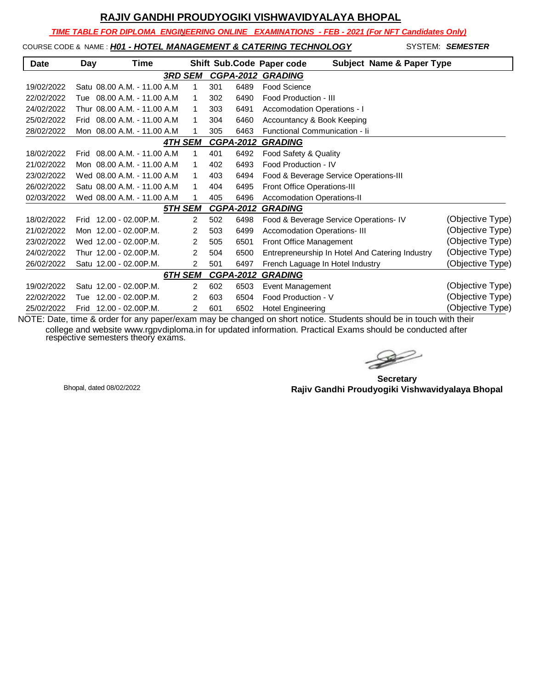*TIME TABLE FOR DIPLOMA ENGINEERING ONLINE EXAMINATIONS - FEB - 2021 (For NFT Candidates Only)*

COURSE CODE & NAME : *H01 - HOTEL MANAGEMENT & CATERING TECHNOLOGY* - SYSTEM: *SEMESTER*

| <b>Date</b> | Day  | Time                         |                |                  | Shift Sub.Code Paper code<br><b>Subject Name &amp; Paper Type</b>   |
|-------------|------|------------------------------|----------------|------------------|---------------------------------------------------------------------|
|             |      |                              | <b>3RD SEM</b> | <b>CGPA-2012</b> | <b>GRADING</b>                                                      |
| 19/02/2022  |      | Satu 08.00 A.M. - 11.00 A.M. | 1              | 6489<br>301      | Food Science                                                        |
| 22/02/2022  |      | Tue 08.00 A.M. - 11.00 A.M   | 1              | 6490<br>302      | Food Production - III                                               |
| 24/02/2022  |      | Thur 08.00 A.M. - 11.00 A.M. | 1              | 303<br>6491      | Accomodation Operations - I                                         |
| 25/02/2022  | Frid | 08.00 A.M. - 11.00 A.M       | 1              | 304<br>6460      | Accountancy & Book Keeping                                          |
| 28/02/2022  |      | Mon 08.00 A.M. - 11.00 A.M.  | 1              | 305<br>6463      | Functional Communication - Ii                                       |
|             |      |                              | <b>4TH SEM</b> | <b>CGPA-2012</b> | <b>GRADING</b>                                                      |
| 18/02/2022  |      | Frid 08.00 A.M. - 11.00 A.M. | 1              | 401<br>6492      | Food Safety & Quality                                               |
| 21/02/2022  |      | Mon 08.00 A.M. - 11.00 A.M.  | 1              | 6493<br>402      | Food Production - IV                                                |
| 23/02/2022  |      | Wed 08.00 A.M. - 11.00 A.M.  | 1              | 403<br>6494      | Food & Beverage Service Operations-III                              |
| 26/02/2022  |      | Satu 08.00 A.M. - 11.00 A.M. | 1              | 404<br>6495      | <b>Front Office Operations-III</b>                                  |
| 02/03/2022  |      | Wed 08.00 A.M. - 11.00 A.M   | 1              | 405<br>6496      | <b>Accomodation Operations-II</b>                                   |
|             |      |                              | 5TH SEM        | <b>CGPA-2012</b> | <b>GRADING</b>                                                      |
| 18/02/2022  |      | Frid 12.00 - 02.00 P.M.      | $\overline{2}$ | 502<br>6498      | (Objective Type)<br>Food & Beverage Service Operations- IV          |
| 21/02/2022  |      | Mon 12.00 - 02.00 P.M.       | 2              | 503<br>6499      | (Objective Type)<br><b>Accomodation Operations-III</b>              |
| 23/02/2022  |      | Wed 12.00 - 02.00 P.M.       | 2              | 505<br>6501      | (Objective Type)<br>Front Office Management                         |
| 24/02/2022  |      | Thur 12.00 - 02.00P.M.       | 2              | 504<br>6500      | (Objective Type)<br>Entrepreneurship In Hotel And Catering Industry |
| 26/02/2022  |      | Satu 12.00 - 02.00 P.M.      | 2              | 501<br>6497      | (Objective Type)<br>French Laguage In Hotel Industry                |
|             |      |                              | 6TH SEM        | <b>CGPA-2012</b> | <b>GRADING</b>                                                      |
| 19/02/2022  |      | Satu 12.00 - 02.00 P.M.      | $\overline{2}$ | 602<br>6503      | (Objective Type)<br>Event Management                                |
| 22/02/2022  | Tue  | 12.00 - 02.00P.M.            | 2              | 603<br>6504      | (Objective Type)<br>Food Production - V                             |
| 25/02/2022  | Frid | 12.00 - 02.00P.M.            | $\overline{2}$ | 601<br>6502      | (Objective Type)<br><b>Hotel Engineering</b>                        |

 $\rightarrow$ 

**Secretary Rajiv Gandhi Proudyogiki Vishwavidyalaya Bhopal** Bhopal, dated 08/02/2022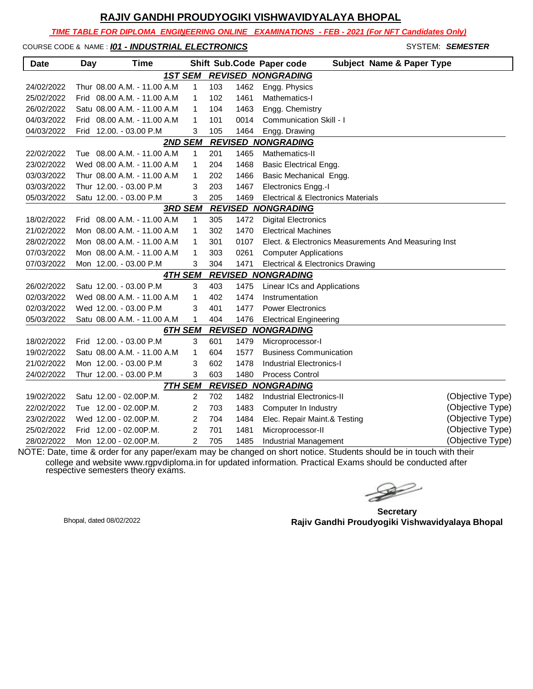*TIME TABLE FOR DIPLOMA ENGINEERING ONLINE EXAMINATIONS - FEB - 2021 (For NFT Candidates Only)*

COURSE CODE & NAME : *I01 - INDUSTRIAL ELECTRONICS* SYSTEM: SEMESTER

| <b>Date</b> | Day | Time                         |                |     |      | Shift Sub.Code Paper code<br><b>Subject Name &amp; Paper Type</b> |                  |
|-------------|-----|------------------------------|----------------|-----|------|-------------------------------------------------------------------|------------------|
|             |     | <b>1ST SEM</b>               |                |     |      | <b>REVISED NONGRADING</b>                                         |                  |
| 24/02/2022  |     | Thur 08.00 A.M. - 11.00 A.M  | 1              | 103 | 1462 | Engg. Physics                                                     |                  |
| 25/02/2022  |     | Frid 08.00 A.M. - 11.00 A.M  | 1              | 102 | 1461 | Mathematics-I                                                     |                  |
| 26/02/2022  |     | Satu 08.00 A.M. - 11.00 A.M  | 1              | 104 | 1463 | Engg. Chemistry                                                   |                  |
| 04/03/2022  |     | Frid 08.00 A.M. - 11.00 A.M  | 1              | 101 | 0014 | <b>Communication Skill - I</b>                                    |                  |
| 04/03/2022  |     | Frid 12.00. - 03.00 P.M      | 3              | 105 | 1464 | Engg. Drawing                                                     |                  |
|             |     | <b>2ND SEM</b>               |                |     |      | <b>REVISED NONGRADING</b>                                         |                  |
| 22/02/2022  |     | Tue 08.00 A.M. - 11.00 A.M.  | 1              | 201 | 1465 | Mathematics-II                                                    |                  |
| 23/02/2022  |     | Wed 08.00 A.M. - 11.00 A.M   | 1              | 204 | 1468 | <b>Basic Electrical Engg.</b>                                     |                  |
| 03/03/2022  |     | Thur 08.00 A.M. - 11.00 A.M  | 1              | 202 | 1466 | Basic Mechanical Engg.                                            |                  |
| 03/03/2022  |     | Thur 12.00. - 03.00 P.M      | 3              | 203 | 1467 | Electronics Engg.-I                                               |                  |
| 05/03/2022  |     | Satu 12.00. - 03.00 P.M      | 3              | 205 | 1469 | Electrical & Electronics Materials                                |                  |
|             |     | <b>3RD SEM</b>               |                |     |      | <b>REVISED NONGRADING</b>                                         |                  |
| 18/02/2022  |     | Frid 08.00 A.M. - 11.00 A.M. | $\mathbf 1$    | 305 | 1472 | <b>Digital Electronics</b>                                        |                  |
| 21/02/2022  |     | Mon 08.00 A.M. - 11.00 A.M   | $\mathbf{1}$   | 302 | 1470 | <b>Electrical Machines</b>                                        |                  |
| 28/02/2022  |     | Mon 08.00 A.M. - 11.00 A.M   | 1              | 301 | 0107 | Elect. & Electronics Measurements And Measuring Inst              |                  |
| 07/03/2022  |     | Mon 08.00 A.M. - 11.00 A.M   | 1              | 303 | 0261 | <b>Computer Applications</b>                                      |                  |
| 07/03/2022  |     | Mon 12.00. - 03.00 P.M       | 3              | 304 | 1471 | Electrical & Electronics Drawing                                  |                  |
|             |     | <b>4TH SEM</b>               |                |     |      | <b>REVISED NONGRADING</b>                                         |                  |
| 26/02/2022  |     | Satu 12.00. - 03.00 P.M      | 3              | 403 | 1475 | Linear ICs and Applications                                       |                  |
| 02/03/2022  |     | Wed 08.00 A.M. - 11.00 A.M   | $\mathbf{1}$   | 402 | 1474 | Instrumentation                                                   |                  |
| 02/03/2022  |     | Wed 12.00. - 03.00 P.M       | 3              | 401 | 1477 | <b>Power Electronics</b>                                          |                  |
| 05/03/2022  |     | Satu 08.00 A.M. - 11.00 A.M  | 1              | 404 | 1476 | <b>Electrical Engineering</b>                                     |                  |
|             |     | 6TH SEM                      |                |     |      | <b>REVISED NONGRADING</b>                                         |                  |
| 18/02/2022  |     | Frid 12.00. - 03.00 P.M      | 3              | 601 | 1479 | Microprocessor-I                                                  |                  |
| 19/02/2022  |     | Satu 08.00 A.M. - 11.00 A.M. | 1              | 604 | 1577 | <b>Business Communication</b>                                     |                  |
| 21/02/2022  |     | Mon 12.00. - 03.00 P.M       | 3              | 602 | 1478 | <b>Industrial Electronics-I</b>                                   |                  |
| 24/02/2022  |     | Thur 12.00. - 03.00 P.M      | 3              | 603 | 1480 | <b>Process Control</b>                                            |                  |
|             |     | <u>7TH SEM</u>               |                |     |      | <b>REVISED NONGRADING</b>                                         |                  |
| 19/02/2022  |     | Satu 12.00 - 02.00 P.M.      | 2              | 702 | 1482 | <b>Industrial Electronics-II</b>                                  | (Objective Type) |
| 22/02/2022  |     | Tue 12.00 - 02.00P.M.        | $\overline{2}$ | 703 | 1483 | Computer In Industry                                              | (Objective Type) |
| 23/02/2022  |     | Wed 12.00 - 02.00P.M.        | 2              | 704 | 1484 | Elec. Repair Maint.& Testing                                      | (Objective Type) |
| 25/02/2022  |     | Frid 12.00 - 02.00 P.M.      | 2              | 701 | 1481 | Microprocessor-II                                                 | (Objective Type) |
| 28/02/2022  |     | Mon 12.00 - 02.00P.M.        | $\mathfrak{p}$ | 705 | 1485 | Industrial Management                                             | (Objective Type) |

**Secretary Rajiv Gandhi Proudyogiki Vishwavidyalaya Bhopal** Bhopal, dated 08/02/2022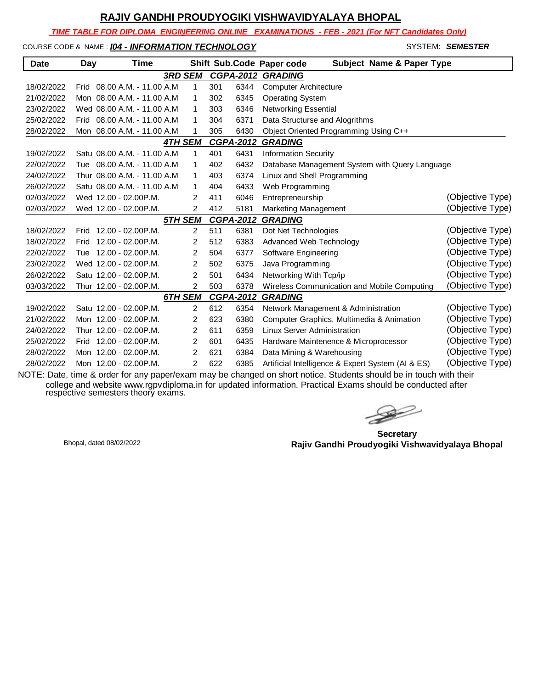*TIME TABLE FOR DIPLOMA ENGINEERING ONLINE EXAMINATIONS - FEB - 2021 (For NFT Candidates Only)*

#### COURSE CODE & NAME : *I04 - INFORMATION TECHNOLOGY* - SYSTEM: *SEMESTER*

| Date       | Day         | Time                         |                |     |                  | Shift Sub.Code Paper code<br><b>Subject Name &amp; Paper Type</b> |                  |
|------------|-------------|------------------------------|----------------|-----|------------------|-------------------------------------------------------------------|------------------|
|            |             |                              | <b>3RD SEM</b> |     | <b>CGPA-2012</b> | <b>GRADING</b>                                                    |                  |
| 18/02/2022 |             | Frid 08.00 A.M. - 11.00 A.M. | 1              | 301 | 6344             | <b>Computer Architecture</b>                                      |                  |
| 21/02/2022 |             | Mon 08.00 A.M. - 11.00 A.M.  | 1              | 302 | 6345             | <b>Operating System</b>                                           |                  |
| 23/02/2022 |             | Wed 08.00 A.M. - 11.00 A.M   | 1              | 303 | 6346             | <b>Networking Essential</b>                                       |                  |
| 25/02/2022 |             | Frid 08.00 A.M. - 11.00 A.M. | 1              | 304 | 6371             | Data Structurse and Alogrithms                                    |                  |
| 28/02/2022 |             | Mon 08.00 A.M. - 11.00 A.M   | 1              | 305 | 6430             | Object Oriented Programming Using C++                             |                  |
|            |             |                              | <b>4TH SEM</b> |     | <b>CGPA-2012</b> | <b>GRADING</b>                                                    |                  |
| 19/02/2022 |             | Satu 08.00 A.M. - 11.00 A.M. | 1              | 401 | 6431             | <b>Information Security</b>                                       |                  |
| 22/02/2022 |             | Tue 08.00 A.M. - 11.00 A.M.  | 1              | 402 | 6432             | Database Management System with Query Language                    |                  |
| 24/02/2022 |             | Thur 08.00 A.M. - 11.00 A.M. | 1              | 403 | 6374             | Linux and Shell Programming                                       |                  |
| 26/02/2022 |             | Satu 08.00 A.M. - 11.00 A.M. | 1              | 404 | 6433             | Web Programming                                                   |                  |
| 02/03/2022 |             | Wed 12.00 - 02.00 P.M.       | 2              | 411 | 6046             | Entrepreneurship                                                  | (Objective Type) |
| 02/03/2022 |             | Wed 12.00 - 02.00 P.M.       | $\overline{2}$ | 412 | 5181             | <b>Marketing Management</b>                                       | (Objective Type) |
|            |             |                              | <b>5TH SEM</b> |     | <b>CGPA-2012</b> | <b>GRADING</b>                                                    |                  |
| 18/02/2022 | <b>Frid</b> | $12.00 - 02.00$ P.M.         | 2              | 511 | 6381             | Dot Net Technologies                                              | (Objective Type) |
| 18/02/2022 | Frid        | 12.00 - 02.00P.M.            | 2              | 512 | 6383             | Advanced Web Technology                                           | (Objective Type) |
| 22/02/2022 |             | Tue 12.00 - 02.00 P.M.       | 2              | 504 | 6377             | Software Engineering                                              | (Objective Type) |
| 23/02/2022 |             | Wed 12.00 - 02.00 P.M.       | $\overline{c}$ | 502 | 6375             | Java Programming                                                  | (Objective Type) |
| 26/02/2022 |             | Satu 12.00 - 02.00P.M.       | 2              | 501 | 6434             | Networking With Tcp/ip                                            | (Objective Type) |
| 03/03/2022 |             | Thur 12.00 - 02.00P.M.       | 2              | 503 | 6378             | Wireless Communication and Mobile Computing                       | (Objective Type) |
|            |             |                              | 6TH SEM        |     | <b>CGPA-2012</b> | <b>GRADING</b>                                                    |                  |
| 19/02/2022 |             | Satu 12.00 - 02.00 P.M.      | 2              | 612 | 6354             | Network Management & Administration                               | (Objective Type) |
| 21/02/2022 |             | Mon 12.00 - 02.00 P.M.       | 2              | 623 | 6380             | Computer Graphics, Multimedia & Animation                         | (Objective Type) |
| 24/02/2022 |             | Thur 12.00 - 02.00P.M.       | $\overline{2}$ | 611 | 6359             | Linux Server Administration                                       | (Objective Type) |
| 25/02/2022 | Frid        | 12.00 - 02.00P.M.            | 2              | 601 | 6435             | Hardware Maintenence & Microprocessor                             | (Objective Type) |
| 28/02/2022 |             | Mon 12.00 - 02.00 P.M.       | 2              | 621 | 6384             | Data Mining & Warehousing                                         | (Objective Type) |
| 28/02/2022 |             | Mon 12.00 - 02.00P.M.        | 2              | 622 | 6385             | Artificial Intelligence & Expert System (AI & ES)                 | (Objective Type) |

 $\begin{picture}(120,17)(-20,17)(-20,17)(-20,17)(-20,17)(-20,17)(-20,17)(-20,17)(-20,17)(-20,17)(-20,17)(-20,17)(-20,17)(-20,17)(-20,17)(-20,17)(-20,17)(-20,17)(-20,17)(-20,17)(-20,17)(-20,17)(-20,17)(-20,17)(-20,17)(-20,17)(-20,17)(-20,17)(-20,17)(-20,17)(-20,1$ 

**Secretary Rajiv Gandhi Proudyogiki Vishwavidyalaya Bhopal** Bhopal, dated 08/02/2022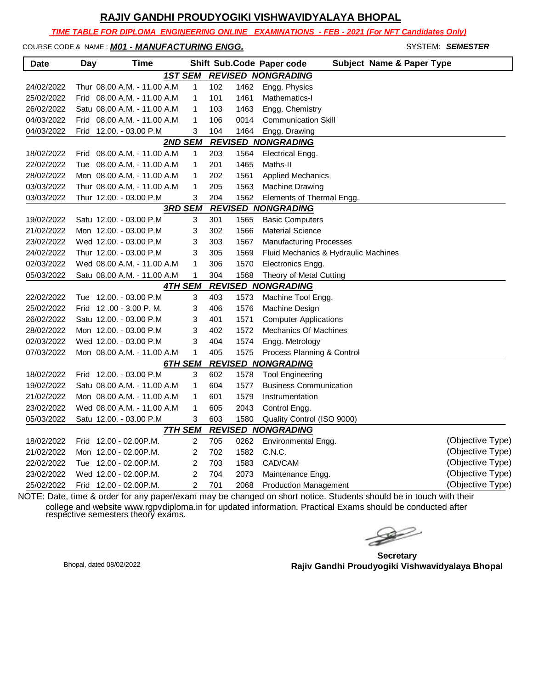*TIME TABLE FOR DIPLOMA ENGINEERING ONLINE EXAMINATIONS - FEB - 2021 (For NFT Candidates Only)*

COURSE CODE & NAME : **M01 - MANUFACTURING ENGG.** SYSTEM: SEMESTER

| <b>Date</b> | Day | <b>Time</b>                  |                |     |      | Shift Sub.Code Paper code<br><b>Subject Name &amp; Paper Type</b> |                  |
|-------------|-----|------------------------------|----------------|-----|------|-------------------------------------------------------------------|------------------|
|             |     | <b>1ST SEM</b>               |                |     |      | <b>REVISED NONGRADING</b>                                         |                  |
| 24/02/2022  |     | Thur 08.00 A.M. - 11.00 A.M  | $\mathbf{1}$   | 102 | 1462 | Engg. Physics                                                     |                  |
| 25/02/2022  |     | Frid 08.00 A.M. - 11.00 A.M  | $\mathbf{1}$   | 101 | 1461 | Mathematics-I                                                     |                  |
| 26/02/2022  |     | Satu 08.00 A.M. - 11.00 A.M  | 1              | 103 | 1463 | Engg. Chemistry                                                   |                  |
| 04/03/2022  |     | Frid 08.00 A.M. - 11.00 A.M  | $\mathbf 1$    | 106 | 0014 | <b>Communication Skill</b>                                        |                  |
| 04/03/2022  |     | Frid 12.00. - 03.00 P.M      | 3              | 104 | 1464 | Engg. Drawing                                                     |                  |
|             |     | 2ND SEM                      |                |     |      | <b>REVISED NONGRADING</b>                                         |                  |
| 18/02/2022  |     | Frid 08.00 A.M. - 11.00 A.M. | 1              | 203 | 1564 | Electrical Engg.                                                  |                  |
| 22/02/2022  |     | Tue 08.00 A.M. - 11.00 A.M   | 1              | 201 | 1465 | Maths-II                                                          |                  |
| 28/02/2022  |     | Mon 08.00 A.M. - 11.00 A.M   | $\mathbf{1}$   | 202 | 1561 | <b>Applied Mechanics</b>                                          |                  |
| 03/03/2022  |     | Thur 08.00 A.M. - 11.00 A.M  | $\mathbf{1}$   | 205 | 1563 | <b>Machine Drawing</b>                                            |                  |
| 03/03/2022  |     | Thur 12.00. - 03.00 P.M      | 3              | 204 | 1562 | Elements of Thermal Engg.                                         |                  |
|             |     | <b>3RD SEM</b>               |                |     |      | <b>REVISED NONGRADING</b>                                         |                  |
| 19/02/2022  |     | Satu 12.00. - 03.00 P.M      | 3              | 301 | 1565 | <b>Basic Computers</b>                                            |                  |
| 21/02/2022  |     | Mon 12.00. - 03.00 P.M       | 3              | 302 | 1566 | <b>Material Science</b>                                           |                  |
| 23/02/2022  |     | Wed 12.00. - 03.00 P.M       | 3              | 303 | 1567 | <b>Manufacturing Processes</b>                                    |                  |
| 24/02/2022  |     | Thur 12.00. - 03.00 P.M      | 3              | 305 | 1569 | Fluid Mechanics & Hydraulic Machines                              |                  |
| 02/03/2022  |     | Wed 08.00 A.M. - 11.00 A.M   | 1              | 306 | 1570 | Electronics Engg.                                                 |                  |
| 05/03/2022  |     | Satu 08.00 A.M. - 11.00 A.M  | 1              | 304 | 1568 | Theory of Metal Cutting                                           |                  |
|             |     | <b>4TH SEM</b>               |                |     |      | <b>REVISED NONGRADING</b>                                         |                  |
| 22/02/2022  |     | Tue 12.00. - 03.00 P.M       | 3              | 403 | 1573 | Machine Tool Engg.                                                |                  |
| 25/02/2022  |     | Frid 12 .00 - 3.00 P. M.     | 3              | 406 | 1576 | Machine Design                                                    |                  |
| 26/02/2022  |     | Satu 12.00. - 03.00 P.M      | 3              | 401 | 1571 | <b>Computer Applications</b>                                      |                  |
| 28/02/2022  |     | Mon 12.00. - 03.00 P.M       | 3              | 402 | 1572 | <b>Mechanics Of Machines</b>                                      |                  |
| 02/03/2022  |     | Wed 12.00. - 03.00 P.M       | 3              | 404 | 1574 | Engg. Metrology                                                   |                  |
| 07/03/2022  |     | Mon 08.00 A.M. - 11.00 A.M   | 1              | 405 | 1575 | Process Planning & Control                                        |                  |
|             |     | 6TH SEM                      |                |     |      | <b>REVISED NONGRADING</b>                                         |                  |
| 18/02/2022  |     | Frid 12.00. - 03.00 P.M      | 3              | 602 | 1578 | <b>Tool Engineering</b>                                           |                  |
| 19/02/2022  |     | Satu 08.00 A.M. - 11.00 A.M  | $\mathbf{1}$   | 604 | 1577 | <b>Business Communication</b>                                     |                  |
| 21/02/2022  |     | Mon 08.00 A.M. - 11.00 A.M   | $\mathbf{1}$   | 601 | 1579 | Instrumentation                                                   |                  |
| 23/02/2022  |     | Wed 08.00 A.M. - 11.00 A.M   | 1              | 605 | 2043 | Control Engg.                                                     |                  |
| 05/03/2022  |     | Satu 12.00. - 03.00 P.M      | 3              | 603 | 1580 | Quality Control (ISO 9000)                                        |                  |
|             |     | <b>7TH SEM</b>               |                |     |      | <b>REVISED NONGRADING</b>                                         |                  |
| 18/02/2022  |     | Frid 12.00 - 02.00P.M.       | 2              | 705 | 0262 | Environmental Engg.                                               | (Objective Type) |
| 21/02/2022  |     | Mon 12.00 - 02.00P.M.        | $\overline{c}$ | 702 | 1582 | C.N.C.                                                            | (Objective Type) |
| 22/02/2022  |     | Tue 12.00 - 02.00 P.M.       | $\overline{c}$ | 703 | 1583 | CAD/CAM                                                           | (Objective Type) |
| 23/02/2022  |     | Wed 12.00 - 02.00P.M.        | $\overline{2}$ | 704 | 2073 | Maintenance Engg.                                                 | (Objective Type) |
| 25/02/2022  |     | Frid 12.00 - 02.00P.M.       | $\overline{2}$ | 701 | 2068 | <b>Production Management</b>                                      | (Objective Type) |

**Secretary Rajiv Gandhi Proudyogiki Vishwavidyalaya Bhopal** Bhopal, dated 08/02/2022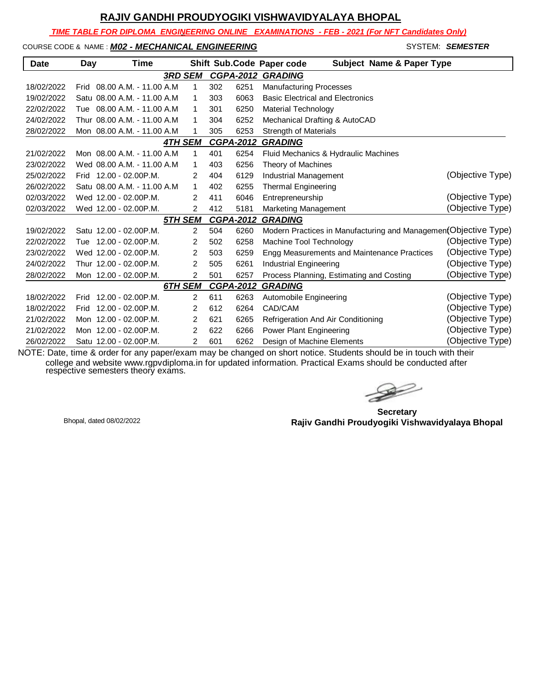*TIME TABLE FOR DIPLOMA ENGINEERING ONLINE EXAMINATIONS - FEB - 2021 (For NFT Candidates Only)*

#### COURSE CODE & NAME : *M02 - MECHANICAL ENGINEERING* - SYSTEM: *SEMESTER*

| <b>Date</b> | Day         | Time                         |                |     |                  | Shift Sub.Code Paper code<br><b>Subject Name &amp; Paper Type</b> |                  |
|-------------|-------------|------------------------------|----------------|-----|------------------|-------------------------------------------------------------------|------------------|
|             |             |                              | <b>3RD SEM</b> |     |                  | <b>CGPA-2012 GRADING</b>                                          |                  |
| 18/02/2022  |             | Frid 08.00 A.M. - 11.00 A.M. | 1              | 302 | 6251             | <b>Manufacturing Processes</b>                                    |                  |
| 19/02/2022  |             | Satu 08.00 A.M. - 11.00 A.M. | 1              | 303 | 6063             | <b>Basic Electrical and Electronics</b>                           |                  |
| 22/02/2022  |             | Tue 08.00 A.M. - 11.00 A.M   | 1              | 301 | 6250             | Material Technology                                               |                  |
| 24/02/2022  |             | Thur 08.00 A.M. - 11.00 A.M  | 1              | 304 | 6252             | Mechanical Drafting & AutoCAD                                     |                  |
| 28/02/2022  |             | Mon 08.00 A.M. - 11.00 A.M   | 1              | 305 | 6253             | <b>Strength of Materials</b>                                      |                  |
|             |             |                              | 4TH SEM        |     | <b>CGPA-2012</b> | <b>GRADING</b>                                                    |                  |
| 21/02/2022  |             | Mon 08.00 A.M. - 11.00 A.M   | 1              | 401 | 6254             | Fluid Mechanics & Hydraulic Machines                              |                  |
| 23/02/2022  |             | Wed 08.00 A.M. - 11.00 A.M   | 1              | 403 | 6256             | Theory of Machines                                                |                  |
| 25/02/2022  |             | Frid 12.00 - 02.00 P.M.      | 2              | 404 | 6129             | <b>Industrial Management</b>                                      | (Objective Type) |
| 26/02/2022  |             | Satu 08.00 A.M. - 11.00 A.M. | 1              | 402 | 6255             | <b>Thermal Engineering</b>                                        |                  |
| 02/03/2022  |             | Wed 12.00 - 02.00P.M.        | 2              | 411 | 6046             | Entrepreneurship                                                  | (Objective Type) |
| 02/03/2022  |             | Wed 12.00 - 02.00P.M.        | 2              | 412 | 5181             | Marketing Management                                              | (Objective Type) |
|             |             |                              | 5TH SEM        |     | <b>CGPA-2012</b> | <b>GRADING</b>                                                    |                  |
| 19/02/2022  |             | Satu 12.00 - 02.00 P.M.      | 2              | 504 | 6260             | Modern Practices in Manufacturing and Managemen(Objective Type)   |                  |
| 22/02/2022  |             | Tue 12.00 - 02.00 P.M.       | 2              | 502 | 6258             | Machine Tool Technology                                           | (Objective Type) |
| 23/02/2022  |             | Wed 12.00 - 02.00 P.M.       | 2              | 503 | 6259             | Engg Measurements and Maintenance Practices                       | (Objective Type) |
| 24/02/2022  |             | Thur 12.00 - 02.00P.M.       | 2              | 505 | 6261             | Industrial Engineering                                            | (Objective Type) |
| 28/02/2022  |             | Mon 12.00 - 02.00 P.M.       | 2              | 501 | 6257             | Process Planning, Estimating and Costing                          | (Objective Type) |
|             |             |                              | 6TH SEM        |     | <b>CGPA-2012</b> | <b>GRADING</b>                                                    |                  |
| 18/02/2022  | <b>Frid</b> | $12.00 - 02.00$ P.M.         | 2              | 611 | 6263             | Automobile Engineering                                            | (Objective Type) |
| 18/02/2022  | Frid        | $12.00 - 02.00$ P.M.         | 2              | 612 | 6264             | CAD/CAM                                                           | (Objective Type) |
| 21/02/2022  |             | Mon 12.00 - 02.00 P.M.       | 2              | 621 | 6265             | Refrigeration And Air Conditioning                                | (Objective Type) |
| 21/02/2022  |             | Mon 12.00 - 02.00 P.M.       | 2              | 622 | 6266             | Power Plant Engineering                                           | (Objective Type) |
| 26/02/2022  |             | Satu 12.00 - 02.00 P.M.      | 2              | 601 | 6262             | Design of Machine Elements                                        | (Objective Type) |

 $\rightarrow$ 

**Secretary Rajiv Gandhi Proudyogiki Vishwavidyalaya Bhopal** Bhopal, dated 08/02/2022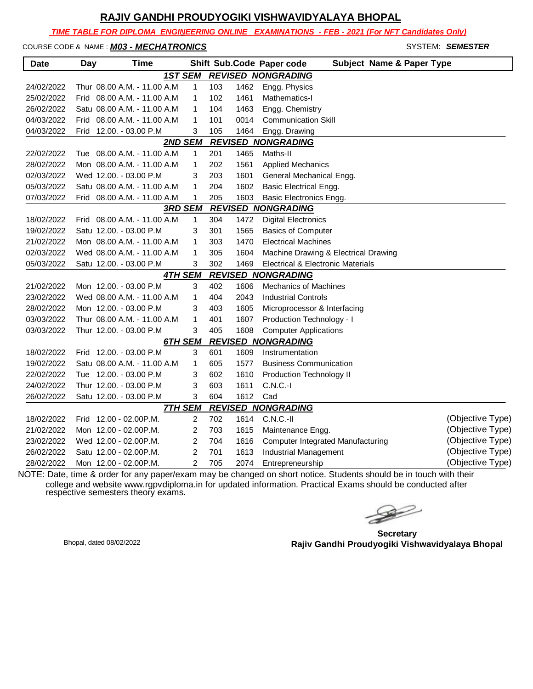*TIME TABLE FOR DIPLOMA ENGINEERING ONLINE EXAMINATIONS - FEB - 2021 (For NFT Candidates Only)*

### COURSE CODE & NAME : *M03 - MECHATRONICS* - SYSTEM: SEMESTER

| <b>Date</b> | <b>Day</b> | <b>Time</b>                 |                |     |      | Shift Sub.Code Paper code<br><b>Subject Name &amp; Paper Type</b> |                  |
|-------------|------------|-----------------------------|----------------|-----|------|-------------------------------------------------------------------|------------------|
|             |            | <b>1ST SEM</b>              |                |     |      | <b>REVISED NONGRADING</b>                                         |                  |
| 24/02/2022  |            | Thur 08.00 A.M. - 11.00 A.M | $\mathbf{1}$   | 103 | 1462 | Engg. Physics                                                     |                  |
| 25/02/2022  |            | Frid 08.00 A.M. - 11.00 A.M | 1              | 102 | 1461 | Mathematics-I                                                     |                  |
| 26/02/2022  |            | Satu 08.00 A.M. - 11.00 A.M | 1              | 104 | 1463 | Engg. Chemistry                                                   |                  |
| 04/03/2022  |            | Frid 08.00 A.M. - 11.00 A.M | 1              | 101 | 0014 | <b>Communication Skill</b>                                        |                  |
| 04/03/2022  |            | Frid 12.00. - 03.00 P.M     | 3              | 105 | 1464 | Engg. Drawing                                                     |                  |
|             |            | 2ND SEM                     |                |     |      | <b>REVISED NONGRADING</b>                                         |                  |
| 22/02/2022  |            | Tue 08.00 A.M. - 11.00 A.M  | $\mathbf{1}$   | 201 | 1465 | Maths-II                                                          |                  |
| 28/02/2022  |            | Mon 08.00 A.M. - 11.00 A.M  | 1              | 202 | 1561 | <b>Applied Mechanics</b>                                          |                  |
| 02/03/2022  |            | Wed 12.00. - 03.00 P.M      | 3              | 203 | 1601 | General Mechanical Engg.                                          |                  |
| 05/03/2022  |            | Satu 08.00 A.M. - 11.00 A.M | 1              | 204 | 1602 | <b>Basic Electrical Engg.</b>                                     |                  |
| 07/03/2022  |            | Frid 08.00 A.M. - 11.00 A.M | 1              | 205 | 1603 | <b>Basic Electronics Engg.</b>                                    |                  |
|             |            | <b>3RD SEM</b>              |                |     |      | <b>REVISED NONGRADING</b>                                         |                  |
| 18/02/2022  |            | Frid 08.00 A.M. - 11.00 A.M | $\mathbf{1}$   | 304 | 1472 | <b>Digital Electronics</b>                                        |                  |
| 19/02/2022  |            | Satu 12.00. - 03.00 P.M     | 3              | 301 | 1565 | <b>Basics of Computer</b>                                         |                  |
| 21/02/2022  |            | Mon 08.00 A.M. - 11.00 A.M  | 1              | 303 | 1470 | <b>Electrical Machines</b>                                        |                  |
| 02/03/2022  |            | Wed 08.00 A.M. - 11.00 A.M  | 1              | 305 | 1604 | Machine Drawing & Electrical Drawing                              |                  |
| 05/03/2022  |            | Satu 12.00. - 03.00 P.M     | 3              | 302 | 1469 | Electrical & Electronic Materials                                 |                  |
|             |            | <b>4TH SEM</b>              |                |     |      | <b>REVISED NONGRADING</b>                                         |                  |
| 21/02/2022  |            | Mon 12.00. - 03.00 P.M      | 3              | 402 | 1606 | <b>Mechanics of Machines</b>                                      |                  |
| 23/02/2022  |            | Wed 08.00 A.M. - 11.00 A.M  | 1              | 404 | 2043 | <b>Industrial Controls</b>                                        |                  |
| 28/02/2022  |            | Mon 12.00. - 03.00 P.M      | 3              | 403 | 1605 | Microprocessor & Interfacing                                      |                  |
| 03/03/2022  |            | Thur 08.00 A.M. - 11.00 A.M | 1              | 401 | 1607 | Production Technology - I                                         |                  |
| 03/03/2022  |            | Thur 12.00. - 03.00 P.M     | 3              | 405 | 1608 | <b>Computer Applications</b>                                      |                  |
|             |            | 6TH SEM                     |                |     |      | <b>REVISED NONGRADING</b>                                         |                  |
| 18/02/2022  |            | Frid 12.00. - 03.00 P.M     | 3              | 601 | 1609 | Instrumentation                                                   |                  |
| 19/02/2022  |            | Satu 08.00 A.M. - 11.00 A.M | 1              | 605 | 1577 | <b>Business Communication</b>                                     |                  |
| 22/02/2022  |            | Tue 12.00. - 03.00 P.M      | 3              | 602 | 1610 | Production Technology II                                          |                  |
| 24/02/2022  |            | Thur 12.00. - 03.00 P.M     | 3              | 603 | 1611 | $C.N.C.-I$                                                        |                  |
| 26/02/2022  |            | Satu 12.00. - 03.00 P.M     | 3              | 604 | 1612 | Cad                                                               |                  |
|             |            | <b>7TH SEM</b>              |                |     |      | <b>REVISED NONGRADING</b>                                         |                  |
| 18/02/2022  |            | Frid 12.00 - 02.00P.M.      | 2              | 702 | 1614 | $C.N.C.-II$                                                       | (Objective Type) |
| 21/02/2022  |            | Mon 12.00 - 02.00P.M.       | $\overline{2}$ | 703 | 1615 | Maintenance Engg.                                                 | (Objective Type) |
| 23/02/2022  |            | Wed 12.00 - 02.00P.M.       | $\overline{2}$ | 704 | 1616 | <b>Computer Integrated Manufacturing</b>                          | (Objective Type) |
| 26/02/2022  |            | Satu 12.00 - 02.00P.M.      | $\overline{2}$ | 701 | 1613 | <b>Industrial Management</b>                                      | (Objective Type) |
| 28/02/2022  |            | Mon 12.00 - 02.00P.M.       | $\overline{2}$ | 705 | 2074 | Entrepreneurship                                                  | (Objective Type) |

**Secretary Rajiv Gandhi Proudyogiki Vishwavidyalaya Bhopal** Bhopal, dated 08/02/2022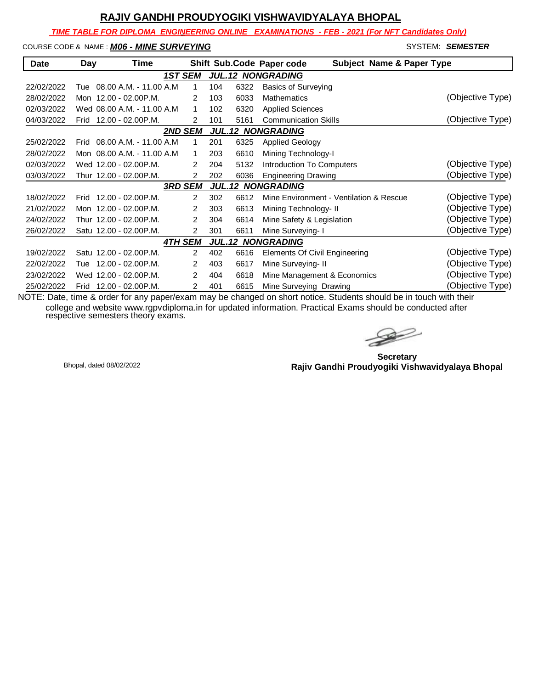*TIME TABLE FOR DIPLOMA ENGINEERING ONLINE EXAMINATIONS - FEB - 2021 (For NFT Candidates Only)*

# COURSE CODE & NAME : **MO6 - MINE SURVEYING** - SYSTEM: SEMESTER SEMESTER

| <b>Date</b>                                | Day  | Time                         |                |     |      | <b>Subject Name &amp; Paper Type</b><br>Shift Sub.Code Paper code |                  |  |
|--------------------------------------------|------|------------------------------|----------------|-----|------|-------------------------------------------------------------------|------------------|--|
|                                            |      | 1ST SEM                      |                |     |      | <b>JUL.12 NONGRADING</b>                                          |                  |  |
| 22/02/2022                                 |      | Tue 08.00 A.M. - 11.00 A.M   | 1              | 104 | 6322 | <b>Basics of Surveying</b>                                        |                  |  |
| 28/02/2022                                 |      | Mon 12.00 - 02.00 P.M.       | 2              | 103 | 6033 | <b>Mathematics</b>                                                | (Objective Type) |  |
| 02/03/2022                                 |      | Wed 08.00 A.M. - 11.00 A.M.  | 1              | 102 | 6320 | <b>Applied Sciences</b>                                           |                  |  |
| 04/03/2022                                 |      | Frid 12.00 - 02.00 P.M.      | 2              | 101 | 5161 | <b>Communication Skills</b>                                       | (Objective Type) |  |
| <b>2ND SEM</b><br><b>JUL.12 NONGRADING</b> |      |                              |                |     |      |                                                                   |                  |  |
| 25/02/2022                                 |      | Frid 08.00 A.M. - 11.00 A.M. | 1              | 201 | 6325 | <b>Applied Geology</b>                                            |                  |  |
| 28/02/2022                                 |      | Mon 08.00 A.M. - 11.00 A.M.  | 1              | 203 | 6610 | Mining Technology-I                                               |                  |  |
| 02/03/2022                                 |      | Wed 12.00 - 02.00 P.M.       | $\mathcal{P}$  | 204 | 5132 | Introduction To Computers                                         | (Objective Type) |  |
| 03/03/2022                                 |      | Thur 12.00 - 02.00P.M.       | 2              | 202 | 6036 | <b>Engineering Drawing</b>                                        | (Objective Type) |  |
|                                            |      | <b>3RD SEM</b>               |                |     |      | <b>JUL.12 NONGRADING</b>                                          |                  |  |
| 18/02/2022                                 |      | Frid 12.00 - 02.00 P.M.      | $\overline{2}$ | 302 | 6612 | Mine Environment - Ventilation & Rescue                           | (Objective Type) |  |
| 21/02/2022                                 |      | Mon 12.00 - 02.00 P.M.       | 2              | 303 | 6613 | Mining Technology- II                                             | (Objective Type) |  |
| 24/02/2022                                 |      | Thur 12.00 - 02.00P.M.       | 2              | 304 | 6614 | Mine Safety & Legislation                                         | (Objective Type) |  |
| 26/02/2022                                 |      | Satu 12.00 - 02.00 P.M.      | 2              | 301 | 6611 | Mine Surveying- I                                                 | (Objective Type) |  |
|                                            |      | <b>4TH SEM</b>               |                |     |      | <b>JUL.12 NONGRADING</b>                                          |                  |  |
| 19/02/2022                                 |      | Satu 12.00 - 02.00 P.M.      | $\mathcal{P}$  | 402 | 6616 | <b>Elements Of Civil Engineering</b>                              | (Objective Type) |  |
| 22/02/2022                                 | Tue  | 12.00 - 02.00P.M.            | 2              | 403 | 6617 | Mine Surveying- II                                                | (Objective Type) |  |
| 23/02/2022                                 |      | Wed 12.00 - 02.00 P.M.       | 2              | 404 | 6618 | Mine Management & Economics                                       | (Objective Type) |  |
| 25/02/2022                                 | Frid | 12.00 - 02.00P.M.            | 2              | 401 | 6615 | Mine Surveying Drawing                                            | (Objective Type) |  |

 $\rightarrow$ 

**Secretary Rajiv Gandhi Proudyogiki Vishwavidyalaya Bhopal** Bhopal, dated 08/02/2022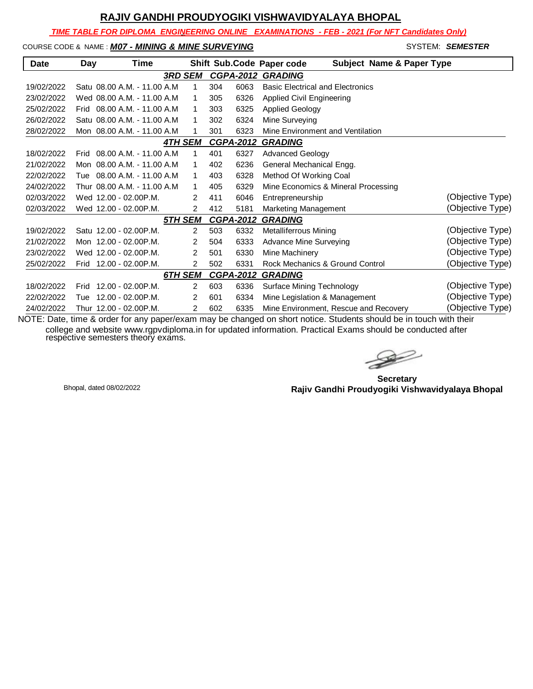*TIME TABLE FOR DIPLOMA ENGINEERING ONLINE EXAMINATIONS - FEB - 2021 (For NFT Candidates Only)*

#### COURSE CODE & NAME : *M07 - MINING & MINE SURVEYING* - SYSTEM: *SEMESTER*

| Date       | Day  | Time                         |                |     |                  | <b>Subject Name &amp; Paper Type</b><br>Shift Sub.Code Paper code |                  |
|------------|------|------------------------------|----------------|-----|------------------|-------------------------------------------------------------------|------------------|
|            |      | <b>3RD SEM</b>               |                |     | <b>CGPA-2012</b> | <b>GRADING</b>                                                    |                  |
| 19/02/2022 |      | Satu 08.00 A.M. - 11.00 A.M. | 1              | 304 | 6063             | <b>Basic Electrical and Electronics</b>                           |                  |
| 23/02/2022 |      | Wed 08.00 A.M. - 11.00 A.M   | 1              | 305 | 6326             | Applied Civil Engineering                                         |                  |
| 25/02/2022 |      | Frid 08.00 A.M. - 11.00 A.M. | 1              | 303 | 6325             | <b>Applied Geology</b>                                            |                  |
| 26/02/2022 |      | Satu 08.00 A.M. - 11.00 A.M  | 1              | 302 | 6324             | Mine Surveying                                                    |                  |
| 28/02/2022 |      | Mon 08.00 A.M. - 11.00 A.M   | 1              | 301 | 6323             | Mine Environment and Ventilation                                  |                  |
|            |      | <b>4TH SEM</b>               |                |     | <b>CGPA-2012</b> | <b>GRADING</b>                                                    |                  |
| 18/02/2022 |      | Frid 08.00 A.M. - 11.00 A.M. | 1              | 401 | 6327             | <b>Advanced Geology</b>                                           |                  |
| 21/02/2022 |      | Mon 08.00 A.M. - 11.00 A.M   | 1              | 402 | 6236             | General Mechanical Engg.                                          |                  |
| 22/02/2022 |      | Tue 08.00 A.M. - 11.00 A.M   | 1              | 403 | 6328             | Method Of Working Coal                                            |                  |
| 24/02/2022 |      | Thur 08.00 A.M. - 11.00 A.M  | 1              | 405 | 6329             | Mine Economics & Mineral Processing                               |                  |
| 02/03/2022 |      | Wed 12.00 - 02.00 P.M.       | $\overline{2}$ | 411 | 6046             | Entrepreneurship                                                  | (Objective Type) |
| 02/03/2022 |      | Wed 12.00 - 02.00 P.M.       | 2              | 412 | 5181             | Marketing Management                                              | (Objective Type) |
|            |      | 5TH SEM                      |                |     | <b>CGPA-2012</b> | <b>GRADING</b>                                                    |                  |
| 19/02/2022 |      | Satu 12.00 - 02.00 P.M.      | $\overline{2}$ | 503 | 6332             | Metalliferrous Mining                                             | (Objective Type) |
| 21/02/2022 |      | Mon 12.00 - 02.00 P.M.       | 2              | 504 | 6333             | <b>Advance Mine Surveying</b>                                     | (Objective Type) |
| 23/02/2022 |      | Wed 12.00 - 02.00 P.M.       | 2              | 501 | 6330             | Mine Machinery                                                    | (Objective Type) |
| 25/02/2022 |      | Frid 12.00 - 02.00 P.M.      | 2              | 502 | 6331             | Rock Mechanics & Ground Control                                   | (Objective Type) |
|            |      | 6TH SEM                      |                |     | <b>CGPA-2012</b> | <b>GRADING</b>                                                    |                  |
| 18/02/2022 | Frid | $12.00 - 02.00$ P.M.         | $\overline{2}$ | 603 | 6336             | <b>Surface Mining Technology</b>                                  | (Objective Type) |
| 22/02/2022 | Tue  | $12.00 - 02.00$ P.M.         | 2              | 601 | 6334             | Mine Legislation & Management                                     | (Objective Type) |
| 24/02/2022 |      | Thur 12.00 - 02.00P.M.       | 2              | 602 | 6335             | Mine Environment, Rescue and Recovery                             | (Objective Type) |

 $\rightarrow$ 

**Secretary Rajiv Gandhi Proudyogiki Vishwavidyalaya Bhopal** Bhopal, dated 08/02/2022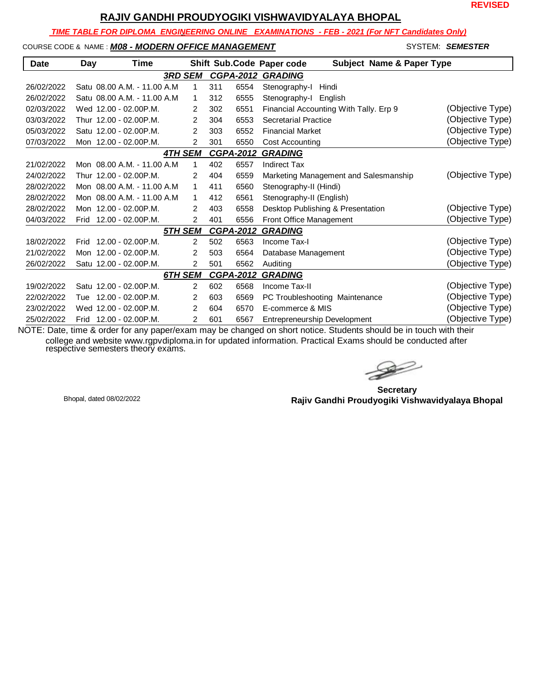**REVISED**

# **RAJIV GANDHI PROUDYOGIKI VISHWAVIDYALAYA BHOPAL**

 *TIME TABLE FOR DIPLOMA ENGINEERING ONLINE EXAMINATIONS - FEB - 2021 (For NFT Candidates Only)*

#### COURSE CODE & NAME : *M08 - MODERN OFFICE MANAGEMENT* - SYSTEM: *SEMESTER*

| <b>Date</b> | Day  | Time                         |                |     |                  | <b>Subject Name &amp; Paper Type</b><br>Shift Sub.Code Paper code |                  |
|-------------|------|------------------------------|----------------|-----|------------------|-------------------------------------------------------------------|------------------|
|             |      |                              | <b>3RD SEM</b> |     | <b>CGPA-2012</b> | <b>GRADING</b>                                                    |                  |
| 26/02/2022  |      | Satu 08.00 A.M. - 11.00 A.M. | 1              | 311 | 6554             | Stenography-I<br>Hindi                                            |                  |
| 26/02/2022  |      | Satu 08.00 A.M. - 11.00 A.M. | 1              | 312 | 6555             | Stenography-I English                                             |                  |
| 02/03/2022  |      | Wed 12.00 - 02.00P.M.        | $\overline{2}$ | 302 | 6551             | Financial Accounting With Tally. Erp 9                            | (Objective Type) |
| 03/03/2022  |      | Thur 12.00 - 02.00P.M.       | 2              | 304 | 6553             | <b>Secretarial Practice</b>                                       | (Objective Type) |
| 05/03/2022  |      | Satu 12.00 - 02.00 P.M.      | 2              | 303 | 6552             | <b>Financial Market</b>                                           | (Objective Type) |
| 07/03/2022  |      | Mon 12.00 - 02.00 P.M.       | $\overline{2}$ | 301 | 6550             | Cost Accounting                                                   | (Objective Type) |
|             |      |                              | <b>4TH SEM</b> |     | <b>CGPA-2012</b> | <b>GRADING</b>                                                    |                  |
| 21/02/2022  |      | Mon 08.00 A.M. - 11.00 A.M.  | 1              | 402 | 6557             | <b>Indirect Tax</b>                                               |                  |
| 24/02/2022  |      | Thur 12.00 - 02.00P.M.       | $\mathcal{P}$  | 404 | 6559             | Marketing Management and Salesmanship                             | (Objective Type) |
| 28/02/2022  |      | Mon 08.00 A.M. - 11.00 A.M.  | 1              | 411 | 6560             | Stenography-II (Hindi)                                            |                  |
| 28/02/2022  |      | Mon 08.00 A.M. - 11.00 A.M.  | 1              | 412 | 6561             | Stenography-II (English)                                          |                  |
| 28/02/2022  |      | Mon 12.00 - 02.00P.M.        | $\overline{2}$ | 403 | 6558             | Desktop Publishing & Presentation                                 | (Objective Type) |
| 04/03/2022  |      | Frid 12.00 - 02.00 P.M.      | $\overline{2}$ | 401 | 6556             | Front Office Management                                           | (Objective Type) |
|             |      |                              | <b>5TH SEM</b> |     | <b>CGPA-2012</b> | <b>GRADING</b>                                                    |                  |
| 18/02/2022  | Frid | 12.00 - 02.00P.M.            | $\overline{2}$ | 502 | 6563             | Income Tax-I                                                      | (Objective Type) |
| 21/02/2022  |      | Mon 12.00 - 02.00 P.M.       | 2              | 503 | 6564             | Database Management                                               | (Objective Type) |
| 26/02/2022  |      | Satu 12.00 - 02.00 P.M.      | 2              | 501 | 6562             | Auditing                                                          | (Objective Type) |
|             |      |                              | 6TH SEM        |     | <b>CGPA-2012</b> | <b>GRADING</b>                                                    |                  |
| 19/02/2022  |      | Satu 12.00 - 02.00P.M.       | $\overline{2}$ | 602 | 6568             | Income Tax-II                                                     | (Objective Type) |
| 22/02/2022  | Tue  | 12.00 - 02.00P.M.            | 2              | 603 | 6569             | PC Troubleshooting Maintenance                                    | (Objective Type) |
| 23/02/2022  |      | Wed 12.00 - 02.00P.M.        | 2              | 604 | 6570             | E-commerce & MIS                                                  | (Objective Type) |
| 25/02/2022  |      | Frid 12.00 - 02.00 P.M.      | $\overline{2}$ | 601 | 6567             | Entrepreneurship Development                                      | (Objective Type) |

 $\gg$ 

**Secretary Rajiv Gandhi Proudyogiki Vishwavidyalaya Bhopal** Bhopal, dated 08/02/2022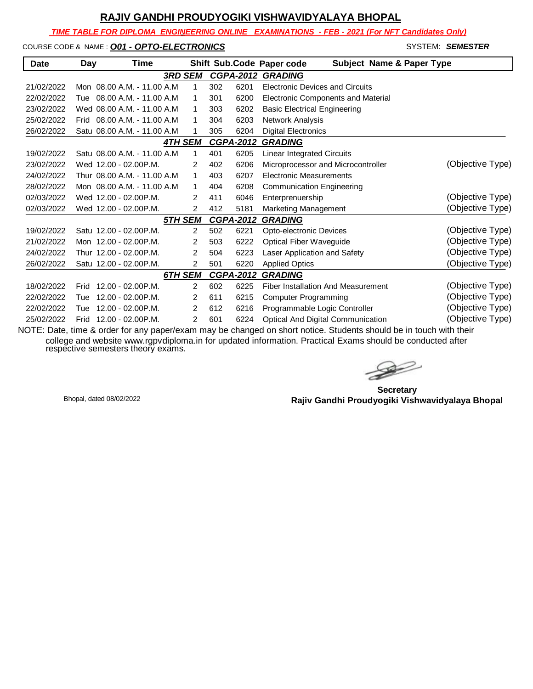*TIME TABLE FOR DIPLOMA ENGINEERING ONLINE EXAMINATIONS - FEB - 2021 (For NFT Candidates Only)*

COURSE CODE & NAME : **O01 - OPTO-ELECTRONICS** COURSE CODE & NAME : **COURSE** 

| <b>Date</b> | Day  | Time                         |                |                |     |                  | Shift Sub.Code Paper code                 | <b>Subject Name &amp; Paper Type</b> |
|-------------|------|------------------------------|----------------|----------------|-----|------------------|-------------------------------------------|--------------------------------------|
|             |      |                              | <b>3RD SEM</b> |                |     | <b>CGPA-2012</b> | <b>GRADING</b>                            |                                      |
| 21/02/2022  |      | Mon 08.00 A.M. - 11.00 A.M.  |                | 1              | 302 | 6201             | <b>Electronic Devices and Circuits</b>    |                                      |
| 22/02/2022  |      | Tue 08.00 A.M. - 11.00 A.M   |                | 1              | 301 | 6200             | <b>Electronic Components and Material</b> |                                      |
| 23/02/2022  |      | Wed 08.00 A.M. - 11.00 A.M   |                | 1              | 303 | 6202             | <b>Basic Electrical Engineering</b>       |                                      |
| 25/02/2022  |      | Frid 08.00 A.M. - 11.00 A.M. |                | 1              | 304 | 6203             | Network Analysis                          |                                      |
| 26/02/2022  |      | Satu 08.00 A.M. - 11.00 A.M. |                | 1              | 305 | 6204             | <b>Digital Electronics</b>                |                                      |
|             |      |                              | <b>4TH SEM</b> |                |     | <b>CGPA-2012</b> | <b>GRADING</b>                            |                                      |
| 19/02/2022  |      | Satu 08.00 A.M. - 11.00 A.M. |                | 1              | 401 | 6205             | <b>Linear Integrated Circuits</b>         |                                      |
| 23/02/2022  |      | Wed 12.00 - 02.00 P.M.       |                | 2              | 402 | 6206             | Microprocessor and Microcontroller        | (Objective Type)                     |
| 24/02/2022  |      | Thur 08.00 A.M. - 11.00 A.M. |                | 1              | 403 | 6207             | <b>Electronic Measurements</b>            |                                      |
| 28/02/2022  |      | Mon 08.00 A.M. - 11.00 A.M.  |                | 1              | 404 | 6208             | <b>Communication Engineering</b>          |                                      |
| 02/03/2022  |      | Wed 12.00 - 02.00 P.M.       |                | 2              | 411 | 6046             | Enterprenuership                          | (Objective Type)                     |
| 02/03/2022  |      | Wed 12.00 - 02.00P.M.        |                | 2              | 412 | 5181             | Marketing Management                      | (Objective Type)                     |
|             |      |                              | 5TH SEM        |                |     | <b>CGPA-2012</b> | <b>GRADING</b>                            |                                      |
| 19/02/2022  |      | Satu 12.00 - 02.00 P.M.      |                | $\overline{2}$ | 502 | 6221             | Opto-electronic Devices                   | (Objective Type)                     |
| 21/02/2022  |      | Mon 12.00 - 02.00 P.M.       |                | 2              | 503 | 6222             | <b>Optical Fiber Waveguide</b>            | (Objective Type)                     |
| 24/02/2022  |      | Thur 12.00 - 02.00P.M.       |                | $\overline{2}$ | 504 | 6223             | Laser Application and Safety              | (Objective Type)                     |
| 26/02/2022  |      | Satu 12.00 - 02.00 P.M.      |                | 2              | 501 | 6220             | <b>Applied Optics</b>                     | (Objective Type)                     |
|             |      |                              | 6TH SEM        |                |     | <b>CGPA-2012</b> | <b>GRADING</b>                            |                                      |
| 18/02/2022  | Frid | 12.00 - 02.00P.M.            |                | $\overline{2}$ | 602 | 6225             | Fiber Installation And Measurement        | (Objective Type)                     |
| 22/02/2022  | Tue  | 12.00 - 02.00P.M.            |                | 2              | 611 | 6215             | <b>Computer Programming</b>               | (Objective Type)                     |
| 22/02/2022  | Tue  | 12.00 - 02.00P.M.            |                | $\overline{2}$ | 612 | 6216             | Programmable Logic Controller             | (Objective Type)                     |
| 25/02/2022  |      | Frid 12.00 - 02.00 P.M.      |                | 2              | 601 | 6224             | Optical And Digital Communication         | (Objective Type)                     |

 $\geqslant$ 

**Secretary Rajiv Gandhi Proudyogiki Vishwavidyalaya Bhopal** Bhopal, dated 08/02/2022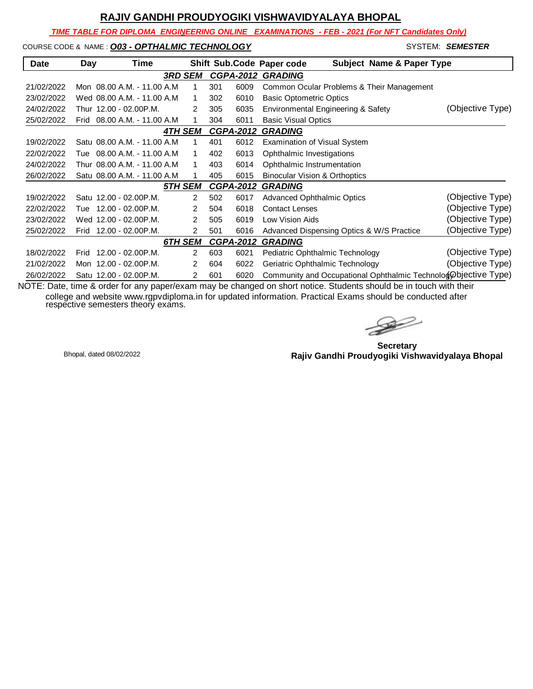*TIME TABLE FOR DIPLOMA ENGINEERING ONLINE EXAMINATIONS - FEB - 2021 (For NFT Candidates Only)*

#### COURSE CODE & NAME : **O03 - OPTHALMIC TECHNOLOGY And System: SEMESTER** SYSTEM: **SEMESTER**

| <b>Date</b> | Day  | Time                         |         |                |     |                  | Shift Sub.Code Paper code<br><b>Subject Name &amp; Paper Type</b> |                  |
|-------------|------|------------------------------|---------|----------------|-----|------------------|-------------------------------------------------------------------|------------------|
|             |      |                              | 3RD SEM |                |     |                  | <b>CGPA-2012 GRADING</b>                                          |                  |
| 21/02/2022  |      | Mon 08.00 A.M. - 11.00 A.M.  |         | 1              | 301 | 6009             | Common Ocular Problems & Their Management                         |                  |
| 23/02/2022  |      | Wed 08.00 A.M. - 11.00 A.M.  |         | 1              | 302 | 6010             | <b>Basic Optometric Optics</b>                                    |                  |
| 24/02/2022  |      | Thur 12.00 - 02.00P.M.       |         | 2              | 305 | 6035             | Environmental Engineering & Safety                                | (Objective Type) |
| 25/02/2022  | Frid | 08.00 A.M. - 11.00 A.M.      |         | 1              | 304 | 6011             | <b>Basic Visual Optics</b>                                        |                  |
|             |      |                              | 4TH SEM |                |     | <b>CGPA-2012</b> | <b>GRADING</b>                                                    |                  |
| 19/02/2022  |      | Satu 08.00 A.M. - 11.00 A.M. |         | 1              | 401 | 6012             | <b>Examination of Visual System</b>                               |                  |
| 22/02/2022  | Tue  | 08.00 A.M. - 11.00 A.M       |         | 1              | 402 | 6013             | Ophthalmic Investigations                                         |                  |
| 24/02/2022  |      | Thur 08.00 A.M. - 11.00 A.M. |         | 1              | 403 | 6014             | Ophthalmic Instrumentation                                        |                  |
| 26/02/2022  |      | Satu 08.00 A.M. - 11.00 A.M. |         | 1              | 405 | 6015             | <b>Binocular Vision &amp; Orthoptics</b>                          |                  |
|             |      |                              | 5TH SEM |                |     | <b>CGPA-2012</b> | <b>GRADING</b>                                                    |                  |
| 19/02/2022  |      | Satu 12.00 - 02.00 P.M.      |         | $\overline{2}$ | 502 | 6017             | <b>Advanced Ophthalmic Optics</b>                                 | (Objective Type) |
| 22/02/2022  | Tue  | $12.00 - 02.00$ P.M.         |         | 2              | 504 | 6018             | <b>Contact Lenses</b>                                             | (Objective Type) |
| 23/02/2022  |      | Wed 12.00 - 02.00 P.M.       |         | 2              | 505 | 6019             | Low Vision Aids                                                   | (Objective Type) |
| 25/02/2022  | Frid | 12.00 - 02.00P.M.            |         | 2              | 501 | 6016             | Advanced Dispensing Optics & W/S Practice                         | (Objective Type) |
|             |      |                              | 6TH SEM |                |     | <b>CGPA-2012</b> | <b>GRADING</b>                                                    |                  |
| 18/02/2022  |      | Frid 12.00 - 02.00P.M.       |         | $\overline{2}$ | 603 | 6021             | Pediatric Ophthalmic Technology                                   | (Objective Type) |
| 21/02/2022  |      | Mon 12.00 - 02.00P.M.        |         | 2              | 604 | 6022             | Geriatric Ophthalmic Technology                                   | (Objective Type) |
| 26/02/2022  |      | Satu 12.00 - 02.00 P.M.      |         | 2              | 601 | 6020             | Community and Occupational Ophthalmic Technologophiective Type)   |                  |

 $\rightarrow$ 

**Secretary Rajiv Gandhi Proudyogiki Vishwavidyalaya Bhopal** Bhopal, dated 08/02/2022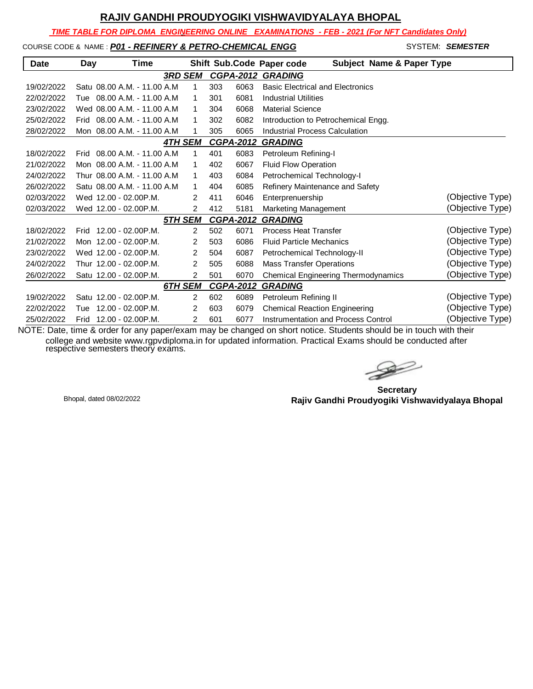*TIME TABLE FOR DIPLOMA ENGINEERING ONLINE EXAMINATIONS - FEB - 2021 (For NFT Candidates Only)*

#### COURSE CODE & NAME : *P01 - REFINERY & PETRO-CHEMICAL ENGG* - SYSTEM: *SEMESTER*

| <b>Date</b> | Day  | Time                         |                |     |                  | Shift Sub.Code Paper code<br><b>Subject Name &amp; Paper Type</b> |                  |
|-------------|------|------------------------------|----------------|-----|------------------|-------------------------------------------------------------------|------------------|
|             |      |                              | <b>3RD SEM</b> |     | <b>CGPA-2012</b> | <b>GRADING</b>                                                    |                  |
| 19/02/2022  |      | Satu 08.00 A.M. - 11.00 A.M  | 1              | 303 | 6063             | <b>Basic Electrical and Electronics</b>                           |                  |
| 22/02/2022  |      | Tue 08.00 A.M. - 11.00 A.M   | 1              | 301 | 6081             | <b>Industrial Utilities</b>                                       |                  |
| 23/02/2022  |      | Wed 08.00 A.M. - 11.00 A.M   | 1              | 304 | 6068             | <b>Material Science</b>                                           |                  |
| 25/02/2022  |      | Frid 08.00 A.M. - 11.00 A.M. | 1              | 302 | 6082             | Introduction to Petrochemical Engg.                               |                  |
| 28/02/2022  |      | Mon 08.00 A.M. - 11.00 A.M   | 1              | 305 | 6065             | <b>Industrial Process Calculation</b>                             |                  |
|             |      |                              | <b>4TH SEM</b> |     | <b>CGPA-2012</b> | <b>GRADING</b>                                                    |                  |
| 18/02/2022  |      | Frid 08.00 A.M. - 11.00 A.M. | 1              | 401 | 6083             | Petroleum Refining-I                                              |                  |
| 21/02/2022  |      | Mon 08.00 A.M. - 11.00 A.M.  | 1              | 402 | 6067             | Fluid Flow Operation                                              |                  |
| 24/02/2022  |      | Thur 08.00 A.M. - 11.00 A.M. | 1              | 403 | 6084             | Petrochemical Technology-I                                        |                  |
| 26/02/2022  |      | Satu 08.00 A.M. - 11.00 A.M. | $\mathbf{1}$   | 404 | 6085             | Refinery Maintenance and Safety                                   |                  |
| 02/03/2022  |      | Wed 12.00 - 02.00 P.M.       | 2              | 411 | 6046             | Enterprenuership                                                  | (Objective Type) |
| 02/03/2022  |      | Wed 12.00 - 02.00 P.M.       | 2              | 412 | 5181             | Marketing Management                                              | (Objective Type) |
|             |      |                              | 5TH SEM        |     | <b>CGPA-2012</b> | <b>GRADING</b>                                                    |                  |
| 18/02/2022  | Frid | 12.00 - 02.00P.M.            | $\overline{2}$ | 502 | 6071             | <b>Process Heat Transfer</b>                                      | (Objective Type) |
| 21/02/2022  |      | Mon 12.00 - 02.00 P.M.       | $\overline{2}$ | 503 | 6086             | <b>Fluid Particle Mechanics</b>                                   | (Objective Type) |
| 23/02/2022  |      | Wed 12.00 - 02.00 P.M.       | $\overline{2}$ | 504 | 6087             | Petrochemical Technology-II                                       | (Objective Type) |
| 24/02/2022  |      | Thur 12.00 - 02.00P.M.       | $\overline{2}$ | 505 | 6088             | <b>Mass Transfer Operations</b>                                   | (Objective Type) |
| 26/02/2022  |      | Satu 12.00 - 02.00 P.M.      | $\overline{2}$ | 501 | 6070             | Chemical Engineering Thermodynamics                               | (Objective Type) |
|             |      |                              | 6TH SEM        |     | <b>CGPA-2012</b> | <b>GRADING</b>                                                    |                  |
| 19/02/2022  |      | Satu 12.00 - 02.00 P.M.      | $\overline{2}$ | 602 | 6089             | Petroleum Refining II                                             | (Objective Type) |
| 22/02/2022  | Tue  | 12.00 - 02.00P.M.            | 2              | 603 | 6079             | <b>Chemical Reaction Engineering</b>                              | (Objective Type) |
| 25/02/2022  | Frid | 12.00 - 02.00P.M.            | 2              | 601 | 6077             | <b>Instrumentation and Process Control</b>                        | (Objective Type) |

 $\gg$ 

**Secretary Rajiv Gandhi Proudyogiki Vishwavidyalaya Bhopal** Bhopal, dated 08/02/2022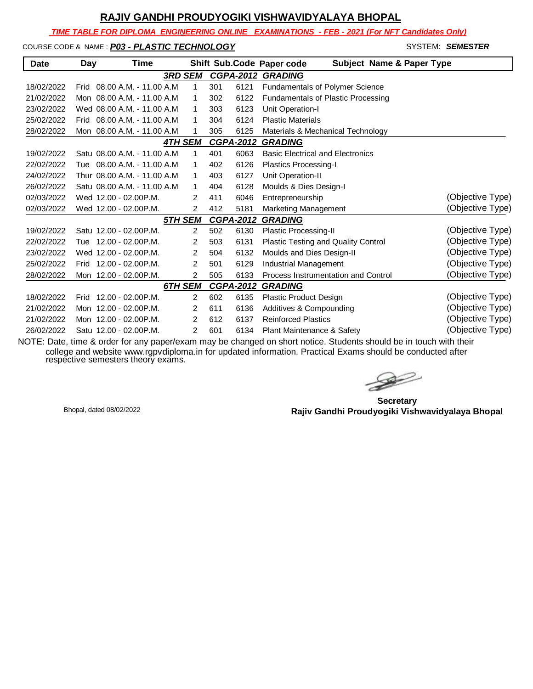*TIME TABLE FOR DIPLOMA ENGINEERING ONLINE EXAMINATIONS - FEB - 2021 (For NFT Candidates Only)*

COURSE CODE & NAME : **P03 - PLASTIC TECHNOLOGY And System: SEMESTER** SYSTEM: **SEMESTER** 

| <b>Date</b> | Day  | Time                         |                |     |                  | Shift Sub.Code Paper code<br><b>Subject Name &amp; Paper Type</b> |                  |
|-------------|------|------------------------------|----------------|-----|------------------|-------------------------------------------------------------------|------------------|
|             |      |                              | <b>3RD SEM</b> |     |                  | <b>CGPA-2012 GRADING</b>                                          |                  |
| 18/02/2022  | Frid | 08.00 A.M. - 11.00 A.M       | 1              | 301 | 6121             | Fundamentals of Polymer Science                                   |                  |
| 21/02/2022  |      | Mon 08.00 A.M. - 11.00 A.M   | 1              | 302 | 6122             | <b>Fundamentals of Plastic Processing</b>                         |                  |
| 23/02/2022  |      | Wed 08.00 A.M. - 11.00 A.M   | 1              | 303 | 6123             | Unit Operation-I                                                  |                  |
| 25/02/2022  |      | Frid 08.00 A.M. - 11.00 A.M  | 1              | 304 | 6124             | <b>Plastic Materials</b>                                          |                  |
| 28/02/2022  |      | Mon 08.00 A.M. - 11.00 A.M   | 1              | 305 | 6125             | Materials & Mechanical Technology                                 |                  |
|             |      |                              | <b>4TH SEM</b> |     | <b>CGPA-2012</b> | <b>GRADING</b>                                                    |                  |
| 19/02/2022  |      | Satu 08.00 A.M. - 11.00 A.M. | 1              | 401 | 6063             | <b>Basic Electrical and Electronics</b>                           |                  |
| 22/02/2022  |      | Tue 08.00 A.M. - 11.00 A.M   | 1              | 402 | 6126             | Plastics Processing-I                                             |                  |
| 24/02/2022  |      | Thur 08.00 A.M. - 11.00 A.M  | 1              | 403 | 6127             | Unit Operation-II                                                 |                  |
| 26/02/2022  |      | Satu 08.00 A.M. - 11.00 A.M  | 1              | 404 | 6128             | Moulds & Dies Design-I                                            |                  |
| 02/03/2022  |      | Wed 12.00 - 02.00 P.M.       | 2              | 411 | 6046             | Entrepreneurship                                                  | (Objective Type) |
| 02/03/2022  |      | Wed 12.00 - 02.00 P.M.       | $\overline{2}$ | 412 | 5181             | Marketing Management                                              | (Objective Type) |
|             |      |                              | 5TH SEM        |     | <b>CGPA-2012</b> | <b>GRADING</b>                                                    |                  |
| 19/02/2022  |      | Satu 12.00 - 02.00 P.M.      | $\overline{2}$ | 502 | 6130             | Plastic Processing-II                                             | (Objective Type) |
| 22/02/2022  |      | Tue 12.00 - 02.00 P.M.       | 2              | 503 | 6131             | Plastic Testing and Quality Control                               | (Objective Type) |
| 23/02/2022  |      | Wed 12.00 - 02.00 P.M.       | $\overline{2}$ | 504 | 6132             | Moulds and Dies Design-II                                         | (Objective Type) |
| 25/02/2022  | Frid | 12.00 - 02.00P.M.            | $\overline{2}$ | 501 | 6129             | Industrial Management                                             | (Objective Type) |
| 28/02/2022  |      | Mon 12.00 - 02.00 P.M.       | $\overline{2}$ | 505 | 6133             | Process Instrumentation and Control                               | (Objective Type) |
|             |      |                              | 6TH SEM        |     | <b>CGPA-2012</b> | <b>GRADING</b>                                                    |                  |
| 18/02/2022  | Frid | $12.00 - 02.00$ P.M.         | $\overline{2}$ | 602 | 6135             | <b>Plastic Product Design</b>                                     | (Objective Type) |
| 21/02/2022  |      | Mon 12.00 - 02.00 P.M.       | 2              | 611 | 6136             | Additives & Compounding                                           | (Objective Type) |
| 21/02/2022  |      | Mon 12.00 - 02.00 P.M.       | 2              | 612 | 6137             | <b>Reinforced Plastics</b>                                        | (Objective Type) |
| 26/02/2022  |      | Satu 12.00 - 02.00P.M.       | 2              | 601 | 6134             | Plant Maintenance & Safety                                        | (Objective Type) |

 $\rightarrow$ 

**Secretary Rajiv Gandhi Proudyogiki Vishwavidyalaya Bhopal** Bhopal, dated 08/02/2022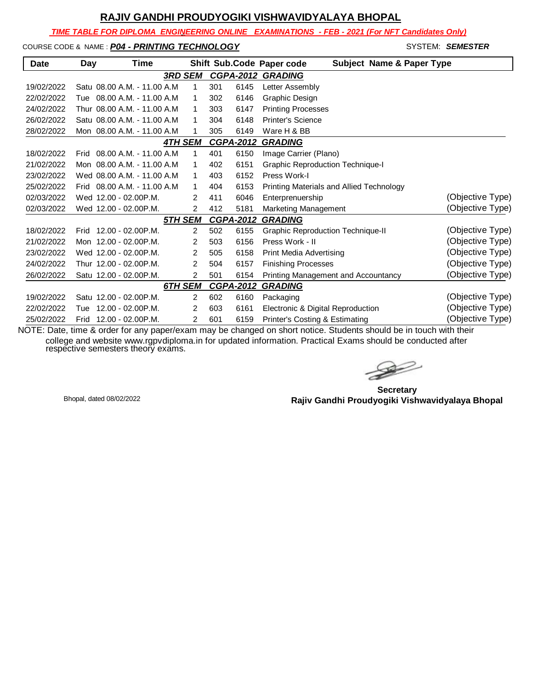*TIME TABLE FOR DIPLOMA ENGINEERING ONLINE EXAMINATIONS - FEB - 2021 (For NFT Candidates Only)*

COURSE CODE & NAME : *P04 - PRINTING TECHNOLOGY* - SYSTEM: *SEMESTER*

| <b>Date</b> | Day  | Time                         |                |     |                  | <b>Subject Name &amp; Paper Type</b><br>Shift Sub.Code Paper code |                  |
|-------------|------|------------------------------|----------------|-----|------------------|-------------------------------------------------------------------|------------------|
|             |      |                              | <b>3RD SEM</b> |     |                  | <b>CGPA-2012 GRADING</b>                                          |                  |
| 19/02/2022  |      | Satu 08.00 A.M. - 11.00 A.M. | 1              | 301 | 6145             | Letter Assembly                                                   |                  |
| 22/02/2022  |      | Tue 08.00 A.M. - 11.00 A.M   | 1              | 302 | 6146             | Graphic Design                                                    |                  |
| 24/02/2022  |      | Thur 08.00 A.M. - 11.00 A.M. | 1              | 303 | 6147             | <b>Printing Processes</b>                                         |                  |
| 26/02/2022  |      | Satu 08.00 A.M. - 11.00 A.M. | 1              | 304 | 6148             | <b>Printer's Science</b>                                          |                  |
| 28/02/2022  |      | Mon 08.00 A.M. - 11.00 A.M   | 1              | 305 | 6149             | Ware H & BB                                                       |                  |
|             |      |                              | <b>4TH SEM</b> |     | <b>CGPA-2012</b> | <b>GRADING</b>                                                    |                  |
| 18/02/2022  |      | Frid 08.00 A.M. - 11.00 A.M. | 1              | 401 | 6150             | Image Carrier (Plano)                                             |                  |
| 21/02/2022  |      | Mon 08.00 A.M. - 11.00 A.M.  | 1              | 402 | 6151             | <b>Graphic Reproduction Technique-I</b>                           |                  |
| 23/02/2022  |      | Wed 08.00 A.M. - 11.00 A.M.  | 1              | 403 | 6152             | Press Work-I                                                      |                  |
| 25/02/2022  | Frid | 08.00 A.M. - 11.00 A.M       | 1              | 404 | 6153             | Printing Materials and Allied Technology                          |                  |
| 02/03/2022  |      | Wed 12.00 - 02.00 P.M.       | 2              | 411 | 6046             | Enterprenuership                                                  | (Objective Type) |
| 02/03/2022  |      | Wed 12.00 - 02.00 P.M.       | 2              | 412 | 5181             | Marketing Management                                              | (Objective Type) |
|             |      |                              | 5TH SEM        |     | <b>CGPA-2012</b> | <b>GRADING</b>                                                    |                  |
| 18/02/2022  | Frid | 12.00 - 02.00P.M.            | 2              | 502 | 6155             | <b>Graphic Reproduction Technique-II</b>                          | (Objective Type) |
| 21/02/2022  |      | Mon 12.00 - 02.00 P.M.       | 2              | 503 | 6156             | Press Work - II                                                   | (Objective Type) |
| 23/02/2022  |      | Wed 12.00 - 02.00 P.M.       | 2              | 505 | 6158             | Print Media Advertising                                           | (Objective Type) |
| 24/02/2022  |      | Thur 12.00 - 02.00P.M.       | 2              | 504 | 6157             | <b>Finishing Processes</b>                                        | (Objective Type) |
| 26/02/2022  |      | Satu 12.00 - 02.00 P.M.      | 2              | 501 | 6154             | Printing Management and Accountancy                               | (Objective Type) |
|             |      |                              | 6TH SEM        |     | <b>CGPA-2012</b> | <b>GRADING</b>                                                    |                  |
| 19/02/2022  |      | Satu 12.00 - 02.00 P.M.      | 2              | 602 | 6160             | Packaging                                                         | (Objective Type) |
| 22/02/2022  | Tue  | 12.00 - 02.00P.M.            | 2              | 603 | 6161             | Electronic & Digital Reproduction                                 | (Objective Type) |
| 25/02/2022  |      | Frid 12.00 - 02.00 P.M.      | 2              | 601 | 6159             | Printer's Costing & Estimating                                    | (Objective Type) |

 $\gg$ 

**Secretary Rajiv Gandhi Proudyogiki Vishwavidyalaya Bhopal** Bhopal, dated 08/02/2022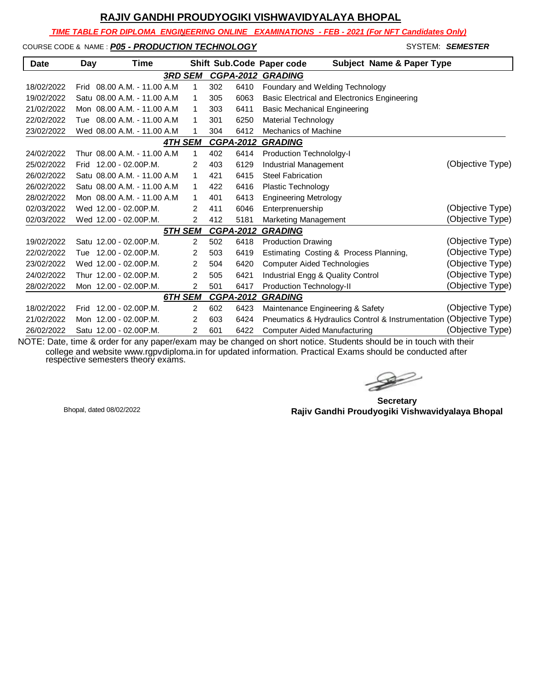*TIME TABLE FOR DIPLOMA ENGINEERING ONLINE EXAMINATIONS - FEB - 2021 (For NFT Candidates Only)*

#### COURSE CODE & NAME : **P05 - PRODUCTION TECHNOLOGY And System: SEMESTER**

| <b>Date</b> | Day | Time                         |                |                  | Shift Sub.Code Paper code<br><b>Subject Name &amp; Paper Type</b>                                                                                                   |                  |
|-------------|-----|------------------------------|----------------|------------------|---------------------------------------------------------------------------------------------------------------------------------------------------------------------|------------------|
|             |     |                              | <b>3RD SEM</b> | <b>CGPA-2012</b> | <b>GRADING</b>                                                                                                                                                      |                  |
| 18/02/2022  |     | Frid 08.00 A.M. - 11.00 A.M  | 1              | 302<br>6410      | Foundary and Welding Technology                                                                                                                                     |                  |
| 19/02/2022  |     | Satu 08.00 A.M. - 11.00 A.M. | 1              | 6063<br>305      | Basic Electrical and Electronics Engineering                                                                                                                        |                  |
| 21/02/2022  |     | Mon 08.00 A.M. - 11.00 A.M   | 1              | 303<br>6411      | <b>Basic Mechanical Engineering</b>                                                                                                                                 |                  |
| 22/02/2022  |     | Tue 08.00 A.M. - 11.00 A.M.  | 1              | 6250<br>301      | <b>Material Technology</b>                                                                                                                                          |                  |
| 23/02/2022  |     | Wed 08.00 A.M. - 11.00 A.M   | 1              | 6412<br>304      | <b>Mechanics of Machine</b>                                                                                                                                         |                  |
|             |     |                              | <b>4TH SEM</b> | <b>CGPA-2012</b> | <b>GRADING</b>                                                                                                                                                      |                  |
| 24/02/2022  |     | Thur 08.00 A.M. - 11.00 A.M. | 1              | 402<br>6414      | <b>Production Technololgy-I</b>                                                                                                                                     |                  |
| 25/02/2022  |     | Frid 12.00 - 02.00 P.M.      | 2              | 6129<br>403      | Industrial Management                                                                                                                                               | (Objective Type) |
| 26/02/2022  |     | Satu 08.00 A.M. - 11.00 A.M. | 1              | 421<br>6415      | <b>Steel Fabrication</b>                                                                                                                                            |                  |
| 26/02/2022  |     | Satu 08.00 A.M. - 11.00 A.M. | 1              | 422<br>6416      | Plastic Technology                                                                                                                                                  |                  |
| 28/02/2022  |     | Mon 08.00 A.M. - 11.00 A.M.  | 1              | 6413<br>401      | <b>Engineering Metrology</b>                                                                                                                                        |                  |
| 02/03/2022  |     | Wed 12.00 - 02.00 P.M.       | 2              | 411<br>6046      | Enterprenuership                                                                                                                                                    | (Objective Type) |
| 02/03/2022  |     | Wed 12.00 - 02.00 P.M.       | $\overline{2}$ | 412<br>5181      | Marketing Management                                                                                                                                                | (Objective Type) |
|             |     |                              | <u>5TH SEM</u> | <b>CGPA-2012</b> | <b>GRADING</b>                                                                                                                                                      |                  |
| 19/02/2022  |     | Satu 12.00 - 02.00 P.M.      | 2              | 502<br>6418      | <b>Production Drawing</b>                                                                                                                                           | (Objective Type) |
| 22/02/2022  |     | Tue 12.00 - 02.00 P.M.       | 2              | 503<br>6419      | Estimating Costing & Process Planning,                                                                                                                              | (Objective Type) |
| 23/02/2022  |     | Wed 12.00 - 02.00 P.M.       | $\overline{2}$ | 6420<br>504      | <b>Computer Aided Technologies</b>                                                                                                                                  | (Objective Type) |
| 24/02/2022  |     | Thur 12.00 - 02.00P.M.       | 2              | 505<br>6421      | Industrial Engg & Quality Control                                                                                                                                   | (Objective Type) |
| 28/02/2022  |     | Mon 12.00 - 02.00P.M.        | 2              | 501<br>6417      | Production Technology-II                                                                                                                                            | (Objective Type) |
|             |     |                              | 6TH SEM        | <b>CGPA-2012</b> | <b>GRADING</b>                                                                                                                                                      |                  |
| 18/02/2022  |     | Frid 12.00 - 02.00 P.M.      | $\overline{2}$ | 602<br>6423      | Maintenance Engineering & Safety                                                                                                                                    | (Objective Type) |
| 21/02/2022  |     | Mon 12.00 - 02.00 P.M.       | 2              | 603<br>6424      | Pneumatics & Hydraulics Control & Instrumentation (Objective Type)                                                                                                  |                  |
| 26/02/2022  |     | Satu 12.00 - 02.00 P.M.      | $\overline{2}$ | 601<br>6422      | <b>Computer Aided Manufacturing</b><br>$\overline{I}$ . Deta time 8 erder for enu penerlevem mou he ebenged en ebert petion. Ctudente ebeuld be in touch with their | (Objective Type) |

 $\rightarrow$ 

**Secretary Rajiv Gandhi Proudyogiki Vishwavidyalaya Bhopal** Bhopal, dated 08/02/2022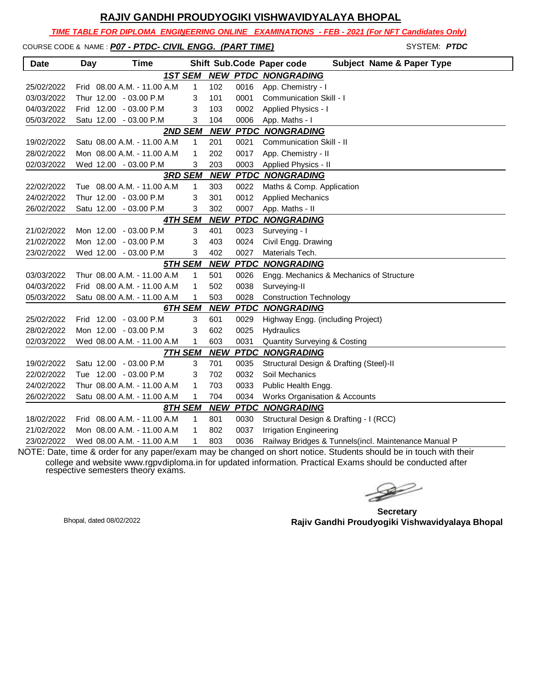|  | RAJIV GANDHI PROUDYOGIKI VISHWAVIDYALAYA BHOPAL                                               |  |                     |
|--|-----------------------------------------------------------------------------------------------|--|---------------------|
|  | TIME TABLE FOR DIPLOMA ENGINEERING ONLINE EXAMINATIONS - FEB - 2021 (For NFT Candidates Only) |  |                     |
|  | COURSE CODE & NAME : P07 - PTDC- CIVIL ENGG. (PART TIME)                                      |  | SYSTEM: <i>PTDC</i> |

| <b>Date</b> | <b>Day</b> | Time                         |                |            |      | <b>Subject Name &amp; Paper Type</b><br>Shift Sub.Code Paper code |
|-------------|------------|------------------------------|----------------|------------|------|-------------------------------------------------------------------|
|             |            | <b>1ST SEM</b>               |                |            |      | <b>NEW PTDC NONGRADING</b>                                        |
| 25/02/2022  |            | Frid 08.00 A.M. - 11.00 A.M. | 1              | 102        | 0016 | App. Chemistry - I                                                |
| 03/03/2022  |            | Thur 12.00 - 03.00 P.M       | 3              | 101        | 0001 | Communication Skill - I                                           |
| 04/03/2022  |            | Frid 12.00 - 03.00 P.M       | 3              | 103        | 0002 | Applied Physics - I                                               |
| 05/03/2022  |            | Satu 12.00 - 03.00 P.M       | 3              | 104        | 0006 | App. Maths - I                                                    |
|             |            | <b>2ND SEM</b>               |                |            |      | <b>NEW PTDC NONGRADING</b>                                        |
| 19/02/2022  |            | Satu 08.00 A.M. - 11.00 A.M. | $\mathbf{1}$   | 201        | 0021 | <b>Communication Skill - II</b>                                   |
| 28/02/2022  |            | Mon 08.00 A.M. - 11.00 A.M   | 1              | 202        | 0017 | App. Chemistry - II                                               |
| 02/03/2022  |            | Wed 12.00 - 03.00 P.M        | 3              | 203        | 0003 | Applied Physics - II                                              |
|             |            |                              | <b>3RD SEM</b> |            |      | <b>NEW PTDC NONGRADING</b>                                        |
| 22/02/2022  |            | Tue 08.00 A.M. - 11.00 A.M   | $\mathbf{1}$   | 303        | 0022 | Maths & Comp. Application                                         |
| 24/02/2022  |            | Thur 12.00 - 03.00 P.M       | 3              | 301        | 0012 | <b>Applied Mechanics</b>                                          |
| 26/02/2022  |            | Satu 12.00 - 03.00 P.M       | 3              | 302        | 0007 | App. Maths - II                                                   |
|             |            | <b>4TH SEM</b>               |                | <b>NEW</b> |      | <b>PTDC NONGRADING</b>                                            |
| 21/02/2022  |            | Mon 12.00 - 03.00 P.M        | 3              | 401        | 0023 | Surveying - I                                                     |
| 21/02/2022  |            | Mon 12.00 - 03.00 P.M        | 3              | 403        | 0024 | Civil Engg. Drawing                                               |
| 23/02/2022  |            | Wed 12.00 - 03.00 P.M        | 3              | 402        | 0027 | Materials Tech.                                                   |
|             |            | 5TH SEM                      |                |            |      | <b>NEW PTDC NONGRADING</b>                                        |
| 03/03/2022  |            | Thur 08.00 A.M. - 11.00 A.M  | 1              | 501        | 0026 | Engg. Mechanics & Mechanics of Structure                          |
| 04/03/2022  |            | Frid 08.00 A.M. - 11.00 A.M. | 1              | 502        | 0038 | Surveying-II                                                      |
| 05/03/2022  |            | Satu 08.00 A.M. - 11.00 A.M  | 1              | 503        | 0028 | <b>Construction Technology</b>                                    |
|             |            | 6TH SEM                      |                | <b>NEW</b> |      | <b>PTDC NONGRADING</b>                                            |
| 25/02/2022  |            | Frid 12.00 - 03.00 P.M       | 3              | 601        | 0029 | Highway Engg. (including Project)                                 |
| 28/02/2022  |            | Mon 12.00 - 03.00 P.M        | 3              | 602        | 0025 | Hydraulics                                                        |
| 02/03/2022  |            | Wed 08.00 A.M. - 11.00 A.M   | 1              | 603        | 0031 | <b>Quantity Surveying &amp; Costing</b>                           |
|             |            | <b>7TH SEM</b>               |                | <b>NEW</b> |      | <b>PTDC NONGRADING</b>                                            |
| 19/02/2022  |            | Satu 12.00 - 03.00 P.M       | 3              | 701        | 0035 | Structural Design & Drafting (Steel)-II                           |
| 22/02/2022  |            | Tue 12.00 - 03.00 P.M        | 3              | 702        | 0032 | Soil Mechanics                                                    |
| 24/02/2022  |            | Thur 08.00 A.M. - 11.00 A.M  | 1              | 703        | 0033 | Public Health Engg.                                               |
| 26/02/2022  |            | Satu 08.00 A.M. - 11.00 A.M  | 1              | 704        | 0034 | Works Organisation & Accounts                                     |
|             |            | 8TH SEM                      |                | <b>NEW</b> |      | <b>PTDC NONGRADING</b>                                            |
| 18/02/2022  |            | Frid 08.00 A.M. - 11.00 A.M. | $\mathbf{1}$   | 801        | 0030 | Structural Design & Drafting - I (RCC)                            |
| 21/02/2022  |            | Mon 08.00 A.M. - 11.00 A.M   | 1              | 802        | 0037 | <b>Irrigation Engineering</b>                                     |
| 23/02/2022  |            | Wed 08.00 A.M. - 11.00 A.M   | 1              | 803        | 0036 | Railway Bridges & Tunnels(incl. Maintenance Manual P              |

 $\begin{picture}(120,15) \put(0,0){\line(1,0){15}} \put(15,0){\line(1,0){15}} \put(15,0){\line(1,0){15}} \put(15,0){\line(1,0){15}} \put(15,0){\line(1,0){15}} \put(15,0){\line(1,0){15}} \put(15,0){\line(1,0){15}} \put(15,0){\line(1,0){15}} \put(15,0){\line(1,0){15}} \put(15,0){\line(1,0){15}} \put(15,0){\line(1,0){15}} \put(15,0){\line($ 

**Secretary Rajiv Gandhi Proudyogiki Vishwavidyalaya Bhopal** Bhopal, dated 08/02/2022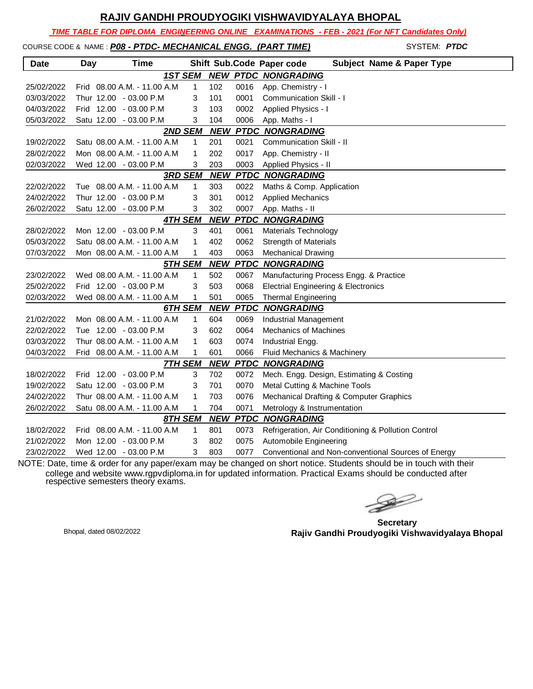*TIME TABLE FOR DIPLOMA ENGINEERING ONLINE EXAMINATIONS - FEB - 2021 (For NFT Candidates Only)*

COURSE CODE & NAME : *P08 - PTDC- MECHANICAL ENGG. (PART TIME)* - SYSTEM: *PTDC*

| <b>Date</b> | Day | <b>Time</b>                 |                |            |      | <b>Subject Name &amp; Paper Type</b><br>Shift Sub.Code Paper code |
|-------------|-----|-----------------------------|----------------|------------|------|-------------------------------------------------------------------|
|             |     |                             | 1ST SEM        | <b>NEW</b> |      | <b>PTDC NONGRADING</b>                                            |
| 25/02/2022  |     | Frid 08.00 A.M. - 11.00 A.M | 1              | 102        | 0016 | App. Chemistry - I                                                |
| 03/03/2022  |     | Thur 12.00 - 03.00 P.M      | 3              | 101        | 0001 | <b>Communication Skill - I</b>                                    |
| 04/03/2022  |     | Frid 12.00 - 03.00 P.M      | 3              | 103        | 0002 | Applied Physics - I                                               |
| 05/03/2022  |     | Satu 12.00 - 03.00 P.M      | 3              | 104        | 0006 | App. Maths - I                                                    |
|             |     |                             | 2ND SEM        | <b>NEW</b> |      | <b>PTDC NONGRADING</b>                                            |
| 19/02/2022  |     | Satu 08.00 A.M. - 11.00 A.M | 1              | 201        | 0021 | Communication Skill - II                                          |
| 28/02/2022  |     | Mon 08.00 A.M. - 11.00 A.M  | 1              | 202        | 0017 | App. Chemistry - II                                               |
| 02/03/2022  |     | Wed 12.00 - 03.00 P.M       | 3              | 203        | 0003 | Applied Physics - II                                              |
|             |     |                             | <b>3RD SEM</b> | <b>NEW</b> |      | <b>PTDC NONGRADING</b>                                            |
| 22/02/2022  |     | Tue 08.00 A.M. - 11.00 A.M  | 1              | 303        | 0022 | Maths & Comp. Application                                         |
| 24/02/2022  |     | Thur 12.00 - 03.00 P.M      | 3              | 301        | 0012 | <b>Applied Mechanics</b>                                          |
| 26/02/2022  |     | Satu 12.00 - 03.00 P.M      | 3              | 302        | 0007 | App. Maths - II                                                   |
|             |     |                             | <b>4TH SEM</b> | <b>NEW</b> |      | <b>PTDC NONGRADING</b>                                            |
| 28/02/2022  |     | Mon 12.00 - 03.00 P.M       | 3              | 401        | 0061 | Materials Technology                                              |
| 05/03/2022  |     | Satu 08.00 A.M. - 11.00 A.M | 1              | 402        | 0062 | <b>Strength of Materials</b>                                      |
| 07/03/2022  |     | Mon 08.00 A.M. - 11.00 A.M  | 1              | 403        | 0063 | <b>Mechanical Drawing</b>                                         |
|             |     |                             | 5TH SEM        | <b>NEW</b> |      | <b>PTDC NONGRADING</b>                                            |
| 23/02/2022  |     | Wed 08.00 A.M. - 11.00 A.M  | 1              | 502        | 0067 | Manufacturing Process Engg. & Practice                            |
| 25/02/2022  |     | Frid 12.00 - 03.00 P.M      | 3              | 503        | 0068 | <b>Electrial Engineering &amp; Electronics</b>                    |
| 02/03/2022  |     | Wed 08.00 A.M. - 11.00 A.M  | 1              | 501        | 0065 | <b>Thermal Engineering</b>                                        |
|             |     |                             | 6TH SEM        | <b>NEW</b> |      | <b>PTDC NONGRADING</b>                                            |
| 21/02/2022  |     | Mon 08.00 A.M. - 11.00 A.M  | 1              | 604        | 0069 | <b>Industrial Management</b>                                      |
| 22/02/2022  |     | Tue 12.00 - 03.00 P.M       | 3              | 602        | 0064 | <b>Mechanics of Machines</b>                                      |
| 03/03/2022  |     | Thur 08.00 A.M. - 11.00 A.M | 1              | 603        | 0074 | Industrial Engg.                                                  |
| 04/03/2022  |     | Frid 08.00 A.M. - 11.00 A.M | 1              | 601        | 0066 | Fluid Mechanics & Machinery                                       |
|             |     |                             | <b>7TH SEM</b> | <b>NEW</b> |      | <b>PTDC NONGRADING</b>                                            |
| 18/02/2022  |     | Frid 12.00 - 03.00 P.M      | 3              | 702        | 0072 | Mech. Engg. Design, Estimating & Costing                          |
| 19/02/2022  |     | Satu 12.00 - 03.00 P.M      | 3              | 701        | 0070 | Metal Cutting & Machine Tools                                     |
| 24/02/2022  |     | Thur 08.00 A.M. - 11.00 A.M | 1              | 703        | 0076 | Mechanical Drafting & Computer Graphics                           |
| 26/02/2022  |     | Satu 08.00 A.M. - 11.00 A.M | 1              | 704        | 0071 | Metrology & Instrumentation                                       |
|             |     |                             | 8TH SEM        | <b>NEW</b> |      | <b>PTDC NONGRADING</b>                                            |
| 18/02/2022  |     | Frid 08.00 A.M. - 11.00 A.M | 1              | 801        | 0073 | Refrigeration, Air Conditioning & Pollution Control               |
| 21/02/2022  |     | Mon 12.00 - 03.00 P.M       | 3              | 802        | 0075 | Automobile Engineering                                            |
| 23/02/2022  |     | Wed 12.00 - 03.00 P.M       | 3              | 803        | 0077 | Conventional and Non-conventional Sources of Energy               |

 $\rightarrow$ 

**Secretary Rajiv Gandhi Proudyogiki Vishwavidyalaya Bhopal** Bhopal, dated 08/02/2022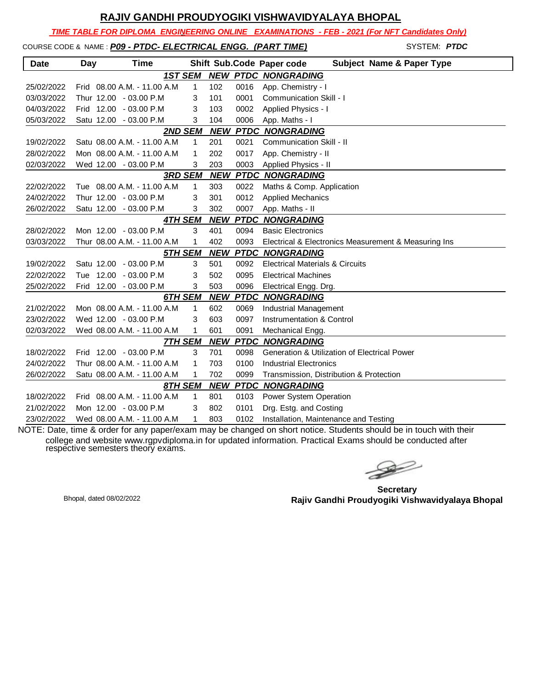*TIME TABLE FOR DIPLOMA ENGINEERING ONLINE EXAMINATIONS - FEB - 2021 (For NFT Candidates Only)*

COURSE CODE & NAME : *P09 - PTDC- ELECTRICAL ENGG. (PART TIME)* - SYSTEM: *PTDC*

| <b>Date</b> | Day | Time                         |                |            |      | Shift Sub.Code Paper code<br><b>Subject Name &amp; Paper Type</b> |
|-------------|-----|------------------------------|----------------|------------|------|-------------------------------------------------------------------|
|             |     |                              | <b>1ST SEM</b> |            |      | <b>NEW PTDC NONGRADING</b>                                        |
| 25/02/2022  |     | Frid 08.00 A.M. - 11.00 A.M. | $\mathbf{1}$   | 102        | 0016 | App. Chemistry - I                                                |
| 03/03/2022  |     | Thur 12.00 - 03.00 P.M       | 3              | 101        | 0001 | Communication Skill - I                                           |
| 04/03/2022  |     | Frid 12.00 - 03.00 P.M       | 3              | 103        | 0002 | Applied Physics - I                                               |
| 05/03/2022  |     | Satu 12.00 - 03.00 P.M       | 3              | 104        | 0006 | App. Maths - I                                                    |
|             |     |                              | 2ND SEM        |            |      | <b>NEW PTDC NONGRADING</b>                                        |
| 19/02/2022  |     | Satu 08.00 A.M. - 11.00 A.M  | 1              | 201        | 0021 | <b>Communication Skill - II</b>                                   |
| 28/02/2022  |     | Mon 08.00 A.M. - 11.00 A.M   | 1              | 202        | 0017 | App. Chemistry - II                                               |
| 02/03/2022  |     | Wed 12.00 - 03.00 P.M        | 3              | 203        | 0003 | Applied Physics - II                                              |
|             |     |                              | <b>3RD SEM</b> |            |      | <b>NEW PTDC NONGRADING</b>                                        |
| 22/02/2022  |     | Tue 08.00 A.M. - 11.00 A.M.  | $\mathbf{1}$   | 303        | 0022 | Maths & Comp. Application                                         |
| 24/02/2022  |     | Thur 12.00 - 03.00 P.M       | 3              | 301        | 0012 | <b>Applied Mechanics</b>                                          |
| 26/02/2022  |     | Satu 12.00 - 03.00 P.M       | 3              | 302        | 0007 | App. Maths - II                                                   |
|             |     |                              | <b>4TH SEM</b> | <b>NEW</b> |      | <b>PTDC NONGRADING</b>                                            |
| 28/02/2022  |     | Mon 12.00 - 03.00 P.M        | 3              | 401        | 0094 | <b>Basic Electronics</b>                                          |
| 03/03/2022  |     | Thur 08.00 A.M. - 11.00 A.M  | 1              | 402        | 0093 | Electrical & Electronics Measurement & Measuring Ins              |
|             |     |                              | 5TH SEM        | <b>NEW</b> |      | <b>PTDC NONGRADING</b>                                            |
| 19/02/2022  |     | Satu 12.00 - 03.00 P.M       | 3              | 501        | 0092 | <b>Electrical Materials &amp; Circuits</b>                        |
| 22/02/2022  |     | Tue 12.00 - 03.00 P.M        | 3              | 502        | 0095 | <b>Electrical Machines</b>                                        |
| 25/02/2022  |     | Frid 12.00 - 03.00 P.M       | 3              | 503        | 0096 | Electrical Engg. Drg.                                             |
|             |     |                              | 6TH SEM        | <b>NEW</b> |      | <b>PTDC NONGRADING</b>                                            |
| 21/02/2022  |     | Mon 08.00 A.M. - 11.00 A.M   | $\mathbf{1}$   | 602        | 0069 | <b>Industrial Management</b>                                      |
| 23/02/2022  |     | Wed 12.00 - 03.00 P.M        | 3              | 603        | 0097 | Instrumentation & Control                                         |
| 02/03/2022  |     | Wed 08.00 A.M. - 11.00 A.M   | 1              | 601        | 0091 | Mechanical Engg.                                                  |
|             |     |                              | <b>7TH SEM</b> | <b>NEW</b> |      | <b>PTDC NONGRADING</b>                                            |
| 18/02/2022  |     | Frid 12.00 - 03.00 P.M       | 3              | 701        | 0098 | Generation & Utilization of Electrical Power                      |
| 24/02/2022  |     | Thur 08.00 A.M. - 11.00 A.M. | 1              | 703        | 0100 | <b>Industrial Electronics</b>                                     |
| 26/02/2022  |     | Satu 08.00 A.M. - 11.00 A.M  | 1              | 702        | 0099 | Transmission, Distribution & Protection                           |
|             |     |                              | 8TH SEM        | <b>NEW</b> |      | <b>PTDC NONGRADING</b>                                            |
| 18/02/2022  |     | Frid 08.00 A.M. - 11.00 A.M  | 1              | 801        | 0103 | Power System Operation                                            |
| 21/02/2022  |     | Mon 12.00 - 03.00 P.M        | 3              | 802        | 0101 | Drg. Estg. and Costing                                            |
| 23/02/2022  |     | Wed 08.00 A.M. - 11.00 A.M   | 1              | 803        | 0102 | Installation, Maintenance and Testing                             |

 $\rightarrow$ 

**Secretary Rajiv Gandhi Proudyogiki Vishwavidyalaya Bhopal** Bhopal, dated 08/02/2022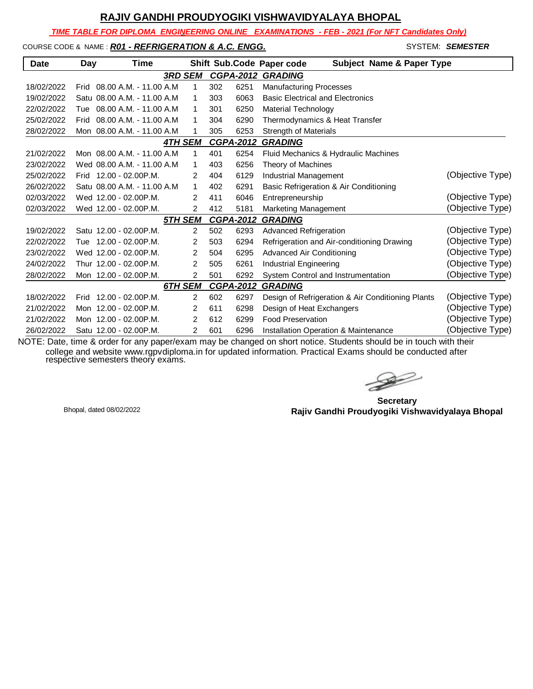*TIME TABLE FOR DIPLOMA ENGINEERING ONLINE EXAMINATIONS - FEB - 2021 (For NFT Candidates Only)*

#### COURSE CODE & NAME: **R01 - REFRIGERATION & A.C. ENGG.** STAND AND SYSTEM: **SEMESTER**

| <b>Date</b> | Day  | Time                         |                |                |     |                  | Shift Sub.Code Paper code<br>Subject Name & Paper Type |                  |
|-------------|------|------------------------------|----------------|----------------|-----|------------------|--------------------------------------------------------|------------------|
|             |      |                              | <b>3RD SEM</b> |                |     |                  | <b>CGPA-2012 GRADING</b>                               |                  |
| 18/02/2022  | Frid | 08.00 A.M. - 11.00 A.M.      |                | 1              | 302 | 6251             | <b>Manufacturing Processes</b>                         |                  |
| 19/02/2022  |      | Satu 08.00 A.M. - 11.00 A.M. |                | 1              | 303 | 6063             | <b>Basic Electrical and Electronics</b>                |                  |
| 22/02/2022  | Tue  | 08.00 A.M. - 11.00 A.M.      |                | 1              | 301 | 6250             | <b>Material Technology</b>                             |                  |
| 25/02/2022  | Frid | 08.00 A.M. - 11.00 A.M       |                | 1              | 304 | 6290             | Thermodynamics & Heat Transfer                         |                  |
| 28/02/2022  |      | Mon 08.00 A.M. - 11.00 A.M   |                | 1              | 305 | 6253             | <b>Strength of Materials</b>                           |                  |
|             |      |                              | 4TH SEM        |                |     | <b>CGPA-2012</b> | <b>GRADING</b>                                         |                  |
| 21/02/2022  |      | Mon 08.00 A.M. - 11.00 A.M.  |                | 1              | 401 | 6254             | Fluid Mechanics & Hydraulic Machines                   |                  |
| 23/02/2022  |      | Wed 08.00 A.M. - 11.00 A.M.  |                | 1              | 403 | 6256             | Theory of Machines                                     |                  |
| 25/02/2022  | Frid | $12.00 - 02.00$ P.M.         |                | $\overline{2}$ | 404 | 6129             | Industrial Management                                  | (Objective Type) |
| 26/02/2022  |      | Satu 08.00 A.M. - 11.00 A.M. |                | 1              | 402 | 6291             | Basic Refrigeration & Air Conditioning                 |                  |
| 02/03/2022  |      | Wed 12.00 - 02.00P.M.        |                | $\overline{2}$ | 411 | 6046             | Entrepreneurship                                       | (Objective Type) |
| 02/03/2022  |      | Wed 12.00 - 02.00P.M.        |                | $\overline{2}$ | 412 | 5181             | Marketing Management                                   | (Objective Type) |
|             |      |                              | <b>5TH SEM</b> |                |     | <b>CGPA-2012</b> | <b>GRADING</b>                                         |                  |
| 19/02/2022  |      | Satu 12.00 - 02.00 P.M.      |                | $\overline{2}$ | 502 | 6293             | <b>Advanced Refrigeration</b>                          | (Objective Type) |
| 22/02/2022  |      | Tue 12.00 - 02.00 P.M.       |                | $\overline{2}$ | 503 | 6294             | Refrigeration and Air-conditioning Drawing             | (Objective Type) |
| 23/02/2022  |      | Wed 12.00 - 02.00 P.M.       |                | $\overline{2}$ | 504 | 6295             | Advanced Air Conditioning                              | (Objective Type) |
| 24/02/2022  |      | Thur 12.00 - 02.00P.M.       |                | $\overline{2}$ | 505 | 6261             | Industrial Engineering                                 | (Objective Type) |
| 28/02/2022  |      | Mon 12.00 - 02.00 P.M.       |                | 2              | 501 | 6292             | System Control and Instrumentation                     | (Objective Type) |
|             |      |                              | 6TH SEM        |                |     | <b>CGPA-2012</b> | <b>GRADING</b>                                         |                  |
| 18/02/2022  | Frid | 12.00 - 02.00P.M.            |                | 2              | 602 | 6297             | Design of Refrigeration & Air Conditioning Plants      | (Objective Type) |
| 21/02/2022  |      | Mon 12.00 - 02.00 P.M.       |                | 2              | 611 | 6298             | Design of Heat Exchangers                              | (Objective Type) |
| 21/02/2022  |      | Mon 12.00 - 02.00P.M.        |                | $\overline{2}$ | 612 | 6299             | <b>Food Preservation</b>                               | (Objective Type) |
| 26/02/2022  |      | Satu 12.00 - 02.00 P.M.      |                | 2              | 601 | 6296             | Installation Operation & Maintenance                   | (Objective Type) |

**Secretary Rajiv Gandhi Proudyogiki Vishwavidyalaya Bhopal** Bhopal, dated 08/02/2022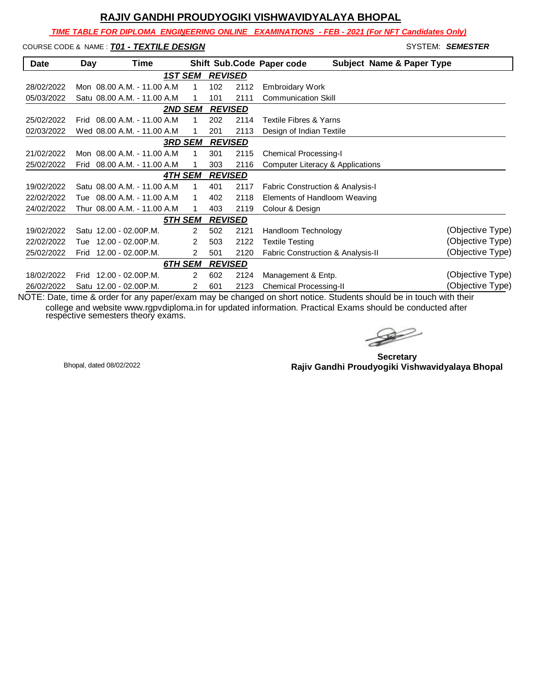*TIME TABLE FOR DIPLOMA ENGINEERING ONLINE EXAMINATIONS - FEB - 2021 (For NFT Candidates Only)*

# COURSE CODE & NAME : *T01 - TEXTILE DESIGN*  $\blacksquare$

| <b>Date</b> | Day  | Time                         |                |   |     |                | Shift Sub.Code Paper code<br><b>Subject Name &amp; Paper Type</b> |                  |
|-------------|------|------------------------------|----------------|---|-----|----------------|-------------------------------------------------------------------|------------------|
|             |      |                              | <b>1ST SEM</b> |   |     | <b>REVISED</b> |                                                                   |                  |
| 28/02/2022  |      | Mon 08.00 A.M. - 11.00 A.M.  |                | 1 | 102 | 2112           | <b>Embroidary Work</b>                                            |                  |
| 05/03/2022  |      | Satu 08.00 A.M. - 11.00 A.M. |                |   | 101 | 2111           | <b>Communication Skill</b>                                        |                  |
|             |      |                              | <b>2ND SEM</b> |   |     | <b>REVISED</b> |                                                                   |                  |
| 25/02/2022  |      | Frid 08.00 A.M. - 11.00 A.M. |                |   | 202 | 2114           | <b>Textile Fibres &amp; Yarns</b>                                 |                  |
| 02/03/2022  |      | Wed 08.00 A.M. - 11.00 A.M.  |                |   | 201 | 2113           | Design of Indian Textile                                          |                  |
|             |      |                              | 3RD SEM        |   |     | <b>REVISED</b> |                                                                   |                  |
| 21/02/2022  |      | Mon 08.00 A.M. - 11.00 A.M.  |                | 1 | 301 | 2115           | <b>Chemical Processing-I</b>                                      |                  |
| 25/02/2022  | Frid | 08.00 A.M. - 11.00 A.M       |                |   | 303 | 2116           | Computer Literacy & Applications                                  |                  |
|             |      |                              | 4TH SEM        |   |     | <b>REVISED</b> |                                                                   |                  |
| 19/02/2022  |      | Satu 08.00 A.M. - 11.00 A.M. |                | 1 | 401 | 2117           | <b>Fabric Construction &amp; Analysis-I</b>                       |                  |
| 22/02/2022  | Tue  | 08.00 A.M. - 11.00 A.M       |                |   | 402 | 2118           | Elements of Handloom Weaving                                      |                  |
| 24/02/2022  |      | Thur 08.00 A.M. - 11.00 A.M  |                |   | 403 | 2119           | Colour & Design                                                   |                  |
|             |      |                              | <u>5TH SEM</u> |   |     | <b>REVISED</b> |                                                                   |                  |
| 19/02/2022  |      | Satu 12.00 - 02.00 P.M.      |                | 2 | 502 | 2121           | Handloom Technology                                               | (Objective Type) |
| 22/02/2022  | Tue  | 12.00 - 02.00P.M.            |                | 2 | 503 | 2122           | <b>Textile Testing</b>                                            | (Objective Type) |
| 25/02/2022  | Frid | 12.00 - 02.00P.M.            |                | 2 | 501 | 2120           | Fabric Construction & Analysis-II                                 | (Objective Type) |
|             |      |                              | 6TH SEM        |   |     | <b>REVISED</b> |                                                                   |                  |
| 18/02/2022  | Frid | 12.00 - 02.00P.M.            |                | 2 | 602 | 2124           | Management & Entp.                                                | (Objective Type) |
| 26/02/2022  |      | Satu 12.00 - 02.00 P.M.      |                | 2 | 601 | 2123           | Chemical Processing-II<br>.                                       | (Objective Type) |

 $\rightarrow$ 

**Secretary Rajiv Gandhi Proudyogiki Vishwavidyalaya Bhopal** Bhopal, dated 08/02/2022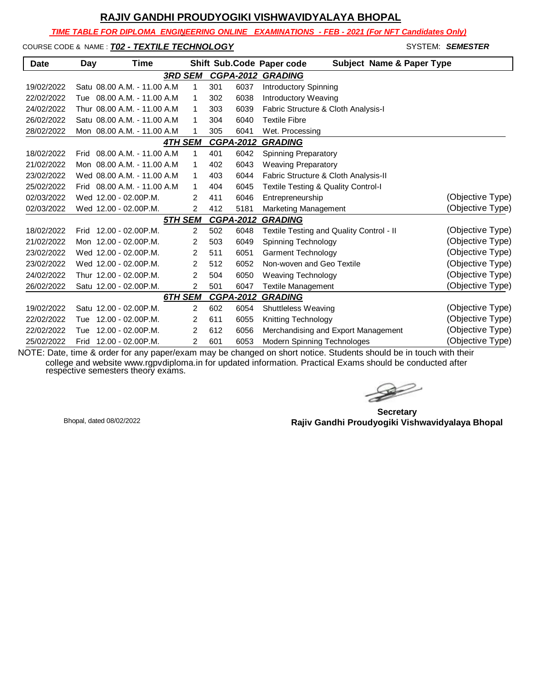*TIME TABLE FOR DIPLOMA ENGINEERING ONLINE EXAMINATIONS - FEB - 2021 (For NFT Candidates Only)*

COURSE CODE & NAME : **T02 - TEXTILE TECHNOLOGY SYSTEM: SEMESTER** 

| <b>Date</b> | Day  | Time                         |                |     |                  | <b>Subject Name &amp; Paper Type</b><br>Shift Sub.Code Paper code |                  |
|-------------|------|------------------------------|----------------|-----|------------------|-------------------------------------------------------------------|------------------|
|             |      |                              | <b>3RD SEM</b> |     |                  | <b>CGPA-2012 GRADING</b>                                          |                  |
| 19/02/2022  |      | Satu 08.00 A.M. - 11.00 A.M. | 1              | 301 | 6037             | Introductory Spinning                                             |                  |
| 22/02/2022  |      | Tue 08.00 A.M. - 11.00 A.M   | 1              | 302 | 6038             | Introductory Weaving                                              |                  |
| 24/02/2022  |      | Thur 08.00 A.M. - 11.00 A.M  | 1              | 303 | 6039             | Fabric Structure & Cloth Analysis-I                               |                  |
| 26/02/2022  |      | Satu 08.00 A.M. - 11.00 A.M. | 1              | 304 | 6040             | <b>Textile Fibre</b>                                              |                  |
| 28/02/2022  |      | Mon 08.00 A.M. - 11.00 A.M   | 1              | 305 | 6041             | Wet. Processing                                                   |                  |
|             |      |                              | <b>4TH SEM</b> |     | <b>CGPA-2012</b> | <b>GRADING</b>                                                    |                  |
| 18/02/2022  |      | Frid 08.00 A.M. - 11.00 A.M. | 1              | 401 | 6042             | <b>Spinning Preparatory</b>                                       |                  |
| 21/02/2022  |      | Mon 08.00 A.M. - 11.00 A.M   | 1              | 402 | 6043             | <b>Weaving Preparatory</b>                                        |                  |
| 23/02/2022  |      | Wed 08.00 A.M. - 11.00 A.M   | 1              | 403 | 6044             | Fabric Structure & Cloth Analysis-II                              |                  |
| 25/02/2022  | Frid | 08.00 A.M. - 11.00 A.M       | 1              | 404 | 6045             | <b>Textile Testing &amp; Quality Control-I</b>                    |                  |
| 02/03/2022  |      | Wed 12.00 - 02.00P.M.        | 2              | 411 | 6046             | Entrepreneurship                                                  | (Objective Type) |
| 02/03/2022  |      | Wed 12.00 - 02.00P.M.        | 2              | 412 | 5181             | Marketing Management                                              | (Objective Type) |
|             |      |                              | 5TH SEM        |     | <b>CGPA-2012</b> | <b>GRADING</b>                                                    |                  |
| 18/02/2022  |      | Frid 12.00 - 02.00 P.M.      | 2              | 502 | 6048             | Textile Testing and Quality Control - II                          | (Objective Type) |
| 21/02/2022  |      | Mon 12.00 - 02.00 P.M.       | 2              | 503 | 6049             | Spinning Technology                                               | (Objective Type) |
| 23/02/2022  |      | Wed 12.00 - 02.00 P.M.       | 2              | 511 | 6051             | <b>Garment Technology</b>                                         | (Objective Type) |
| 23/02/2022  |      | Wed 12.00 - 02.00 P.M.       | 2              | 512 | 6052             | Non-woven and Geo Textile                                         | (Objective Type) |
| 24/02/2022  |      | Thur 12.00 - 02.00P.M.       | $\overline{2}$ | 504 | 6050             | <b>Weaving Technology</b>                                         | (Objective Type) |
| 26/02/2022  |      | Satu 12.00 - 02.00 P.M.      | $\overline{2}$ | 501 | 6047             | <b>Textile Management</b>                                         | (Objective Type) |
|             |      |                              | 6TH SEM        |     | <b>CGPA-2012</b> | <b>GRADING</b>                                                    |                  |
| 19/02/2022  |      | Satu 12.00 - 02.00 P.M.      | $\overline{2}$ | 602 | 6054             | Shuttleless Weaving                                               | (Objective Type) |
| 22/02/2022  | Tue  | 12.00 - 02.00P.M.            | 2              | 611 | 6055             | Knitting Technology                                               | (Objective Type) |
| 22/02/2022  | Tue  | 12.00 - 02.00P.M.            | 2              | 612 | 6056             | Merchandising and Export Management                               | (Objective Type) |
| 25/02/2022  | Frid | 12.00 - 02.00P.M.            | 2              | 601 | 6053             | <b>Modern Spinning Technologes</b>                                | (Objective Type) |

 $\rightarrow$ 

**Secretary Rajiv Gandhi Proudyogiki Vishwavidyalaya Bhopal** Bhopal, dated 08/02/2022